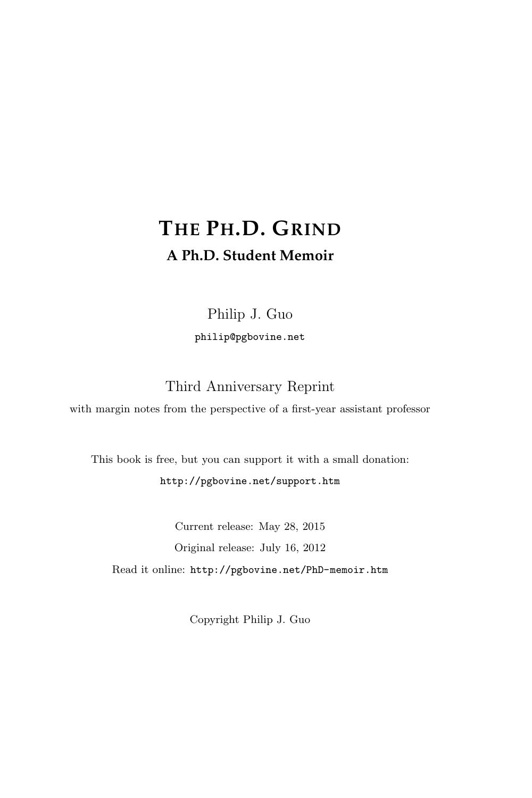### **THE PH.D. GRIND A Ph.D. Student Memoir**

Philip J. Guo philip@pgbovine.net

#### Third Anniversary Reprint

with margin notes from the perspective of a first-year assistant professor

This book is free, but you can support it with a small donation: <http://pgbovine.net/support.htm>

Current release: May 28, 2015 Original release: July 16, 2012 Read it online: <http://pgbovine.net/PhD-memoir.htm>

Copyright Philip J. Guo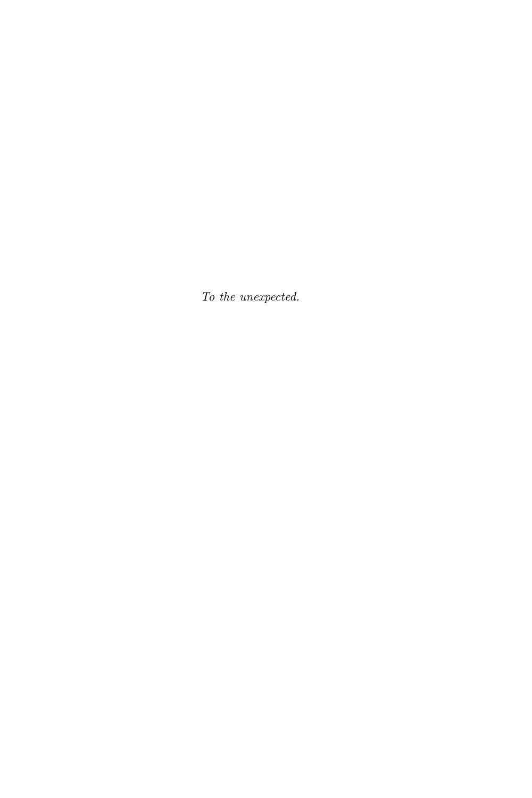*To the unexpected.*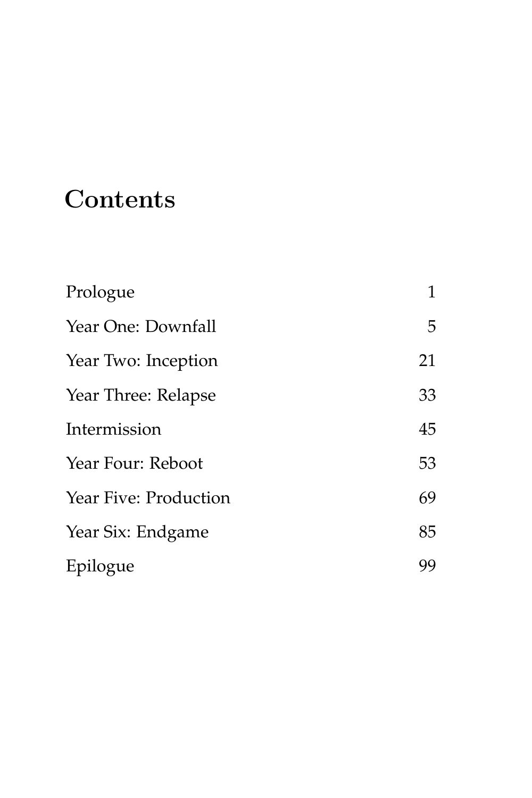# **Contents**

| Prologue              | 1  |
|-----------------------|----|
| Year One: Downfall    | 5  |
| Year Two: Inception   | 21 |
| Year Three: Relapse   | 33 |
| Intermission          | 45 |
| Year Four: Reboot     | 53 |
| Year Five: Production | 69 |
| Year Six: Endgame     | 85 |
| Epilogue              | 99 |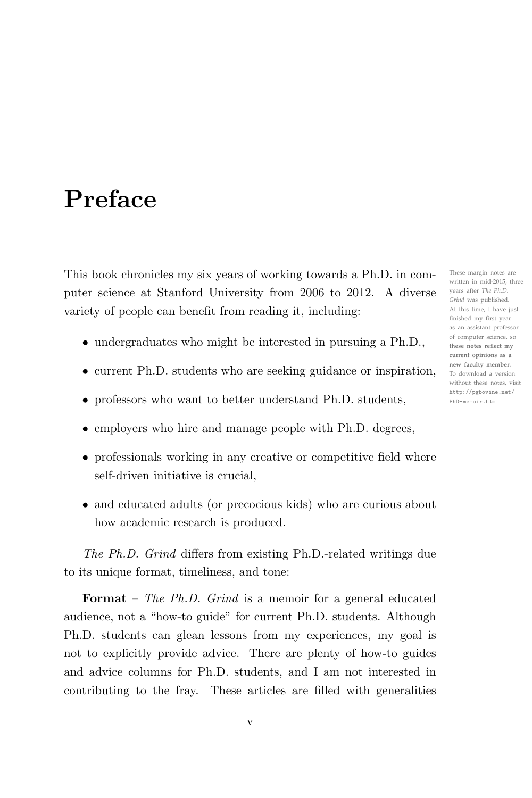#### Preface

This book chronicles my six years of working towards a Ph.D. in com-<br>These margin notes are puter science at Stanford University from 2006 to 2012. A diverse variety of people can benefit from reading it, including:

- undergraduates who might be interested in pursuing a Ph.D.,
- *•* current Ph.D. students who are seeking guidance or inspiration,
- *•* professors who want to better understand Ph.D. students,
- employers who hire and manage people with Ph.D. degrees,
- professionals working in any creative or competitive field where self-driven initiative is crucial,
- and educated adults (or precocious kids) who are curious about how academic research is produced.

*The Ph.D. Grind* differs from existing Ph.D.-related writings due to its unique format, timeliness, and tone:

Format – *The Ph.D. Grind* is a memoir for a general educated audience, not a "how-to guide" for current Ph.D. students. Although Ph.D. students can glean lessons from my experiences, my goal is not to explicitly provide advice. There are plenty of how-to guides and advice columns for Ph.D. students, and I am not interested in contributing to the fray. These articles are filled with generalities written in mid-2015, three years after *The Ph.D. Grind* was published. At this time, I have just finished my first year as an assistant professor of computer science, so **these notes reflect my current opinions as a new faculty member**. To download a version without these notes, visit [http://pgbovine.net/](http://pgbovine.net/PhD-memoir.htm) [PhD-memoir.htm](http://pgbovine.net/PhD-memoir.htm)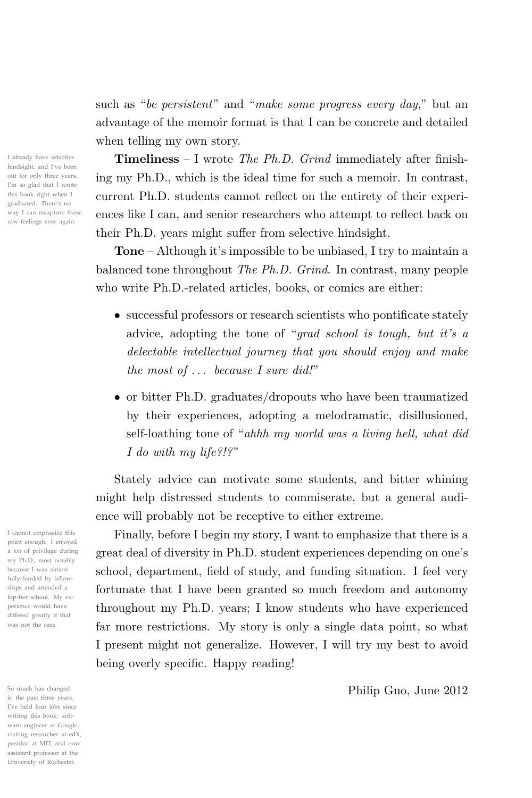such as "*be persistent*" and "*make some progress every day,*" but an advantage of the memoir format is that I can be concrete and detailed when telling my own story.

I already have selective **Timeliness** – I wrote *The Ph.D. Grind* immediately after finishing my Ph.D., which is the ideal time for such a memoir. In contrast, current Ph.D. students cannot reflect on the entirety of their experiences like I can, and senior researchers who attempt to reflect back on their Ph.D. years might suffer from selective hindsight.

> Tone – Although it's impossible to be unbiased, I try to maintain a balanced tone throughout *The Ph.D. Grind*. In contrast, many people who write Ph.D.-related articles, books, or comics are either:

- successful professors or research scientists who pontificate stately advice, adopting the tone of "*grad school is tough, but it's a delectable intellectual journey that you should enjoy and make the most of . . . because I sure did!*"
- or bitter Ph.D. graduates/dropouts who have been traumatized by their experiences, adopting a melodramatic, disillusioned, self-loathing tone of "*ahhh my world was a living hell, what did I do with my life?!?*"

Stately advice can motivate some students, and bitter whining might help distressed students to commiserate, but a general audience will probably not be receptive to either extreme.

I cannot emphasize this **Finally, before I begin my story, I want to emphasize that there is a** great deal of diversity in Ph.D. student experiences depending on one's school, department, field of study, and funding situation. I feel very fortunate that I have been granted so much freedom and autonomy throughout my Ph.D. years; I know students who have experienced far more restrictions. My story is only a single data point, so what I present might not generalize. However, I will try my best to avoid being overly specific. Happy reading!

Philip Guo, June 2012 So much has changed in the past three years. I've held four jobs since writing this book: software engineer at Google, visiting researcher at edX, postdoc at MIT, and now assistant professor at the University of Rochester.

hindsight, and I've been out for only three years. I'm so glad that I wrote this book right when I graduated. There's no way I can recapture those raw feelings ever again.

because I was almost fully-funded by fellowships and attended a top-tier school. My experience would have differed greatly if that was not the case.

point enough. I enjoyed a *ton* of privilege during my Ph.D., most notably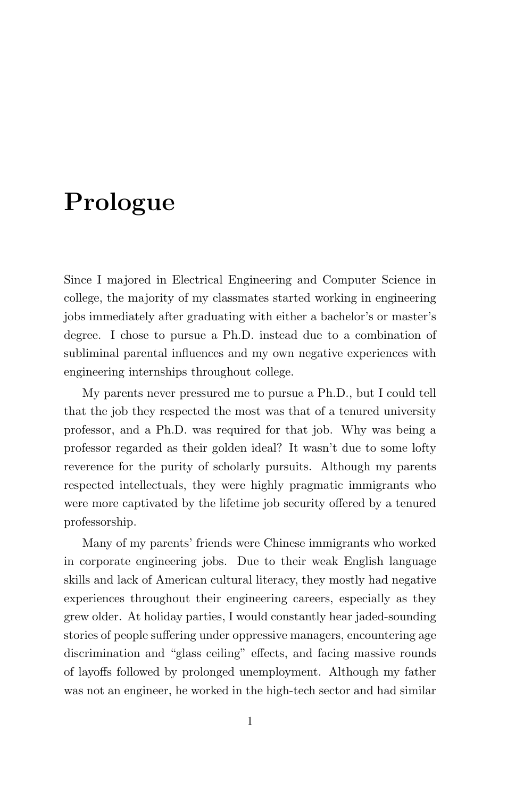## <span id="page-8-0"></span>Prologue

Since I majored in Electrical Engineering and Computer Science in college, the majority of my classmates started working in engineering jobs immediately after graduating with either a bachelor's or master's degree. I chose to pursue a Ph.D. instead due to a combination of subliminal parental influences and my own negative experiences with engineering internships throughout college.

My parents never pressured me to pursue a Ph.D., but I could tell that the job they respected the most was that of a tenured university professor, and a Ph.D. was required for that job. Why was being a professor regarded as their golden ideal? It wasn't due to some lofty reverence for the purity of scholarly pursuits. Although my parents respected intellectuals, they were highly pragmatic immigrants who were more captivated by the lifetime job security offered by a tenured professorship.

Many of my parents' friends were Chinese immigrants who worked in corporate engineering jobs. Due to their weak English language skills and lack of American cultural literacy, they mostly had negative experiences throughout their engineering careers, especially as they grew older. At holiday parties, I would constantly hear jaded-sounding stories of people suffering under oppressive managers, encountering age discrimination and "glass ceiling" effects, and facing massive rounds of layoffs followed by prolonged unemployment. Although my father was not an engineer, he worked in the high-tech sector and had similar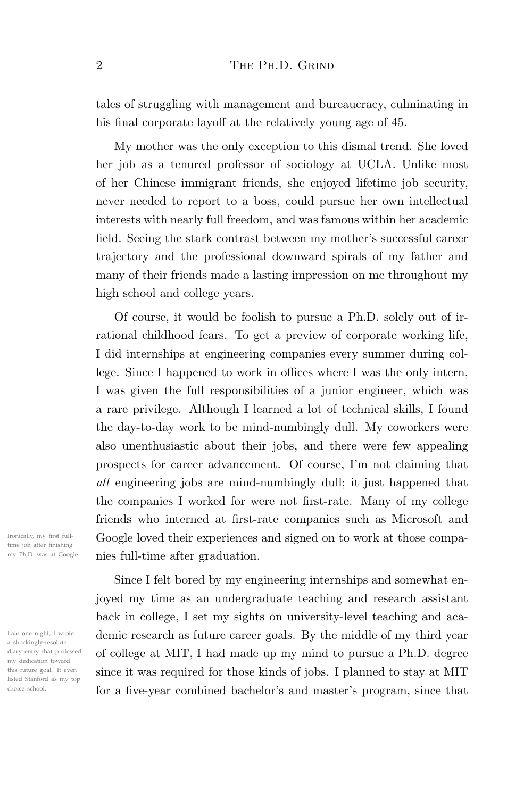tales of struggling with management and bureaucracy, culminating in his final corporate layoff at the relatively young age of 45.

My mother was the only exception to this dismal trend. She loved her job as a tenured professor of sociology at UCLA. Unlike most of her Chinese immigrant friends, she enjoyed lifetime job security, never needed to report to a boss, could pursue her own intellectual interests with nearly full freedom, and was famous within her academic field. Seeing the stark contrast between my mother's successful career trajectory and the professional downward spirals of my father and many of their friends made a lasting impression on me throughout my high school and college years.

Of course, it would be foolish to pursue a Ph.D. solely out of irrational childhood fears. To get a preview of corporate working life, I did internships at engineering companies every summer during college. Since I happened to work in offices where I was the only intern, I was given the full responsibilities of a junior engineer, which was a rare privilege. Although I learned a lot of technical skills, I found the day-to-day work to be mind-numbingly dull. My coworkers were also unenthusiastic about their jobs, and there were few appealing prospects for career advancement. Of course, I'm not claiming that *all* engineering jobs are mind-numbingly dull; it just happened that the companies I worked for were not first-rate. Many of my college friends who interned at first-rate companies such as Microsoft and Ironically, my first full-<br>Google loved their experiences and signed on to work at those compamy Ph.D. was at Google. nies full-time after graduation.

time job after finishing

a shockingly-resolute diary entry that professed my dedication toward this future goal. It even listed Stanford as my top choice school.

Since I felt bored by my engineering internships and somewhat enjoyed my time as an undergraduate teaching and research assistant back in college, I set my sights on university-level teaching and aca-Late one night, I wrote demic research as future career goals. By the middle of my third year of college at MIT, I had made up my mind to pursue a Ph.D. degree since it was required for those kinds of jobs. I planned to stay at MIT for a five-year combined bachelor's and master's program, since that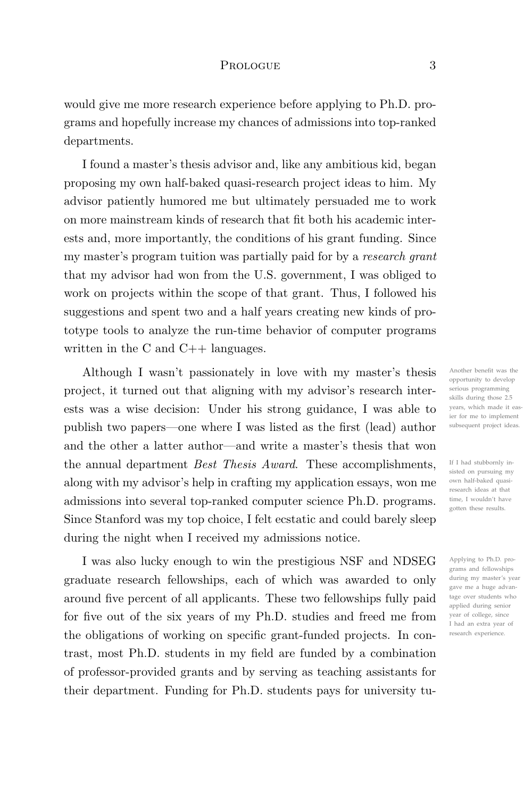would give me more research experience before applying to Ph.D. programs and hopefully increase my chances of admissions into top-ranked departments.

I found a master's thesis advisor and, like any ambitious kid, began proposing my own half-baked quasi-research project ideas to him. My advisor patiently humored me but ultimately persuaded me to work on more mainstream kinds of research that fit both his academic interests and, more importantly, the conditions of his grant funding. Since my master's program tuition was partially paid for by a *research grant* that my advisor had won from the U.S. government, I was obliged to work on projects within the scope of that grant. Thus, I followed his suggestions and spent two and a half years creating new kinds of prototype tools to analyze the run-time behavior of computer programs written in the C and  $C_{++}$  languages.

Although I wasn't passionately in love with my master's thesis Another benefit was the project, it turned out that aligning with my advisor's research interests was a wise decision: Under his strong guidance, I was able to publish two papers—one where I was listed as the [first \(lead\) author](http://www.pgbovine.net/projects/pubs/abstract-type-issta2006.pdf) and the other a [latter author—](http://www.pgbovine.net/projects/pubs/infer-repair-issta2006.pdf)and write a [master's thesis](http://www.pgbovine.net/projects/pubs/guo-mixedlevel-mengthesis.pdf) that won the annual department *Best Thesis Award*. These accomplishments, If I had stubbornly inalong with my advisor's help in crafting my application essays, won me admissions into several top-ranked computer science Ph.D. programs. Since Stanford was my top choice, I felt ecstatic and could barely sleep during the night when I received my admissions notice.

I was also lucky enough to win the prestigious NSF and NDSEG Applying to Ph.D. prograduate research fellowships, each of which was awarded to only around five percent of all applicants. These two fellowships fully paid for five out of the six years of my Ph.D. studies and freed me from the obligations of working on specific grant-funded projects. In contrast, most Ph.D. students in my field are funded by a combination of professor-provided grants and by serving as teaching assistants for their department. Funding for Ph.D. students pays for university tu-

opportunity to develop serious programming skills during those 2.5 years, which made it easier for me to implement subsequent project ideas.

sisted on pursuing my own half-baked quasiresearch ideas at that time, I wouldn't have gotten these results.

grams and fellowships during my master's year gave me a huge advantage over students who applied during senior year of college, since I had an extra year of research experience.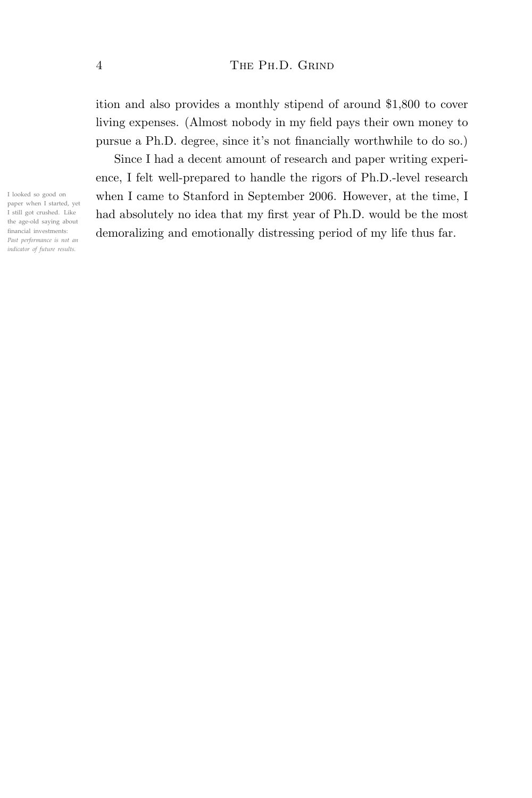ition and also provides a monthly stipend of around \$1,800 to cover living expenses. (Almost nobody in my field pays their own money to pursue a Ph.D. degree, since it's not financially worthwhile to do so.)

Since I had a decent amount of research and paper writing experience, I felt well-prepared to handle the rigors of Ph.D.-level research I looked so good on when I came to Stanford in September 2006. However, at the time, I had absolutely no idea that my first year of Ph.D. would be the most demoralizing and emotionally distressing period of my life thus far.

paper when I started, yet I still got crushed. Like the age-old saying about financial investments: *Past performance is not an indicator of future results.*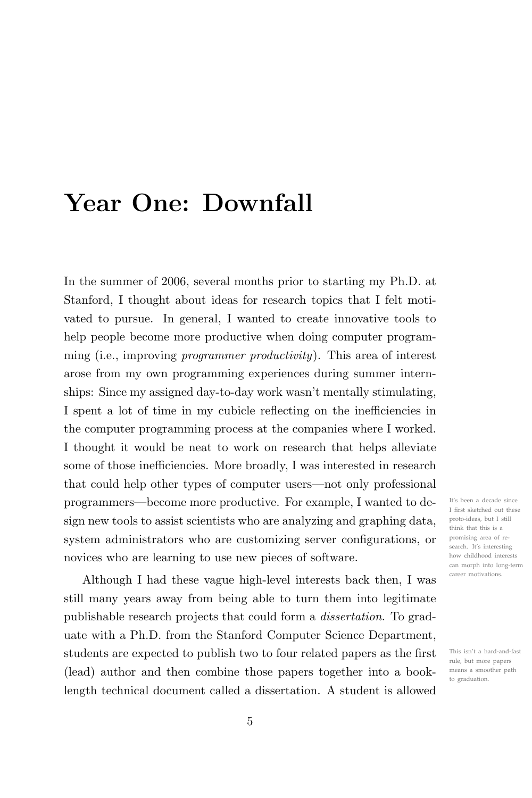## <span id="page-12-0"></span>Year One: Downfall

In the summer of 2006, several months prior to starting my Ph.D. at Stanford, I thought about ideas for research topics that I felt motivated to pursue. In general, I wanted to create innovative tools to help people become more productive when doing computer programming (i.e., improving *programmer productivity*). This area of interest arose from my own programming experiences during summer internships: Since my assigned day-to-day work wasn't mentally stimulating, I spent a lot of time in my cubicle reflecting on the inefficiencies in the computer programming process at the companies where I worked. I thought it would be neat to work on research that helps alleviate some of those inefficiencies. More broadly, I was interested in research that could help other types of computer users—not only professional programmers—become more productive. For example, I wanted to de- It's been a decade since sign new tools to assist scientists who are analyzing and graphing data, system administrators who are customizing server configurations, or novices who are learning to use new pieces of software.

Although I had these vague high-level interests back then, I was still many years away from being able to turn them into legitimate publishable research projects that could form a *dissertation*. To graduate with a Ph.D. from the Stanford Computer Science Department, students are expected to publish two to four related papers as the first This isn't a hard-and-fast (lead) author and then combine those papers together into a book- $\frac{1}{10}$  means a smooth cograduation. length technical document called a dissertation. A student is allowed

I first sketched out these proto-ideas, but I still think that this is a promising area of research. It's interesting how childhood interests can morph into long-term career motivations.

rule, but more papers means a smoother path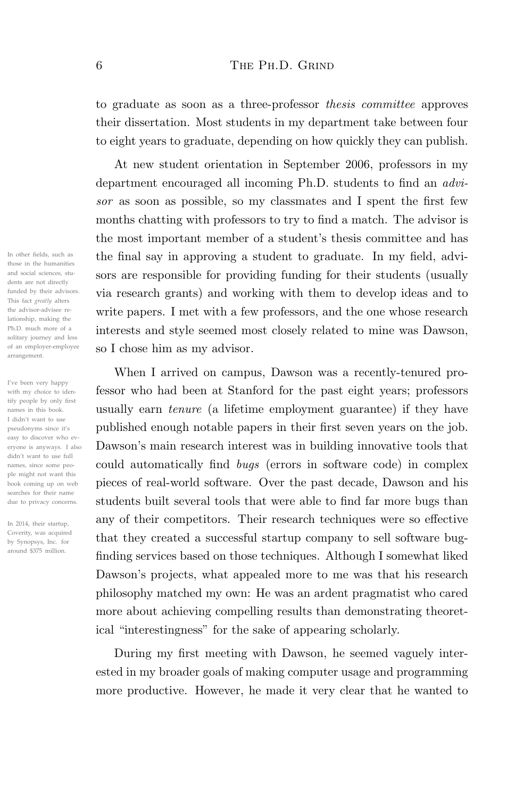to graduate as soon as a three-professor *thesis committee* approves their dissertation. Most students in my department take between four to eight years to graduate, depending on how quickly they can publish.

At new student orientation in September 2006, professors in my department encouraged all incoming Ph.D. students to find an *advisor* as soon as possible, so my classmates and I spent the first few months chatting with professors to try to find a match. The advisor is the most important member of a student's thesis committee and has In other fields, such as the final say in approving a student to graduate. In my field, advisors are responsible for providing funding for their students (usually via research grants) and working with them to develop ideas and to write papers. I met with a few professors, and the one whose research interests and style seemed most closely related to mine was Dawson, so I chose him as my advisor.

When I arrived on campus, Dawson was a recently-tenured professor who had been at Stanford for the past eight years; professors usually earn *tenure* (a lifetime employment guarantee) if they have published enough notable papers in their first seven years on the job. Dawson's main research interest was in building innovative tools that could automatically find *bugs* (errors in software code) in complex pieces of real-world software. Over the past decade, Dawson and his students built several tools that were able to find far more bugs than In 2014, their startup, any of their competitors. Their research techniques were so effective that they created a successful startup company to sell software bugfinding services based on those techniques. Although I somewhat liked Dawson's projects, what appealed more to me was that his research philosophy matched my own: He was an ardent pragmatist who cared more about achieving compelling results than demonstrating theoretical "interestingness" for the sake of appearing scholarly.

> During my first meeting with Dawson, he seemed vaguely interested in my broader goals of making computer usage and programming more productive. However, he made it very clear that he wanted to

those in the humanities and social sciences, students are not directly funded by their advisors. This fact *greatly* alters the advisor-advisee relationship, making the Ph.D. much more of a solitary journey and less of an employer-employee arrangement.

I've been very happy with my choice to identify people by only first names in this book. I didn't want to use pseudonyms since it's easy to discover who everyone is anyways. I also didn't want to use full names, since some people might not want this book coming up on web searches for their name due to privacy concerns.

Coverity, was acquired by Synopsys, Inc. for around \$375 million.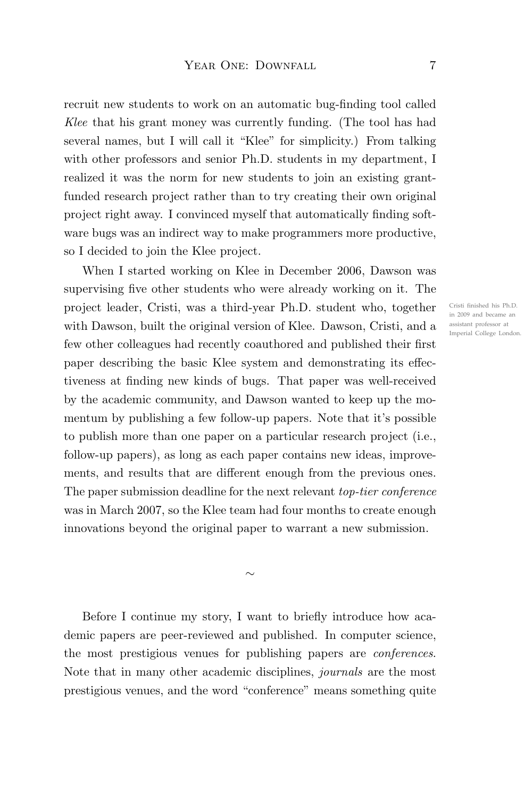recruit new students to work on an automatic bug-finding tool called *Klee* that his grant money was currently funding. (The tool has had several names, but I will call it "Klee" for simplicity.) From talking with other professors and senior Ph.D. students in my department, I realized it was the norm for new students to join an existing grantfunded research project rather than to try creating their own original project right away. I convinced myself that automatically finding software bugs was an indirect way to make programmers more productive, so I decided to join the Klee project.

When I started working on Klee in December 2006, Dawson was supervising five other students who were already working on it. The project leader, Cristi, was a third-year Ph.D. student who, together Cristi finished his Ph.D. with Dawson, built the original version of Klee. Dawson, Cristi, and a  $\frac{1}{\text{Imperial College London}}$ few other colleagues had recently coauthored and published their first paper describing the basic Klee system and demonstrating its effectiveness at finding new kinds of bugs. That paper was well-received by the academic community, and Dawson wanted to keep up the momentum by publishing a few follow-up papers. Note that it's possible to publish more than one paper on a particular research project (i.e., follow-up papers), as long as each paper contains new ideas, improvements, and results that are different enough from the previous ones. The paper submission deadline for the next relevant *top-tier conference* was in March 2007, so the Klee team had four months to create enough innovations beyond the original paper to warrant a new submission.

in 2009 and became an assistant professor at

 $\sim$ 

Before I continue my story, I want to briefly introduce how academic papers are peer-reviewed and published. In computer science, the most prestigious venues for publishing papers are *conferences*. Note that in many other academic disciplines, *journals* are the most prestigious venues, and the word "conference" means something quite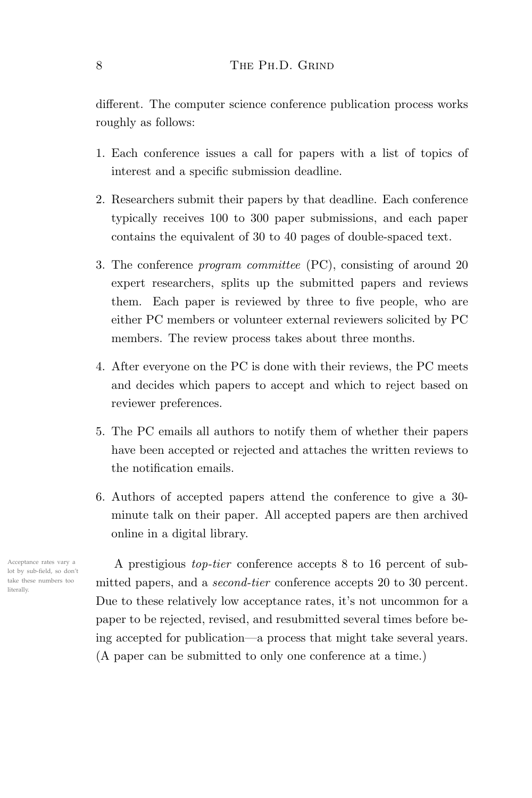different. The computer science conference publication process works roughly as follows:

- 1. Each conference issues a call for papers with a list of topics of interest and a specific submission deadline.
- 2. Researchers submit their papers by that deadline. Each conference typically receives 100 to 300 paper submissions, and each paper contains the equivalent of 30 to 40 pages of double-spaced text.
- 3. The conference *program committee* (PC), consisting of around 20 expert researchers, splits up the submitted papers and reviews them. Each paper is reviewed by three to five people, who are either PC members or volunteer external reviewers solicited by PC members. The review process takes about three months.
- 4. After everyone on the PC is done with their reviews, the PC meets and decides which papers to accept and which to reject based on reviewer preferences.
- 5. The PC emails all authors to notify them of whether their papers have been accepted or rejected and attaches the written reviews to the notification emails.
- 6. Authors of accepted papers attend the conference to give a 30 minute talk on their paper. All accepted papers are then archived online in a digital library.

lot by sub-field, so don't take these numbers too

Acceptance rates vary a **Acceptance rates vary a A** prestigious *top-tier* conference accepts 8 to 16 percent of subtake these numbers too mitted papers, and a *second-tier* conference accepts 20 to 30 percent. Due to these relatively low acceptance rates, it's not uncommon for a paper to be rejected, revised, and resubmitted several times before being accepted for publication—a process that might take several years. (A paper can be submitted to only one conference at a time.)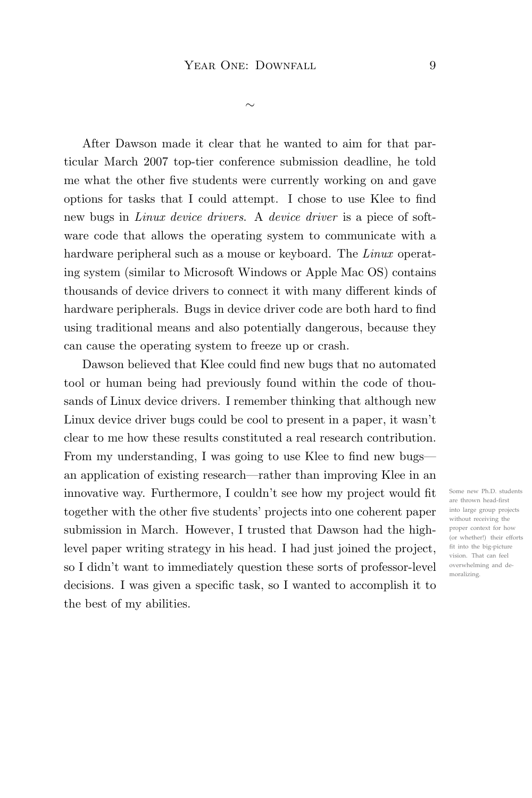$\sim$ 

After Dawson made it clear that he wanted to aim for that particular March 2007 top-tier conference submission deadline, he told me what the other five students were currently working on and gave options for tasks that I could attempt. I chose to use Klee to find new bugs in *Linux device drivers*. A *device driver* is a piece of software code that allows the operating system to communicate with a hardware peripheral such as a mouse or keyboard. The *Linux* operating system (similar to Microsoft Windows or Apple Mac OS) contains thousands of device drivers to connect it with many different kinds of hardware peripherals. Bugs in device driver code are both hard to find using traditional means and also potentially dangerous, because they can cause the operating system to freeze up or crash.

Dawson believed that Klee could find new bugs that no automated tool or human being had previously found within the code of thousands of Linux device drivers. I remember thinking that although new Linux device driver bugs could be cool to present in a paper, it wasn't clear to me how these results constituted a real research contribution. From my understanding, I was going to use Klee to find new bugs an application of existing research—rather than improving Klee in an innovative way. Furthermore, I couldn't see how my project would fit Some new Ph.D. students together with the other five students' projects into one coherent paper submission in March. However, I trusted that Dawson had the highlevel paper writing strategy in his head. I had just joined the project, so I didn't want to immediately question these sorts of professor-level decisions. I was given a specific task, so I wanted to accomplish it to the best of my abilities.

are thrown head-first into large group projects without receiving the proper context for how (or whether!) their efforts fit into the big-picture vision. That can feel overwhelming and demoralizing.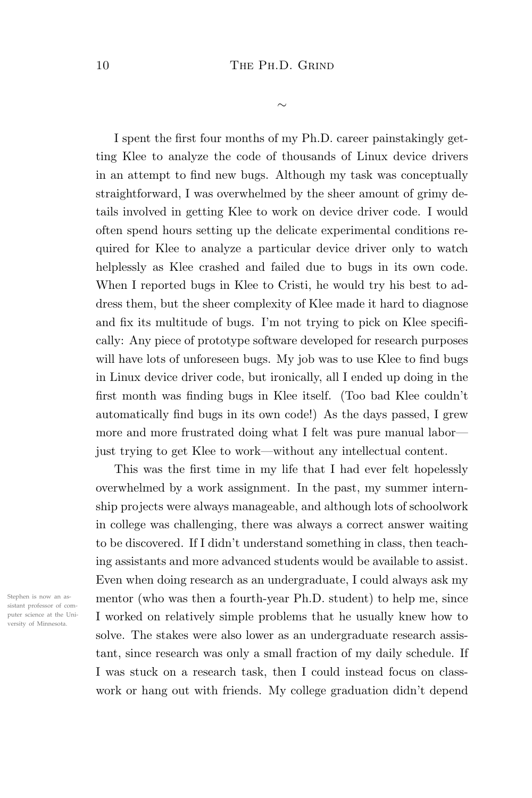$\sim$ 

I spent the first four months of my Ph.D. career painstakingly getting Klee to analyze the code of thousands of Linux device drivers in an attempt to find new bugs. Although my task was conceptually straightforward, I was overwhelmed by the sheer amount of grimy details involved in getting Klee to work on device driver code. I would often spend hours setting up the delicate experimental conditions required for Klee to analyze a particular device driver only to watch helplessly as Klee crashed and failed due to bugs in its own code. When I reported bugs in Klee to Cristi, he would try his best to address them, but the sheer complexity of Klee made it hard to diagnose and fix its multitude of bugs. I'm not trying to pick on Klee specifically: Any piece of prototype software developed for research purposes will have lots of unforeseen bugs. My job was to use Klee to find bugs in Linux device driver code, but ironically, all I ended up doing in the first month was finding bugs in Klee itself. (Too bad Klee couldn't automatically find bugs in its own code!) As the days passed, I grew more and more frustrated doing what I felt was pure manual labor just trying to get Klee to work—without any intellectual content.

This was the first time in my life that I had ever felt hopelessly overwhelmed by a work assignment. In the past, my summer internship projects were always manageable, and although lots of schoolwork in college was challenging, there was always a correct answer waiting to be discovered. If I didn't understand something in class, then teaching assistants and more advanced students would be available to assist. Even when doing research as an undergraduate, I could always ask my Stephen is now an as-<br>mentor (who was then a fourth-year Ph.D. student) to help me, since I worked on relatively simple problems that he usually knew how to solve. The stakes were also lower as an undergraduate research assistant, since research was only a small fraction of my daily schedule. If I was stuck on a research task, then I could instead focus on classwork or hang out with friends. My college graduation didn't depend

sistant professor of computer science at the University of Minnesota.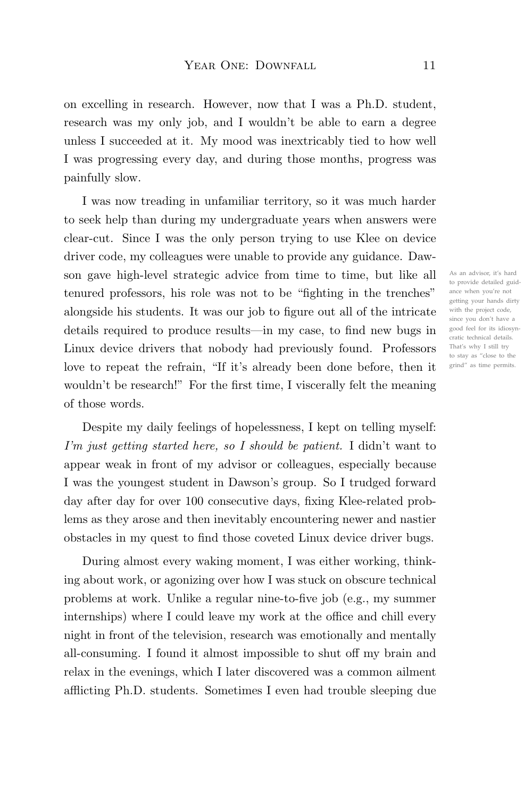on excelling in research. However, now that I was a Ph.D. student, research was my only job, and I wouldn't be able to earn a degree unless I succeeded at it. My mood was inextricably tied to how well I was progressing every day, and during those months, progress was painfully slow.

I was now treading in unfamiliar territory, so it was much harder to seek help than during my undergraduate years when answers were clear-cut. Since I was the only person trying to use Klee on device driver code, my colleagues were unable to provide any guidance. Dawson gave high-level strategic advice from time to time, but like all  $\lambda$ s an advisor, it's hard tenured professors, his role was not to be "fighting in the trenches" alongside his students. It was our job to figure out all of the intricate details required to produce results—in my case, to find new bugs in Linux device drivers that nobody had previously found. Professors love to repeat the refrain, "If it's already been done before, then it wouldn't be research!" For the first time, I viscerally felt the meaning of those words.

Despite my daily feelings of hopelessness, I kept on telling myself: *I'm just getting started here, so I should be patient.* I didn't want to appear weak in front of my advisor or colleagues, especially because I was the youngest student in Dawson's group. So I trudged forward day after day for over 100 consecutive days, fixing Klee-related problems as they arose and then inevitably encountering newer and nastier obstacles in my quest to find those coveted Linux device driver bugs.

During almost every waking moment, I was either working, thinking about work, or agonizing over how I was stuck on obscure technical problems at work. Unlike a regular nine-to-five job (e.g., my summer internships) where I could leave my work at the office and chill every night in front of the television, research was emotionally and mentally all-consuming. I found it almost impossible to shut off my brain and relax in the evenings, which I later discovered was a common ailment afflicting Ph.D. students. Sometimes I even had trouble sleeping due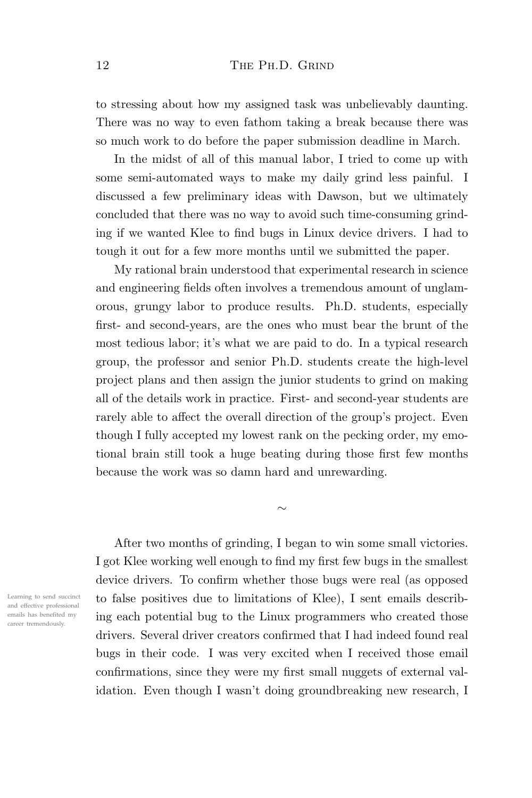to stressing about how my assigned task was unbelievably daunting. There was no way to even fathom taking a break because there was so much work to do before the paper submission deadline in March.

In the midst of all of this manual labor, I tried to come up with some semi-automated ways to make my daily grind less painful. I discussed a few preliminary ideas with Dawson, but we ultimately concluded that there was no way to avoid such time-consuming grinding if we wanted Klee to find bugs in Linux device drivers. I had to tough it out for a few more months until we submitted the paper.

My rational brain understood that experimental research in science and engineering fields often involves a tremendous amount of unglamorous, grungy labor to produce results. Ph.D. students, especially first- and second-years, are the ones who must bear the brunt of the most tedious labor; it's what we are paid to do. In a typical research group, the professor and senior Ph.D. students create the high-level project plans and then assign the junior students to grind on making all of the details work in practice. First- and second-year students are rarely able to affect the overall direction of the group's project. Even though I fully accepted my lowest rank on the pecking order, my emotional brain still took a huge beating during those first few months because the work was so damn hard and unrewarding.

and effective professional emails has benefited my

After two months of grinding, I began to win some small victories. I got Klee working well enough to find my first few bugs in the smallest device drivers. To confirm whether those bugs were real (as opposed Learning to send succinct to false positives due to limitations of Klee), I sent emails describemails has benefited my ing each potential bug to the Linux programmers who created those drivers. Several driver creators confirmed that I had indeed found real bugs in their code. I was very excited when I received those email confirmations, since they were my first small nuggets of external validation. Even though I wasn't doing groundbreaking new research, I

 $\sim$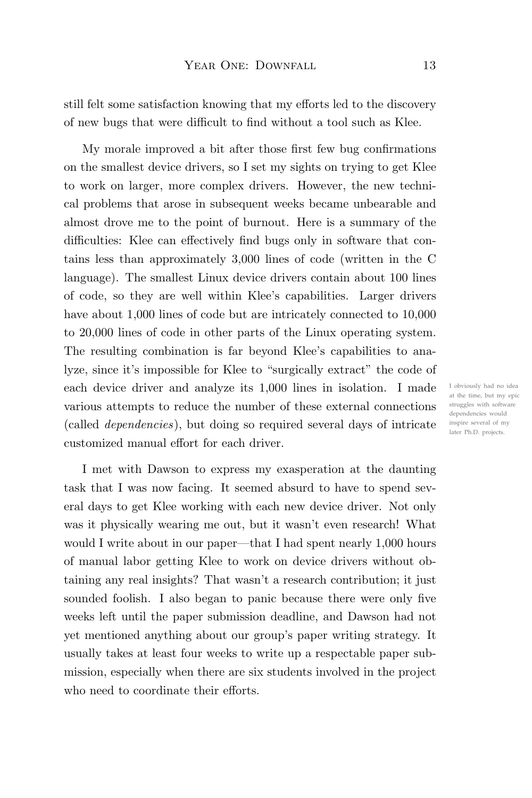still felt some satisfaction knowing that my efforts led to the discovery of new bugs that were difficult to find without a tool such as Klee.

My morale improved a bit after those first few bug confirmations on the smallest device drivers, so I set my sights on trying to get Klee to work on larger, more complex drivers. However, the new technical problems that arose in subsequent weeks became unbearable and almost drove me to the point of burnout. Here is a summary of the difficulties: Klee can effectively find bugs only in software that contains less than approximately 3,000 lines of code (written in the C language). The smallest Linux device drivers contain about 100 lines of code, so they are well within Klee's capabilities. Larger drivers have about 1,000 lines of code but are intricately connected to 10,000 to 20,000 lines of code in other parts of the Linux operating system. The resulting combination is far beyond Klee's capabilities to analyze, since it's impossible for Klee to "surgically extract" the code of each device driver and analyze its 1,000 lines in isolation. I made I obviously had no idea various attempts to reduce the number of these external connections (called *dependencies*), but doing so required several days of intricate customized manual effort for each driver.

at the time, but my epic struggles with software dependencies would inspire several of my later Ph.D. projects.

I met with Dawson to express my exasperation at the daunting task that I was now facing. It seemed absurd to have to spend several days to get Klee working with each new device driver. Not only was it physically wearing me out, but it wasn't even research! What would I write about in our paper—that I had spent nearly 1,000 hours of manual labor getting Klee to work on device drivers without obtaining any real insights? That wasn't a research contribution; it just sounded foolish. I also began to panic because there were only five weeks left until the paper submission deadline, and Dawson had not yet mentioned anything about our group's paper writing strategy. It usually takes at least four weeks to write up a respectable paper submission, especially when there are six students involved in the project who need to coordinate their efforts.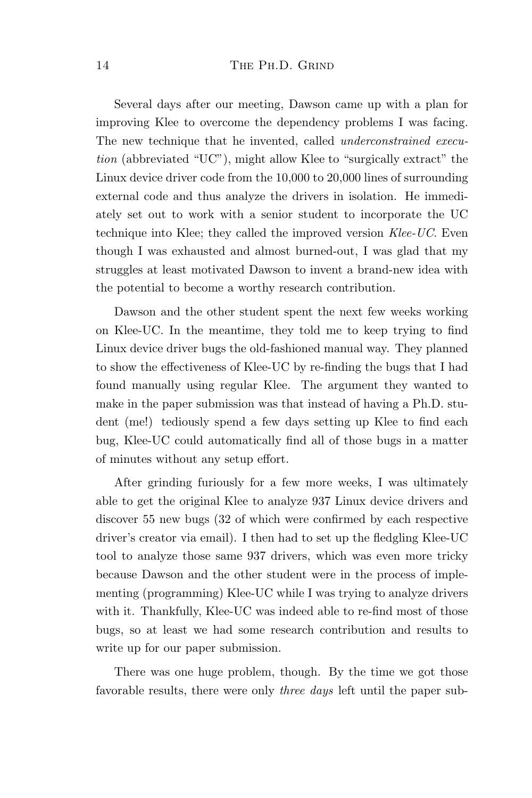#### 14 THE PH.D. GRIND

Several days after our meeting, Dawson came up with a plan for improving Klee to overcome the dependency problems I was facing. The new technique that he invented, called *underconstrained execution* (abbreviated "UC"), might allow Klee to "surgically extract" the Linux device driver code from the 10,000 to 20,000 lines of surrounding external code and thus analyze the drivers in isolation. He immediately set out to work with a senior student to incorporate the UC technique into Klee; they called the improved version *Klee-UC*. Even though I was exhausted and almost burned-out, I was glad that my struggles at least motivated Dawson to invent a brand-new idea with the potential to become a worthy research contribution.

Dawson and the other student spent the next few weeks working on Klee-UC. In the meantime, they told me to keep trying to find Linux device driver bugs the old-fashioned manual way. They planned to show the effectiveness of Klee-UC by re-finding the bugs that I had found manually using regular Klee. The argument they wanted to make in the paper submission was that instead of having a Ph.D. student (me!) tediously spend a few days setting up Klee to find each bug, Klee-UC could automatically find all of those bugs in a matter of minutes without any setup effort.

After grinding furiously for a few more weeks, I was ultimately able to get the original Klee to analyze 937 Linux device drivers and discover 55 new bugs (32 of which were confirmed by each respective driver's creator via email). I then had to set up the fledgling Klee-UC tool to analyze those same 937 drivers, which was even more tricky because Dawson and the other student were in the process of implementing (programming) Klee-UC while I was trying to analyze drivers with it. Thankfully, Klee-UC was indeed able to re-find most of those bugs, so at least we had some research contribution and results to write up for our paper submission.

There was one huge problem, though. By the time we got those favorable results, there were only *three days* left until the paper sub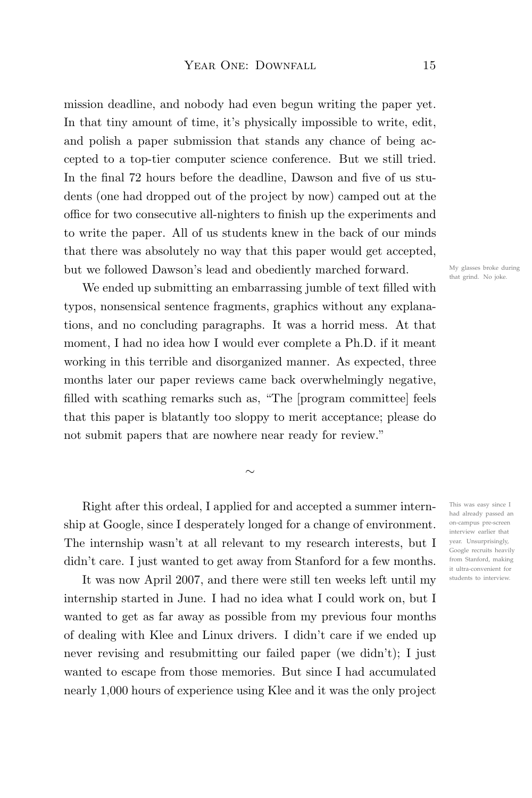mission deadline, and nobody had even begun writing the paper yet. In that tiny amount of time, it's physically impossible to write, edit, and polish a paper submission that stands any chance of being accepted to a top-tier computer science conference. But we still tried. In the final 72 hours before the deadline, Dawson and five of us students (one had dropped out of the project by now) camped out at the office for two consecutive all-nighters to finish up the experiments and to write the paper. All of us students knew in the back of our minds that there was absolutely no way that this paper would get accepted, but we followed Dawson's lead and obediently marched forward. My glasses broke during

We ended up submitting an embarrassing jumble of text filled with typos, nonsensical sentence fragments, graphics without any explanations, and no concluding paragraphs. It was a horrid mess. At that moment, I had no idea how I would ever complete a Ph.D. if it meant working in this terrible and disorganized manner. As expected, three months later our paper reviews came back overwhelmingly negative, filled with scathing remarks such as, "The [program committee] feels that this paper is blatantly too sloppy to merit acceptance; please do not submit papers that are nowhere near ready for review."

Right after this ordeal, I applied for and accepted a summer intern- This was easy since I ship at Google, since I desperately longed for a change of environment. The internship wasn't at all relevant to my research interests, but I didn't care. I just wanted to get away from Stanford for a few months.

 $\sim$ 

It was now April 2007, and there were still ten weeks left until my internship started in June. I had no idea what I could work on, but I wanted to get as far away as possible from my previous four months of dealing with Klee and Linux drivers. I didn't care if we ended up never revising and resubmitting our failed paper (we didn't); I just wanted to escape from those memories. But since I had accumulated nearly 1,000 hours of experience using Klee and it was the only project that grind. No joke.

had already passed an on-campus pre-screen interview earlier that year. Unsurprisingly, Google recruits heavily from Stanford, making it ultra-convenient for students to interview.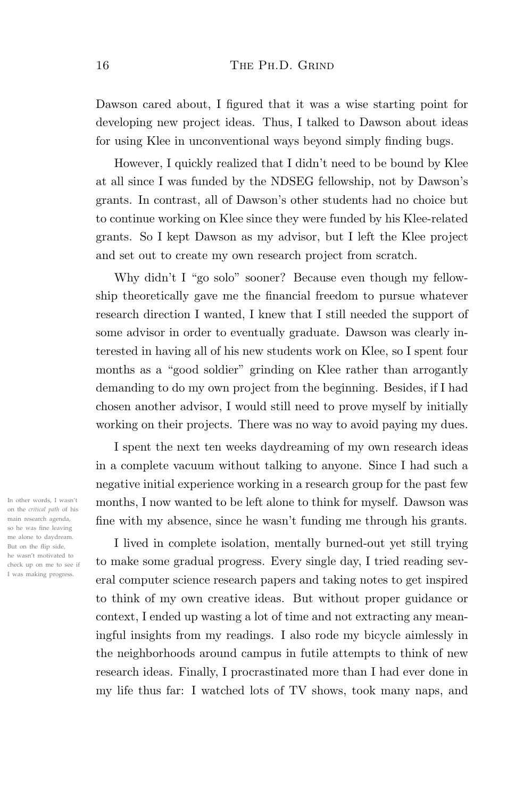Dawson cared about, I figured that it was a wise starting point for developing new project ideas. Thus, I talked to Dawson about ideas for using Klee in unconventional ways beyond simply finding bugs.

However, I quickly realized that I didn't need to be bound by Klee at all since I was funded by the NDSEG fellowship, not by Dawson's grants. In contrast, all of Dawson's other students had no choice but to continue working on Klee since they were funded by his Klee-related grants. So I kept Dawson as my advisor, but I left the Klee project and set out to create my own research project from scratch.

Why didn't I "go solo" sooner? Because even though my fellowship theoretically gave me the financial freedom to pursue whatever research direction I wanted, I knew that I still needed the support of some advisor in order to eventually graduate. Dawson was clearly interested in having all of his new students work on Klee, so I spent four months as a "good soldier" grinding on Klee rather than arrogantly demanding to do my own project from the beginning. Besides, if I had chosen another advisor, I would still need to prove myself by initially working on their projects. There was no way to avoid paying my dues.

I spent the next ten weeks daydreaming of my own research ideas in a complete vacuum without talking to anyone. Since I had such a negative initial experience working in a research group for the past few In other words, I wasn't months, I now wanted to be left alone to think for myself. Dawson was fine with my absence, since he wasn't funding me through his grants.

on the *critical path* of his main research agenda, so he was fine leaving me alone to daydream. But on the flip side, he wasn't motivated to check up on me to see if I was making progress.

I lived in complete isolation, mentally burned-out yet still trying to make some gradual progress. Every single day, I tried reading several computer science research papers and taking notes to get inspired to think of my own creative ideas. But without proper guidance or context, I ended up wasting a lot of time and not extracting any meaningful insights from my readings. I also rode my bicycle aimlessly in the neighborhoods around campus in futile attempts to think of new research ideas. Finally, I procrastinated more than I had ever done in my life thus far: I watched lots of TV shows, took many naps, and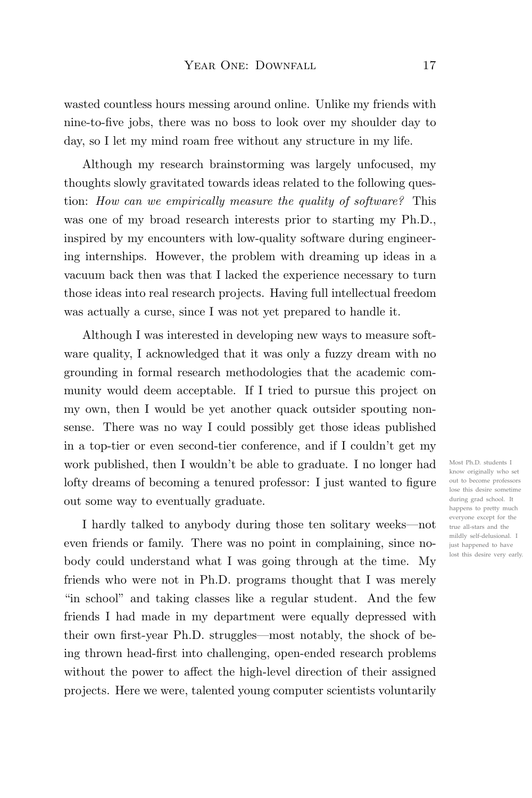wasted countless hours messing around online. Unlike my friends with nine-to-five jobs, there was no boss to look over my shoulder day to day, so I let my mind roam free without any structure in my life.

Although my research brainstorming was largely unfocused, my thoughts slowly gravitated towards ideas related to the following question: *How can we empirically measure the quality of software?* This was one of my broad research interests prior to starting my Ph.D., inspired by my encounters with low-quality software during engineering internships. However, the problem with dreaming up ideas in a vacuum back then was that I lacked the experience necessary to turn those ideas into real research projects. Having full intellectual freedom was actually a curse, since I was not yet prepared to handle it.

Although I was interested in developing new ways to measure software quality, I acknowledged that it was only a fuzzy dream with no grounding in formal research methodologies that the academic community would deem acceptable. If I tried to pursue this project on my own, then I would be yet another quack outsider spouting nonsense. There was no way I could possibly get those ideas published in a top-tier or even second-tier conference, and if I couldn't get my work published, then I wouldn't be able to graduate. I no longer had Most Ph.D. students I lofty dreams of becoming a tenured professor: I just wanted to figure out some way to eventually graduate.

I hardly talked to anybody during those ten solitary weeks—not even friends or family. There was no point in complaining, since nobody could understand what I was going through at the time. My friends who were not in Ph.D. programs thought that I was merely "in school" and taking classes like a regular student. And the few friends I had made in my department were equally depressed with their own first-year Ph.D. struggles—most notably, the shock of being thrown head-first into challenging, open-ended research problems without the power to affect the high-level direction of their assigned projects. Here we were, talented young computer scientists voluntarily

know originally who set out to become professors lose this desire sometime during grad school. It happens to pretty much everyone except for the true all-stars and the mildly self-delusional. I just happened to have lost this desire very early.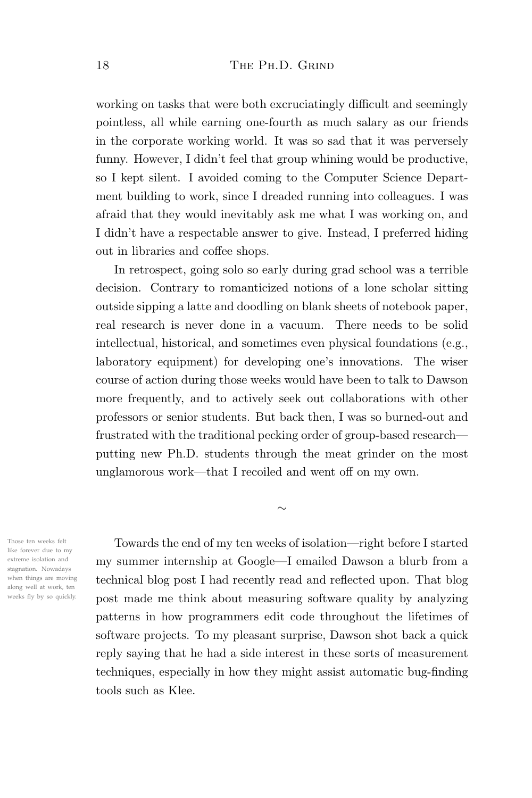working on tasks that were both excruciatingly difficult and seemingly pointless, all while earning one-fourth as much salary as our friends in the corporate working world. It was so sad that it was perversely funny. However, I didn't feel that group whining would be productive, so I kept silent. I avoided coming to the Computer Science Department building to work, since I dreaded running into colleagues. I was afraid that they would inevitably ask me what I was working on, and I didn't have a respectable answer to give. Instead, I preferred hiding out in libraries and coffee shops.

In retrospect, going solo so early during grad school was a terrible decision. Contrary to romanticized notions of a lone scholar sitting outside sipping a latte and doodling on blank sheets of notebook paper, real research is never done in a vacuum. There needs to be solid intellectual, historical, and sometimes even physical foundations (e.g., laboratory equipment) for developing one's innovations. The wiser course of action during those weeks would have been to talk to Dawson more frequently, and to actively seek out collaborations with other professors or senior students. But back then, I was so burned-out and frustrated with the traditional pecking order of group-based research putting new Ph.D. students through the meat grinder on the most unglamorous work—that I recoiled and went off on my own.

like forever due to my extreme isolation and stagnation. Nowadays when things are moving along well at work, ten weeks fly by so quickly.

Those ten weeks felt **Those is a Towards** the end of my ten weeks of isolation—right before I started my summer internship at Google—I emailed Dawson a blurb from a technical blog post I had recently read and reflected upon. That blog post made me think about measuring software quality by analyzing patterns in how programmers edit code throughout the lifetimes of software projects. To my pleasant surprise, Dawson shot back a quick reply saying that he had a side interest in these sorts of measurement techniques, especially in how they might assist automatic bug-finding tools such as Klee.

 $\sim$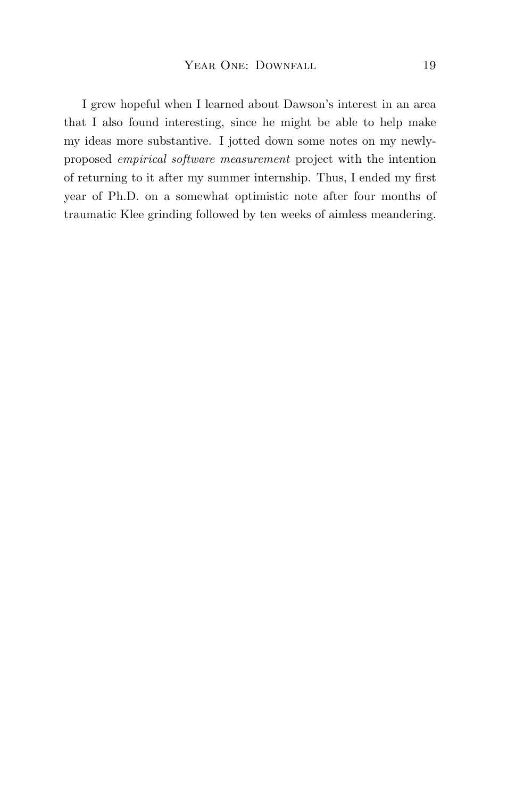I grew hopeful when I learned about Dawson's interest in an area that I also found interesting, since he might be able to help make my ideas more substantive. I jotted down some notes on my newlyproposed *empirical software measurement* project with the intention of returning to it after my summer internship. Thus, I ended my first year of Ph.D. on a somewhat optimistic note after four months of traumatic Klee grinding followed by ten weeks of aimless meandering.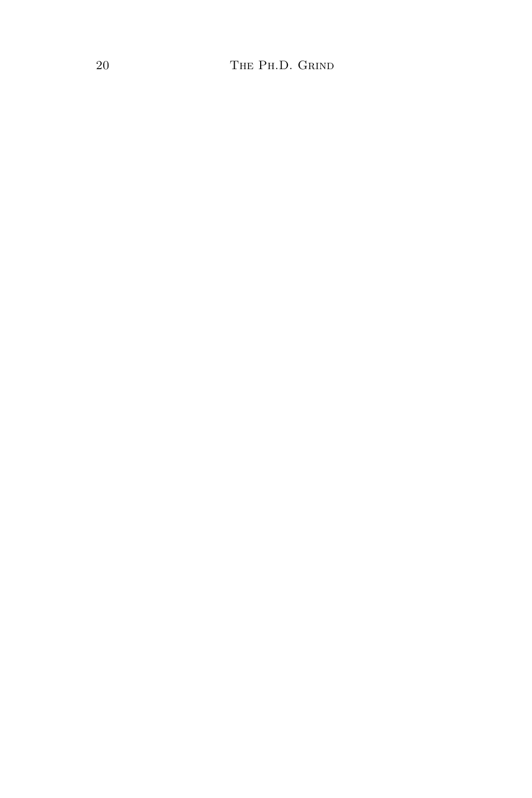20 THE PH.D. GRIND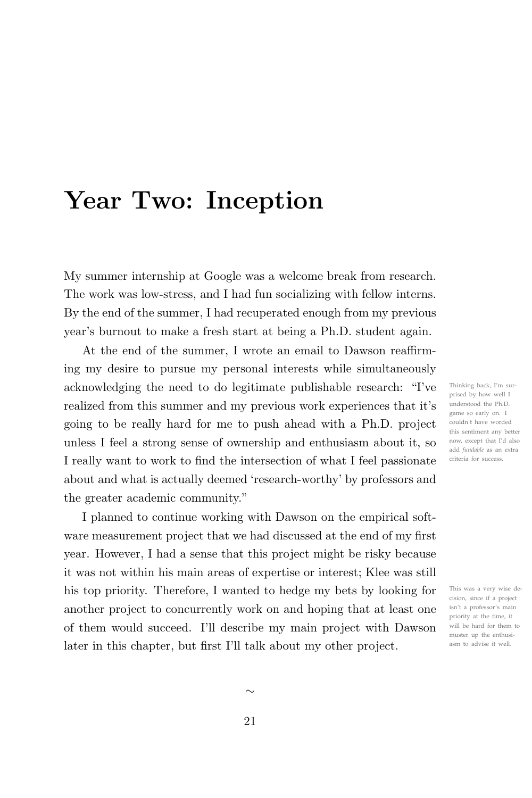#### <span id="page-28-0"></span>Year Two: Inception

My summer internship at Google was a welcome break from research. The work was low-stress, and I had fun socializing with fellow interns. By the end of the summer, I had recuperated enough from my previous year's burnout to make a fresh start at being a Ph.D. student again.

At the end of the summer, I wrote an email to Dawson reaffirming my desire to pursue my personal interests while simultaneously acknowledging the need to do legitimate publishable research: "I've Thinking back, I'm surrealized from this summer and my previous work experiences that it's going to be really hard for me to push ahead with a Ph.D. project unless I feel a strong sense of ownership and enthusiasm about it, so I really want to work to find the intersection of what I feel passionate about and what is actually deemed 'research-worthy' by professors and the greater academic community."

I planned to continue working with Dawson on the empirical software measurement project that we had discussed at the end of my first year. However, I had a sense that this project might be risky because it was not within his main areas of expertise or interest; Klee was still his top priority. Therefore, I wanted to hedge my bets by looking for This was a very wise deanother project to concurrently work on and hoping that at least one of them would succeed. I'll describe my main project with Dawson later in this chapter, but first I'll talk about my other project.

prised by how well I understood the Ph.D. game so early on. I couldn't have worded this sentiment any better now, except that I'd also add *fundable* as an extra criteria for success.

cision, since if a project isn't a professor's main priority at the time, it will be hard for them to muster up the enthusiasm to advise it well.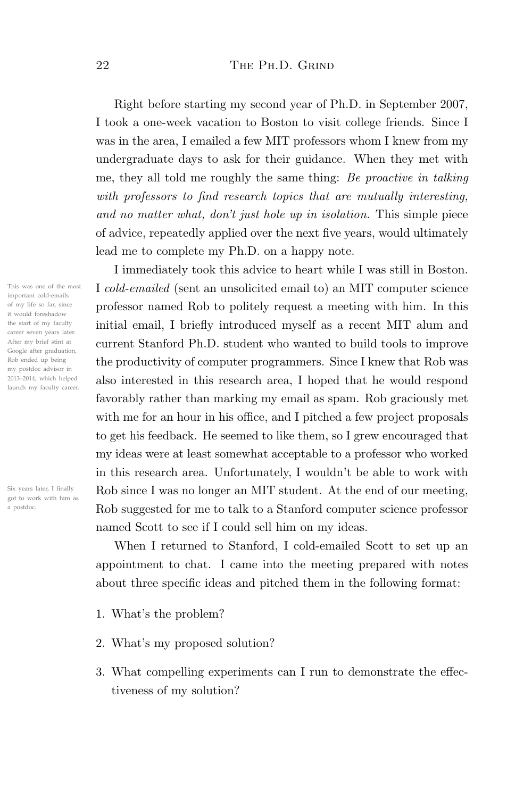Right before starting my second year of Ph.D. in September 2007, I took a one-week vacation to Boston to visit college friends. Since I was in the area, I emailed a few MIT professors whom I knew from my undergraduate days to ask for their guidance. When they met with me, they all told me roughly the same thing: *Be proactive in talking with professors to find research topics that are mutually interesting, and no matter what, don't just hole up in isolation.* This simple piece of advice, repeatedly applied over the next five years, would ultimately lead me to complete my Ph.D. on a happy note.

important cold-emails of my life so far, since it would foreshadow the start of my faculty career seven years later. After my brief stint at Google after graduation, Rob ended up being my postdoc advisor in 2013–2014, which helped launch my faculty career.

got to work with him as

I immediately took this advice to heart while I was still in Boston. This was one of the most I cold-emailed (sent an unsolicited email to) an MIT computer science professor named Rob to politely request a meeting with him. In this initial email, I briefly introduced myself as a recent MIT alum and current Stanford Ph.D. student who wanted to build tools to improve the productivity of computer programmers. Since I knew that Rob was also interested in this research area, I hoped that he would respond favorably rather than marking my email as spam. Rob graciously met with me for an hour in his office, and I pitched a few project proposals to get his feedback. He seemed to like them, so I grew encouraged that my ideas were at least somewhat acceptable to a professor who worked in this research area. Unfortunately, I wouldn't be able to work with  $Six$  years later, I finally Rob since I was no longer an MIT student. At the end of our meeting, a postdoc. Rob suggested for me to talk to a Stanford computer science professor named Scott to see if I could sell him on my ideas.

> When I returned to Stanford, I cold-emailed Scott to set up an appointment to chat. I came into the meeting prepared with notes about three specific ideas and pitched them in the following format:

- 1. What's the problem?
- 2. What's my proposed solution?
- 3. What compelling experiments can I run to demonstrate the effectiveness of my solution?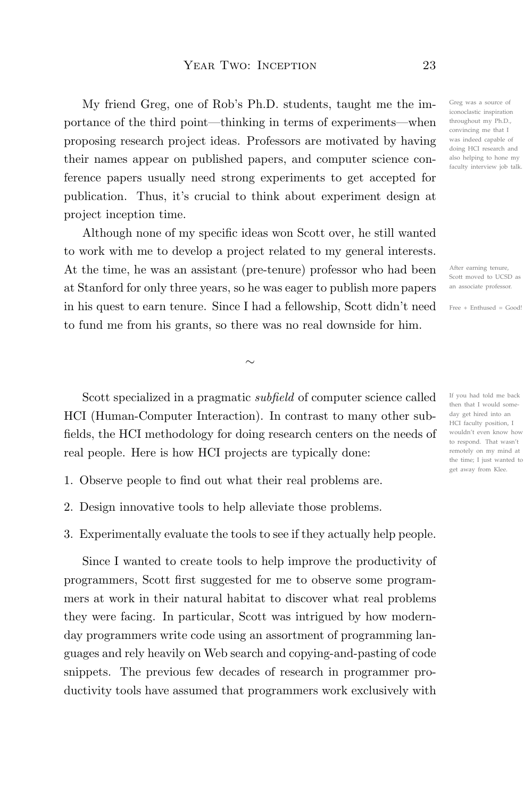My friend Greg, one of Rob's Ph.D. students, taught me the im- Greg was a source of portance of the third point—thinking in terms of experiments—when proposing research project ideas. Professors are motivated by having their names appear on published papers, and computer science conference papers usually need strong experiments to get accepted for publication. Thus, it's crucial to think about experiment design at project inception time.

Although none of my specific ideas won Scott over, he still wanted to work with me to develop a project related to my general interests. At the time, he was an assistant (pre-tenure) professor who had been  $A$  After earning tenure, at Stanford for only three years, so he was eager to publish more papers an associate professor. in his quest to earn tenure. Since I had a fellowship, Scott didn't need Free + Enthused = Good! to fund me from his grants, so there was no real downside for him.

Scott specialized in a pragmatic *subfield* of computer science called If you had told me back HCI (Human-Computer Interaction). In contrast to many other subfields, the HCI methodology for doing research centers on the needs of real people. Here is how HCI projects are typically done:

 $\sim$ 

- 1. Observe people to find out what their real problems are.
- 2. Design innovative tools to help alleviate those problems.
- 3. Experimentally evaluate the tools to see if they actually help people.

Since I wanted to create tools to help improve the productivity of programmers, Scott first suggested for me to observe some programmers at work in their natural habitat to discover what real problems they were facing. In particular, Scott was intrigued by how modernday programmers write code using an assortment of programming languages and rely heavily on Web search and copying-and-pasting of code snippets. The previous few decades of research in programmer productivity tools have assumed that programmers work exclusively with

Scott moved to UCSD as

then that I would someday get hired into an HCI faculty position, I wouldn't even know how to respond. That wasn't remotely on my mind at the time; I just wanted to get away from Klee.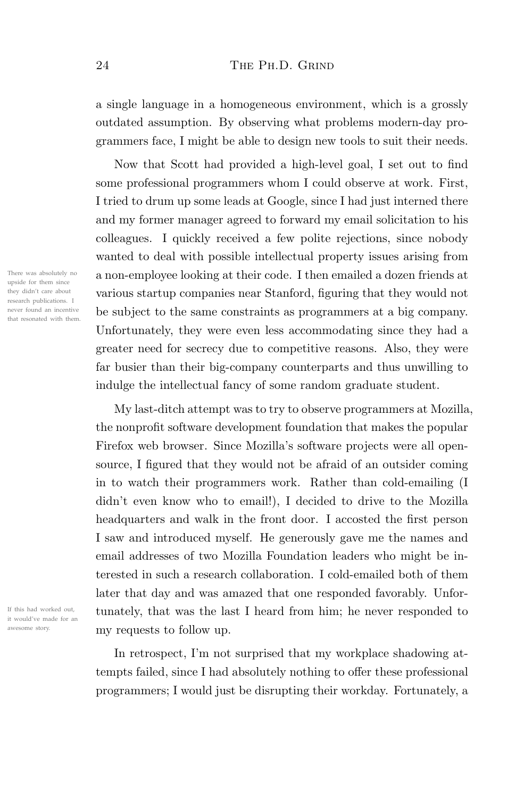a single language in a homogeneous environment, which is a grossly outdated assumption. By observing what problems modern-day programmers face, I might be able to design new tools to suit their needs.

Now that Scott had provided a high-level goal, I set out to find some professional programmers whom I could observe at work. First, I tried to drum up some leads at Google, since I had just interned there and my former manager agreed to forward my email solicitation to his colleagues. I quickly received a few polite rejections, since nobody wanted to deal with possible intellectual property issues arising from There was absolutely no  $a$  non-employee looking at their code. I then emailed a dozen friends at various startup companies near Stanford, figuring that they would not be subject to the same constraints as programmers at a big company. Unfortunately, they were even less accommodating since they had a greater need for secrecy due to competitive reasons. Also, they were far busier than their big-company counterparts and thus unwilling to indulge the intellectual fancy of some random graduate student.

My last-ditch attempt was to try to observe programmers at Mozilla, the nonprofit software development foundation that makes the popular Firefox web browser. Since Mozilla's software projects were all opensource, I figured that they would not be afraid of an outsider coming in to watch their programmers work. Rather than cold-emailing (I didn't even know who to email!), I decided to drive to the Mozilla headquarters and walk in the front door. I accosted the first person I saw and introduced myself. He generously gave me the names and email addresses of two Mozilla Foundation leaders who might be interested in such a research collaboration. I cold-emailed both of them later that day and was amazed that one responded favorably. Unfor-If this had worked out, tunately, that was the last I heard from him; he never responded to awesome story. **my requests to follow up.** 

> In retrospect, I'm not surprised that my workplace shadowing attempts failed, since I had absolutely nothing to offer these professional programmers; I would just be disrupting their workday. Fortunately, a

upside for them since they didn't care about research publications. I never found an incentive that resonated with them.

it would've made for an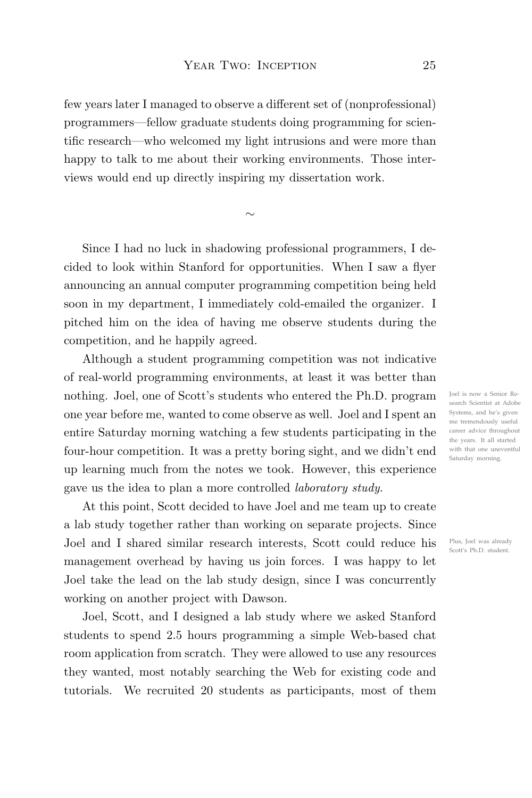few years later I managed to observe a different set of (nonprofessional) programmers—fellow graduate students doing programming for scientific research—who welcomed my light intrusions and were more than happy to talk to me about their working environments. Those interviews would end up directly inspiring my dissertation work.

 $\sim$ 

Since I had no luck in shadowing professional programmers, I decided to look within Stanford for opportunities. When I saw a flyer announcing an annual computer programming competition being held soon in my department, I immediately cold-emailed the organizer. I pitched him on the idea of having me observe students during the competition, and he happily agreed.

Although a student programming competition was not indicative of real-world programming environments, at least it was better than nothing. Joel, one of Scott's students who entered the Ph.D. program Joel is now a Senior Reone year before me, wanted to come observe as well. Joel and I spent an entire Saturday morning watching a few students participating in the four-hour competition. It was a pretty boring sight, and we didn't end up learning much from the notes we took. However, this experience gave us the idea to plan a more controlled *laboratory study*.

At this point, Scott decided to have Joel and me team up to create a lab study together rather than working on separate projects. Since Joel and I shared similar research interests, Scott could reduce his Plus, Joel was already management overhead by having us join forces. I was happy to let Joel take the lead on the lab study design, since I was concurrently working on another project with Dawson.

Joel, Scott, and I designed a lab study where we asked Stanford students to spend 2.5 hours programming a simple Web-based chat room application from scratch. They were allowed to use any resources they wanted, most notably searching the Web for existing code and tutorials. We recruited 20 students as participants, most of them

search Scientist at Adobe Systems, and he's given me tremendously useful career advice throughout the years. It all started with that one uneventful Saturday morning.

Scott's Ph.D. student.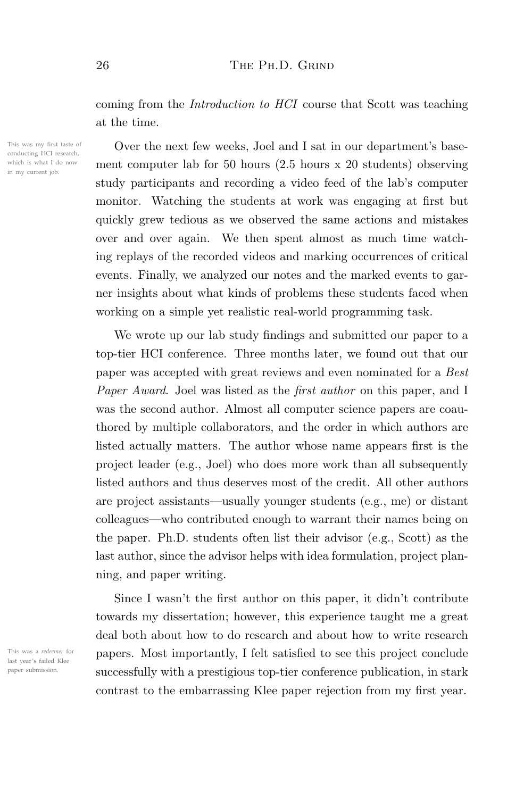coming from the *Introduction to HCI* course that Scott was teaching at the time.

conducting HCI research, which is what I do now

This was my first taste of **Over the next few weeks**, Joel and I sat in our department's basewhich is what I do now ment computer lab for 50 hours  $(2.5$  hours x 20 students) observing study participants and recording a video feed of the lab's computer monitor. Watching the students at work was engaging at first but quickly grew tedious as we observed the same actions and mistakes over and over again. We then spent almost as much time watching replays of the recorded videos and marking occurrences of critical events. Finally, we analyzed our notes and the marked events to garner insights about what kinds of problems these students faced when working on a simple yet realistic real-world programming task.

> We wrote up our lab study findings and submitted our paper to a top-tier HCI conference. Three months later, we found out that [our](http://www.pgbovine.net/projects/pubs/brandt_chi09_webuse.pdf) [paper](http://www.pgbovine.net/projects/pubs/brandt_chi09_webuse.pdf) was accepted with great reviews and even nominated for a *Best Paper Award*. Joel was listed as the *first author* on this paper, and I was the second author. Almost all computer science papers are coauthored by multiple collaborators, and the order in which authors are listed actually matters. The author whose name appears first is the project leader (e.g., Joel) who does more work than all subsequently listed authors and thus deserves most of the credit. All other authors are project assistants—usually younger students (e.g., me) or distant colleagues—who contributed enough to warrant their names being on the paper. Ph.D. students often list their advisor (e.g., Scott) as the last author, since the advisor helps with idea formulation, project planning, and paper writing.

Since I wasn't the first author on this paper, it didn't contribute towards my dissertation; however, this experience taught me a great deal both about how to do research and about how to write research This was a *redeemer* for **papers.** Most importantly, I felt satisfied to see this project conclude paper submission. Successfully with a prestigious top-tier conference publication, in stark contrast to the embarrassing Klee paper rejection from my first year.

last year's failed Klee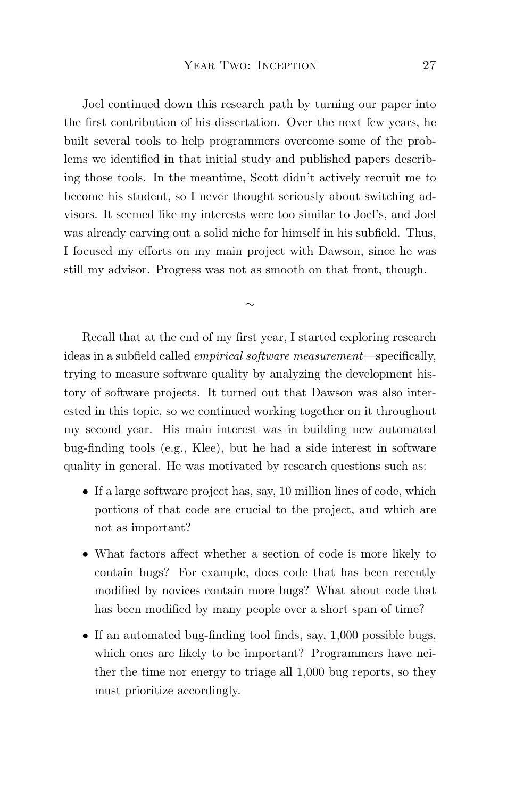Joel continued down this research path by turning our paper into the first contribution of his dissertation. Over the next few years, he built several tools to help programmers overcome some of the problems we identified in that initial study and published papers describing those tools. In the meantime, Scott didn't actively recruit me to become his student, so I never thought seriously about switching advisors. It seemed like my interests were too similar to Joel's, and Joel was already carving out a solid niche for himself in his subfield. Thus, I focused my efforts on my main project with Dawson, since he was still my advisor. Progress was not as smooth on that front, though.

 $\sim$ 

Recall that at the end of my first year, I started exploring research ideas in a subfield called *empirical software measurement*—specifically, trying to measure software quality by analyzing the development history of software projects. It turned out that Dawson was also interested in this topic, so we continued working together on it throughout my second year. His main interest was in building new automated bug-finding tools (e.g., Klee), but he had a side interest in software quality in general. He was motivated by research questions such as:

- If a large software project has, say, 10 million lines of code, which portions of that code are crucial to the project, and which are not as important?
- What factors affect whether a section of code is more likely to contain bugs? For example, does code that has been recently modified by novices contain more bugs? What about code that has been modified by many people over a short span of time?
- If an automated bug-finding tool finds, say, 1,000 possible bugs, which ones are likely to be important? Programmers have neither the time nor energy to triage all 1,000 bug reports, so they must prioritize accordingly.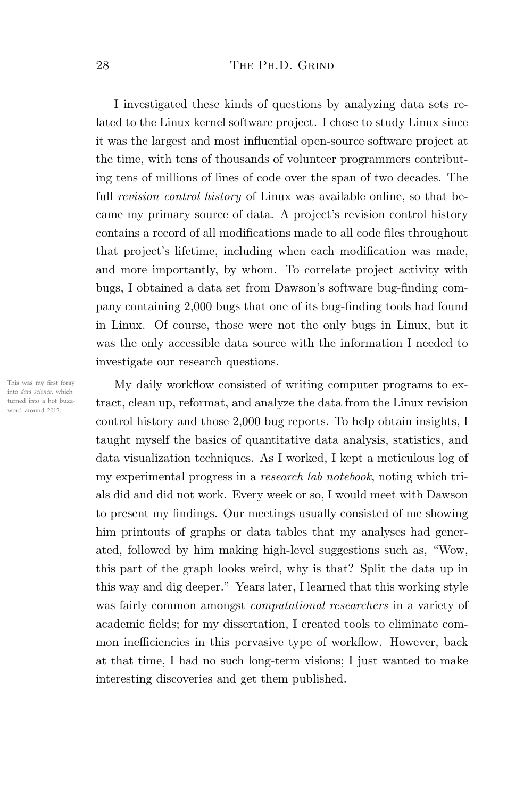#### 28 THE PH.D. GRIND

I investigated these kinds of questions by analyzing data sets related to the Linux kernel software project. I chose to study Linux since it was the largest and most influential open-source software project at the time, with tens of thousands of volunteer programmers contributing tens of millions of lines of code over the span of two decades. The full *revision control history* of Linux was available online, so that became my primary source of data. A project's revision control history contains a record of all modifications made to all code files throughout that project's lifetime, including when each modification was made, and more importantly, by whom. To correlate project activity with bugs, I obtained a data set from Dawson's software bug-finding company containing 2,000 bugs that one of its bug-finding tools had found in Linux. Of course, those were not the only bugs in Linux, but it was the only accessible data source with the information I needed to investigate our research questions.

into *data science*, which turned into a hot buzzword around 2012.

This was my first foray My daily workflow consisted of writing computer programs to ex tract, clean up, reformat, and analyze the data from the Linux revision control history and those 2,000 bug reports. To help obtain insights, I taught myself the basics of quantitative data analysis, statistics, and data visualization techniques. As I worked, I kept a meticulous log of my experimental progress in a *research lab notebook*, noting which trials did and did not work. Every week or so, I would meet with Dawson to present my findings. Our meetings usually consisted of me showing him printouts of graphs or data tables that my analyses had generated, followed by him making high-level suggestions such as, "Wow, this part of the graph looks weird, why is that? Split the data up in this way and dig deeper." Years later, I learned that this working style was fairly common amongst *computational researchers* in a variety of academic fields; for my dissertation, I created tools to eliminate common inefficiencies in this pervasive type of workflow. However, back at that time, I had no such long-term visions; I just wanted to make interesting discoveries and get them published.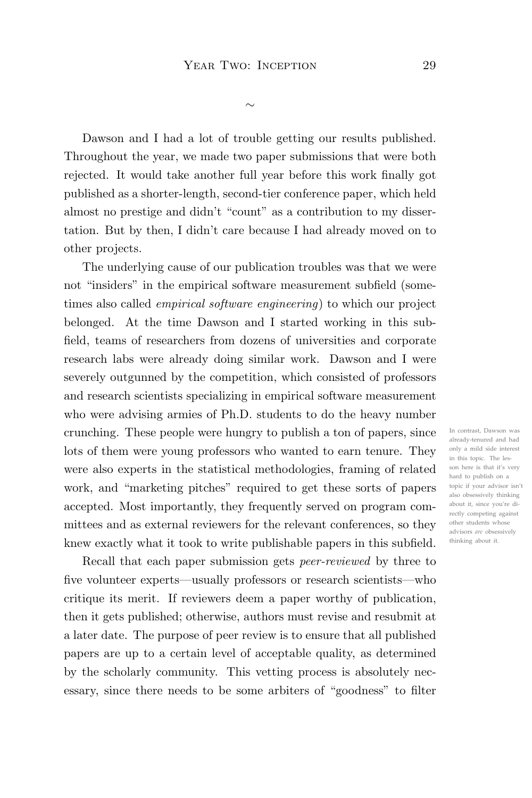$\sim$ 

Dawson and I had a lot of trouble getting our results published. Throughout the year, we made two paper submissions that were both rejected. It would take another full year before this work finally got published as a [shorter-length, second-tier conference paper,](http://www.pgbovine.net/projects/pubs/guo_usenix09_camera_ready.pdf) which held almost no prestige and didn't "count" as a contribution to my dissertation. But by then, I didn't care because I had already moved on to other projects.

The underlying cause of our publication troubles was that we were not "insiders" in the empirical software measurement subfield (sometimes also called *empirical software engineering*) to which our project belonged. At the time Dawson and I started working in this subfield, teams of researchers from dozens of universities and corporate research labs were already doing similar work. Dawson and I were severely outgunned by the competition, which consisted of professors and research scientists specializing in empirical software measurement who were advising armies of Ph.D. students to do the heavy number crunching. These people were hungry to publish a ton of papers, since In contrast, Dawson was lots of them were young professors who wanted to earn tenure. They were also experts in the statistical methodologies, framing of related work, and "marketing pitches" required to get these sorts of papers accepted. Most importantly, they frequently served on program committees and as external reviewers for the relevant conferences, so they knew exactly what it took to write publishable papers in this subfield.

Recall that each paper submission gets *peer-reviewed* by three to five volunteer experts—usually professors or research scientists—who critique its merit. If reviewers deem a paper worthy of publication, then it gets published; otherwise, authors must revise and resubmit at a later date. The purpose of peer review is to ensure that all published papers are up to a certain level of acceptable quality, as determined by the scholarly community. This vetting process is absolutely necessary, since there needs to be some arbiters of "goodness" to filter already-tenured and had only a mild side interest in this topic. The lesson here is that it's very hard to publish on a topic if your advisor isn't also obsessively thinking about it, since you're directly competing against other students whose advisors *are* obsessively thinking about it.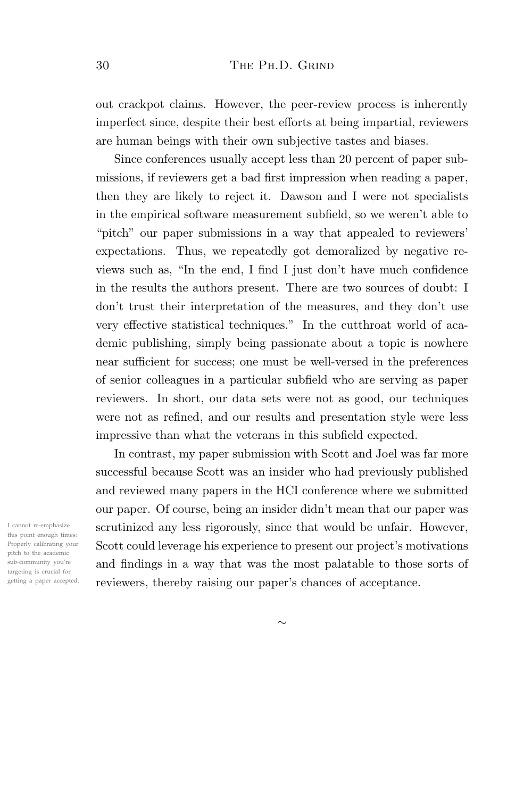out crackpot claims. However, the peer-review process is inherently imperfect since, despite their best efforts at being impartial, reviewers are human beings with their own subjective tastes and biases.

Since conferences usually accept less than 20 percent of paper submissions, if reviewers get a bad first impression when reading a paper, then they are likely to reject it. Dawson and I were not specialists in the empirical software measurement subfield, so we weren't able to "pitch" our paper submissions in a way that appealed to reviewers' expectations. Thus, we repeatedly got demoralized by negative reviews such as, "In the end, I find I just don't have much confidence in the results the authors present. There are two sources of doubt: I don't trust their interpretation of the measures, and they don't use very effective statistical techniques." In the cutthroat world of academic publishing, simply being passionate about a topic is nowhere near sufficient for success; one must be well-versed in the preferences of senior colleagues in a particular subfield who are serving as paper reviewers. In short, our data sets were not as good, our techniques were not as refined, and our results and presentation style were less impressive than what the veterans in this subfield expected.

In contrast, my paper submission with Scott and Joel was far more successful because Scott was an insider who had previously published and reviewed many papers in the HCI conference where we submitted our paper. Of course, being an insider didn't mean that our paper was I cannot re-emphasize scruttinized any less rigorously, since that would be unfair. However, Scott could leverage his experience to present our project's motivations and findings in a way that was the most palatable to those sorts of reviewers, thereby raising our paper's chances of acceptance.

this point enough times: Properly calibrating your pitch to the academic sub-community you're targeting is crucial for getting a paper accepted.

 $\sim$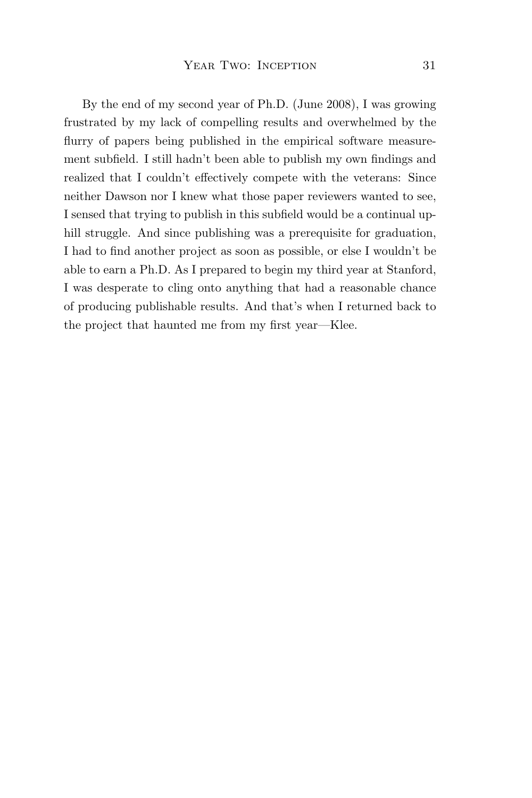By the end of my second year of Ph.D. (June 2008), I was growing frustrated by my lack of compelling results and overwhelmed by the flurry of papers being published in the empirical software measurement subfield. I still hadn't been able to publish my own findings and realized that I couldn't effectively compete with the veterans: Since neither Dawson nor I knew what those paper reviewers wanted to see, I sensed that trying to publish in this subfield would be a continual uphill struggle. And since publishing was a prerequisite for graduation, I had to find another project as soon as possible, or else I wouldn't be able to earn a Ph.D. As I prepared to begin my third year at Stanford, I was desperate to cling onto anything that had a reasonable chance of producing publishable results. And that's when I returned back to the project that haunted me from my first year—Klee.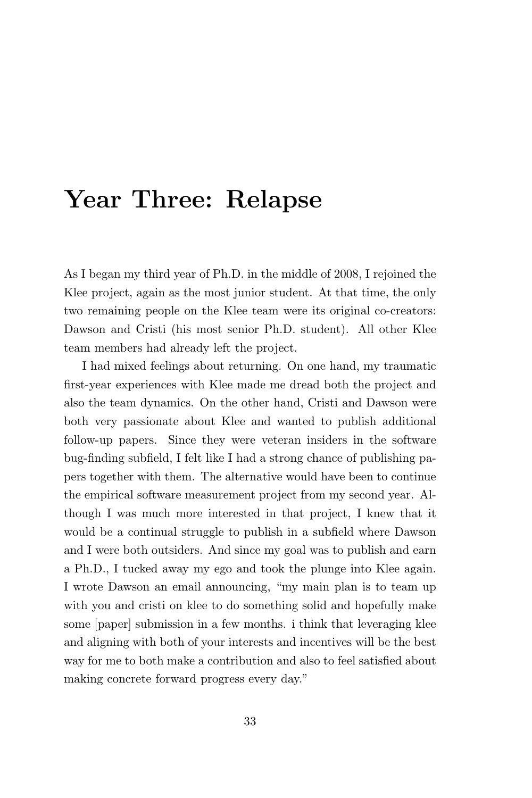# Year Three: Relapse

As I began my third year of Ph.D. in the middle of 2008, I rejoined the Klee project, again as the most junior student. At that time, the only two remaining people on the Klee team were its original co-creators: Dawson and Cristi (his most senior Ph.D. student). All other Klee team members had already left the project.

I had mixed feelings about returning. On one hand, my traumatic first-year experiences with Klee made me dread both the project and also the team dynamics. On the other hand, Cristi and Dawson were both very passionate about Klee and wanted to publish additional follow-up papers. Since they were veteran insiders in the software bug-finding subfield, I felt like I had a strong chance of publishing papers together with them. The alternative would have been to continue the empirical software measurement project from my second year. Although I was much more interested in that project, I knew that it would be a continual struggle to publish in a subfield where Dawson and I were both outsiders. And since my goal was to publish and earn a Ph.D., I tucked away my ego and took the plunge into Klee again. I wrote Dawson an email announcing, "my main plan is to team up with you and cristi on klee to do something solid and hopefully make some [paper] submission in a few months. i think that leveraging klee and aligning with both of your interests and incentives will be the best way for me to both make a contribution and also to feel satisfied about making concrete forward progress every day."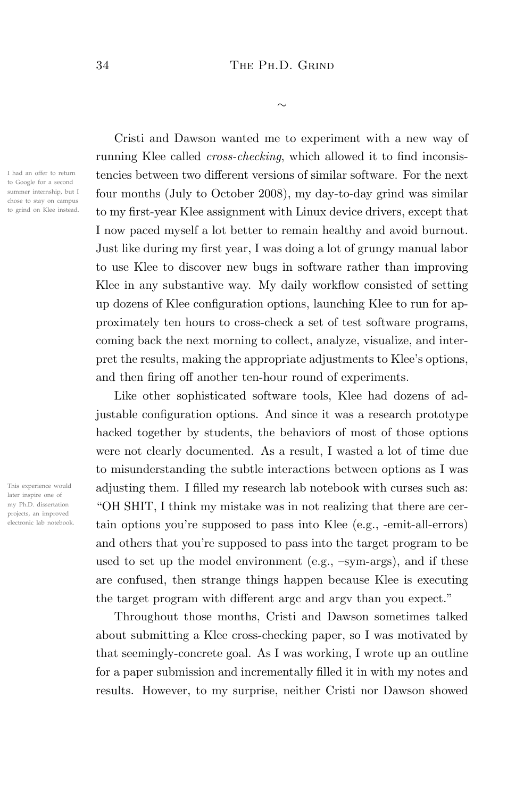$\sim$ 

to Google for a second summer internship, but I chose to stay on campus to grind on Klee instead.

Cristi and Dawson wanted me to experiment with a new way of running Klee called *cross-checking*, which allowed it to find inconsis-I had an offer to return **tencies between two different versions of similar software.** For the next four months (July to October 2008), my day-to-day grind was similar to my first-year Klee assignment with Linux device drivers, except that I now paced myself a lot better to remain healthy and avoid burnout. Just like during my first year, I was doing a lot of grungy manual labor to use Klee to discover new bugs in software rather than improving Klee in any substantive way. My daily workflow consisted of setting up dozens of Klee configuration options, launching Klee to run for approximately ten hours to cross-check a set of test software programs, coming back the next morning to collect, analyze, visualize, and interpret the results, making the appropriate adjustments to Klee's options, and then firing off another ten-hour round of experiments.

Like other sophisticated software tools, Klee had dozens of adjustable configuration options. And since it was a research prototype hacked together by students, the behaviors of most of those options were not clearly documented. As a result, I wasted a lot of time due to misunderstanding the subtle interactions between options as I was This experience would adjusting them. I filled my research lab notebook with curses such as: "OH SHIT, I think my mistake was in not realizing that there are certain options you're supposed to pass into Klee (e.g., -emit-all-errors) and others that you're supposed to pass into the target program to be used to set up the model environment (e.g., –sym-args), and if these are confused, then strange things happen because Klee is executing the target program with different argc and argy than you expect."

> Throughout those months, Cristi and Dawson sometimes talked about submitting a Klee cross-checking paper, so I was motivated by that seemingly-concrete goal. As I was working, I wrote up an outline for a paper submission and incrementally filled it in with my notes and results. However, to my surprise, neither Cristi nor Dawson showed

later inspire one of my Ph.D. dissertation projects, an improved electronic lab notebook.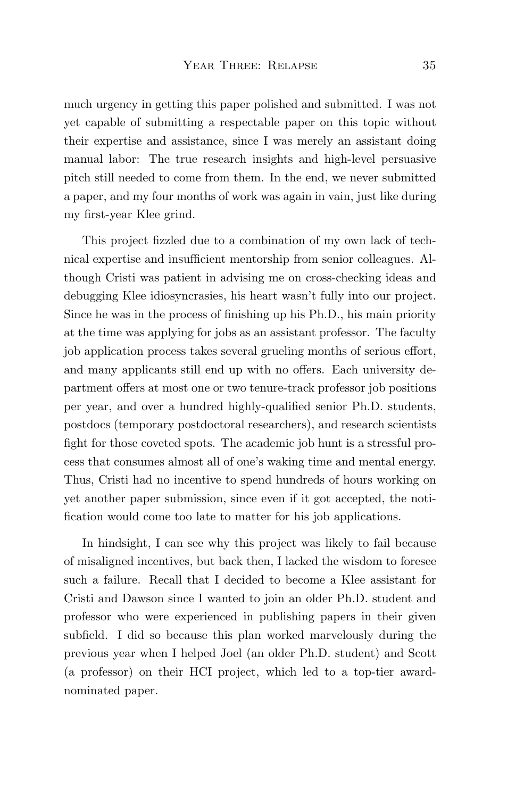much urgency in getting this paper polished and submitted. I was not yet capable of submitting a respectable paper on this topic without their expertise and assistance, since I was merely an assistant doing manual labor: The true research insights and high-level persuasive pitch still needed to come from them. In the end, we never submitted a paper, and my four months of work was again in vain, just like during my first-year Klee grind.

This project fizzled due to a combination of my own lack of technical expertise and insufficient mentorship from senior colleagues. Although Cristi was patient in advising me on cross-checking ideas and debugging Klee idiosyncrasies, his heart wasn't fully into our project. Since he was in the process of finishing up his Ph.D., his main priority at the time was applying for jobs as an assistant professor. The faculty job application process takes several grueling months of serious effort, and many applicants still end up with no offers. Each university department offers at most one or two tenure-track professor job positions per year, and over a hundred highly-qualified senior Ph.D. students, postdocs (temporary postdoctoral researchers), and research scientists fight for those coveted spots. The academic job hunt is a stressful process that consumes almost all of one's waking time and mental energy. Thus, Cristi had no incentive to spend hundreds of hours working on yet another paper submission, since even if it got accepted, the notification would come too late to matter for his job applications.

In hindsight, I can see why this project was likely to fail because of misaligned incentives, but back then, I lacked the wisdom to foresee such a failure. Recall that I decided to become a Klee assistant for Cristi and Dawson since I wanted to join an older Ph.D. student and professor who were experienced in publishing papers in their given subfield. I did so because this plan worked marvelously during the previous year when I helped Joel (an older Ph.D. student) and Scott (a professor) on their HCI project, which led to a top-tier awardnominated paper.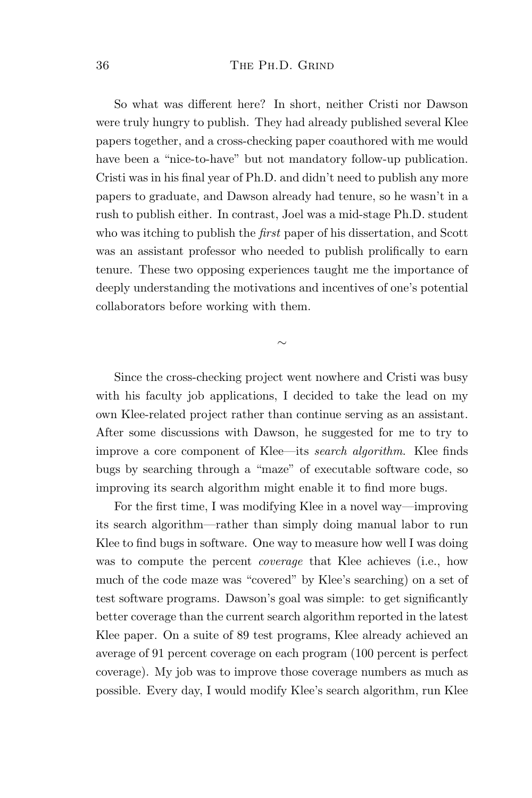So what was different here? In short, neither Cristi nor Dawson were truly hungry to publish. They had already published several Klee papers together, and a cross-checking paper coauthored with me would have been a "nice-to-have" but not mandatory follow-up publication. Cristi was in his final year of Ph.D. and didn't need to publish any more papers to graduate, and Dawson already had tenure, so he wasn't in a rush to publish either. In contrast, Joel was a mid-stage Ph.D. student who was itching to publish the *first* paper of his dissertation, and Scott was an assistant professor who needed to publish prolifically to earn tenure. These two opposing experiences taught me the importance of deeply understanding the motivations and incentives of one's potential collaborators before working with them.

Since the cross-checking project went nowhere and Cristi was busy with his faculty job applications, I decided to take the lead on my own Klee-related project rather than continue serving as an assistant. After some discussions with Dawson, he suggested for me to try to improve a core component of Klee—its *search algorithm*. Klee finds bugs by searching through a "maze" of executable software code, so improving its search algorithm might enable it to find more bugs.

 $\sim$ 

For the first time, I was modifying Klee in a novel way—improving its search algorithm—rather than simply doing manual labor to run Klee to find bugs in software. One way to measure how well I was doing was to compute the percent *coverage* that Klee achieves (i.e., how much of the code maze was "covered" by Klee's searching) on a set of test software programs. Dawson's goal was simple: to get significantly better coverage than the current search algorithm reported in the [latest](http://www.pgbovine.net/PhD-memoir/klee-osdi-2008.pdf) [Klee paper.](http://www.pgbovine.net/PhD-memoir/klee-osdi-2008.pdf) On a suite of 89 test programs, Klee already achieved an average of 91 percent coverage on each program (100 percent is perfect coverage). My job was to improve those coverage numbers as much as possible. Every day, I would modify Klee's search algorithm, run Klee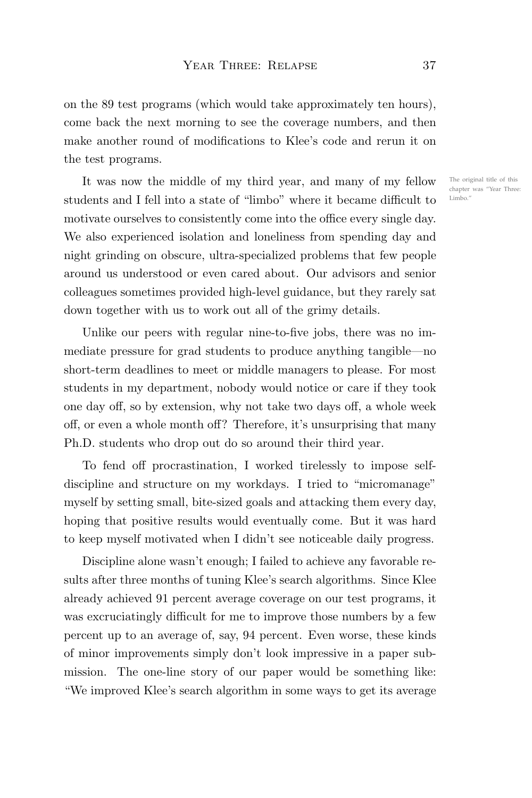on the 89 test programs (which would take approximately ten hours), come back the next morning to see the coverage numbers, and then make another round of modifications to Klee's code and rerun it on the test programs.

It was now the middle of my third year, and many of my fellow The original title of this students and I fell into a state of "limbo" where it became difficult to  $\frac{\text{Limbo}}{\text{Limbo}}}$ motivate ourselves to consistently come into the office every single day. We also experienced isolation and loneliness from spending day and night grinding on obscure, ultra-specialized problems that few people around us understood or even cared about. Our advisors and senior colleagues sometimes provided high-level guidance, but they rarely sat down together with us to work out all of the grimy details.

Unlike our peers with regular nine-to-five jobs, there was no immediate pressure for grad students to produce anything tangible—no short-term deadlines to meet or middle managers to please. For most students in my department, nobody would notice or care if they took one day off, so by extension, why not take two days off, a whole week off, or even a whole month off? Therefore, it's unsurprising that many Ph.D. students who drop out do so around their third year.

To fend off procrastination, I worked tirelessly to impose selfdiscipline and structure on my workdays. I tried to "micromanage" myself by setting small, bite-sized goals and attacking them every day, hoping that positive results would eventually come. But it was hard to keep myself motivated when I didn't see noticeable daily progress.

Discipline alone wasn't enough; I failed to achieve any favorable results after three months of tuning Klee's search algorithms. Since Klee already achieved 91 percent average coverage on our test programs, it was excruciatingly difficult for me to improve those numbers by a few percent up to an average of, say, 94 percent. Even worse, these kinds of minor improvements simply don't look impressive in a paper submission. The one-line story of our paper would be something like: "We improved Klee's search algorithm in some ways to get its average chapter was "Year Three: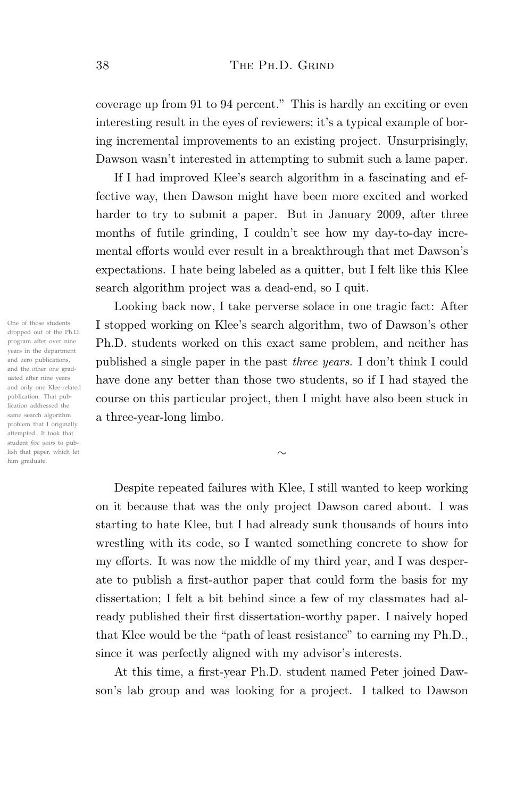coverage up from 91 to 94 percent." This is hardly an exciting or even interesting result in the eyes of reviewers; it's a typical example of boring incremental improvements to an existing project. Unsurprisingly, Dawson wasn't interested in attempting to submit such a lame paper.

If I had improved Klee's search algorithm in a fascinating and effective way, then Dawson might have been more excited and worked harder to try to submit a paper. But in January 2009, after three months of futile grinding, I couldn't see how my day-to-day incremental efforts would ever result in a breakthrough that met Dawson's expectations. I hate being labeled as a quitter, but I felt like this Klee search algorithm project was a dead-end, so I quit.

Looking back now, I take perverse solace in one tragic fact: After One of those students  $\blacksquare$  I stopped working on Klee's search algorithm, two of Dawson's other Ph.D. students worked on this exact same problem, and neither has published a single paper in the past *three years*. I don't think I could have done any better than those two students, so if I had stayed the course on this particular project, then I might have also been stuck in a three-year-long limbo.

 $\sim$ 

Despite repeated failures with Klee, I still wanted to keep working on it because that was the only project Dawson cared about. I was starting to hate Klee, but I had already sunk thousands of hours into wrestling with its code, so I wanted something concrete to show for my efforts. It was now the middle of my third year, and I was desperate to publish a first-author paper that could form the basis for my dissertation; I felt a bit behind since a few of my classmates had already published their first dissertation-worthy paper. I naively hoped that Klee would be the "path of least resistance" to earning my Ph.D., since it was perfectly aligned with my advisor's interests.

At this time, a first-year Ph.D. student named Peter joined Dawson's lab group and was looking for a project. I talked to Dawson

dropped out of the Ph.D. program after over nine years in the department and zero publications, and the other one graduated after nine years and only one Klee-related publication. That publication addressed the same search algorithm problem that I originally attempted. It took that student *five years* to publish that paper, which let him graduate.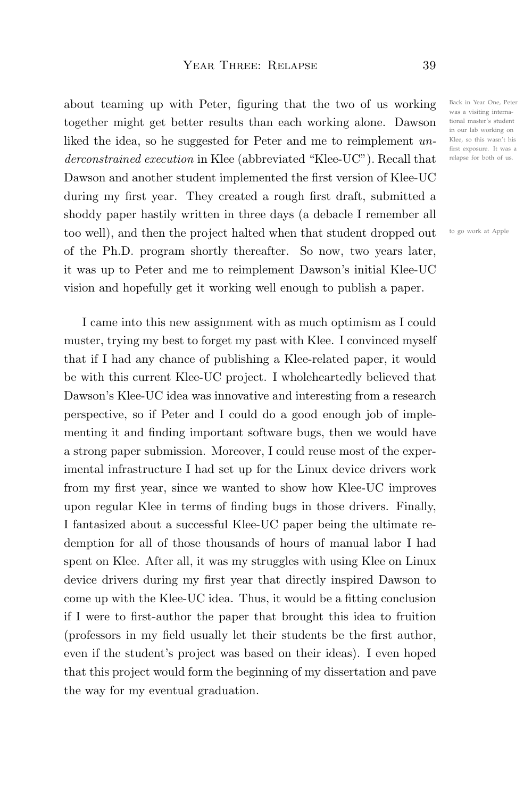about teaming up with Peter, figuring that the two of us working  $Back$  in Year One, Peter together might get better results than each working alone. Dawson liked the idea, so he suggested for Peter and me to reimplement *underconstrained execution* in Klee (abbreviated "Klee-UC"). Recall that Dawson and another student implemented the first version of Klee-UC during my first year. They created a rough first draft, submitted a shoddy paper hastily written in three days (a debacle I remember all too well), and then the project halted when that student dropped out to go work at Apple of the Ph.D. program shortly thereafter. So now, two years later, it was up to Peter and me to reimplement Dawson's initial Klee-UC vision and hopefully get it working well enough to publish a paper.

I came into this new assignment with as much optimism as I could muster, trying my best to forget my past with Klee. I convinced myself that if I had any chance of publishing a Klee-related paper, it would be with this current Klee-UC project. I wholeheartedly believed that Dawson's Klee-UC idea was innovative and interesting from a research perspective, so if Peter and I could do a good enough job of implementing it and finding important software bugs, then we would have a strong paper submission. Moreover, I could reuse most of the experimental infrastructure I had set up for the Linux device drivers work from my first year, since we wanted to show how Klee-UC improves upon regular Klee in terms of finding bugs in those drivers. Finally, I fantasized about a successful Klee-UC paper being the ultimate redemption for all of those thousands of hours of manual labor I had spent on Klee. After all, it was my struggles with using Klee on Linux device drivers during my first year that directly inspired Dawson to come up with the Klee-UC idea. Thus, it would be a fitting conclusion if I were to first-author the paper that brought this idea to fruition (professors in my field usually let their students be the first author, even if the student's project was based on their ideas). I even hoped that this project would form the beginning of my dissertation and pave the way for my eventual graduation.

was a visiting international master's student in our lab working on Klee, so this wasn't his first exposure. It was a relapse for both of us.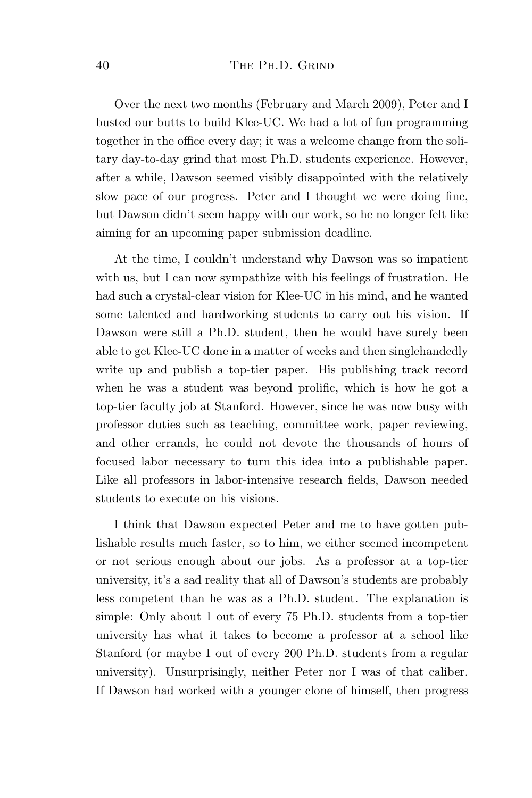#### 40 THE PH.D. GRIND

Over the next two months (February and March 2009), Peter and I busted our butts to build Klee-UC. We had a lot of fun programming together in the office every day; it was a welcome change from the solitary day-to-day grind that most Ph.D. students experience. However, after a while, Dawson seemed visibly disappointed with the relatively slow pace of our progress. Peter and I thought we were doing fine, but Dawson didn't seem happy with our work, so he no longer felt like aiming for an upcoming paper submission deadline.

At the time, I couldn't understand why Dawson was so impatient with us, but I can now sympathize with his feelings of frustration. He had such a crystal-clear vision for Klee-UC in his mind, and he wanted some talented and hardworking students to carry out his vision. If Dawson were still a Ph.D. student, then he would have surely been able to get Klee-UC done in a matter of weeks and then singlehandedly write up and publish a top-tier paper. His publishing track record when he was a student was beyond prolific, which is how he got a top-tier faculty job at Stanford. However, since he was now busy with professor duties such as teaching, committee work, paper reviewing, and other errands, he could not devote the thousands of hours of focused labor necessary to turn this idea into a publishable paper. Like all professors in labor-intensive research fields, Dawson needed students to execute on his visions.

I think that Dawson expected Peter and me to have gotten publishable results much faster, so to him, we either seemed incompetent or not serious enough about our jobs. As a professor at a top-tier university, it's a sad reality that all of Dawson's students are probably less competent than he was as a Ph.D. student. The explanation is simple: Only about 1 out of every 75 Ph.D. students from a top-tier university has what it takes to become a professor at a school like Stanford (or maybe 1 out of every 200 Ph.D. students from a regular university). Unsurprisingly, neither Peter nor I was of that caliber. If Dawson had worked with a younger clone of himself, then progress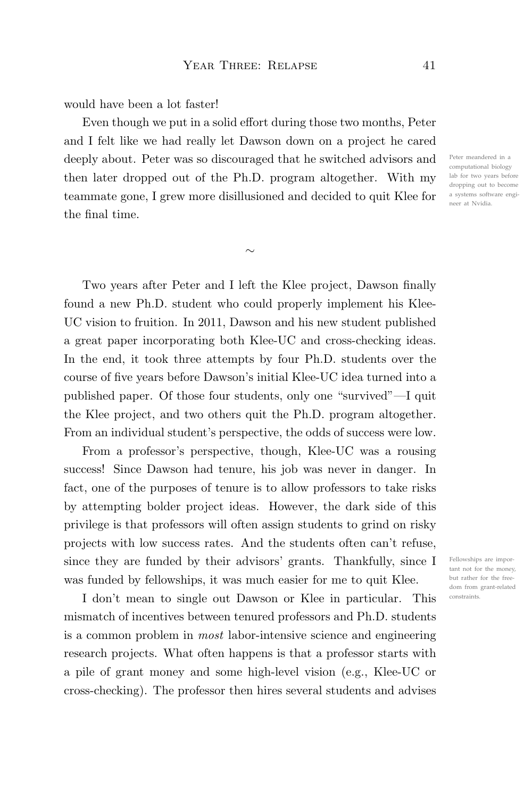would have been a lot faster!

Even though we put in a solid effort during those two months, Peter and I felt like we had really let Dawson down on a project he cared deeply about. Peter was so discouraged that he switched advisors and Peter meandered in a then later dropped out of the Ph.D. program altogether. With my teammate gone, I grew more disillusioned and decided to quit Klee for the final time.

 $\sim$ 

Two years after Peter and I left the Klee project, Dawson finally found a new Ph.D. student who could properly implement his Klee-UC vision to fruition. In 2011, Dawson and his new student published a [great paper](http://www.pgbovine.net/PhD-memoir/ucklee-cav-2011.pdf) incorporating both Klee-UC and cross-checking ideas. In the end, it took three attempts by four Ph.D. students over the course of five years before Dawson's initial Klee-UC idea turned into a published paper. Of those four students, only one "survived"—I quit the Klee project, and two others quit the Ph.D. program altogether. From an individual student's perspective, the odds of success were low.

From a professor's perspective, though, Klee-UC was a rousing success! Since Dawson had tenure, his job was never in danger. In fact, one of the purposes of tenure is to allow professors to take risks by attempting bolder project ideas. However, the dark side of this privilege is that professors will often assign students to grind on risky projects with low success rates. And the students often can't refuse, since they are funded by their advisors' grants. Thankfully, since I Fellowships are imporwas funded by fellowships, it was much easier for me to quit Klee.

I don't mean to single out Dawson or Klee in particular. This mismatch of incentives between tenured professors and Ph.D. students is a common problem in *most* labor-intensive science and engineering research projects. What often happens is that a professor starts with a pile of grant money and some high-level vision (e.g., Klee-UC or cross-checking). The professor then hires several students and advises

tant not for the money, but rather for the freedom from grant-related constraints.

computational biology lab for two years before dropping out to become a systems software engineer at Nvidia.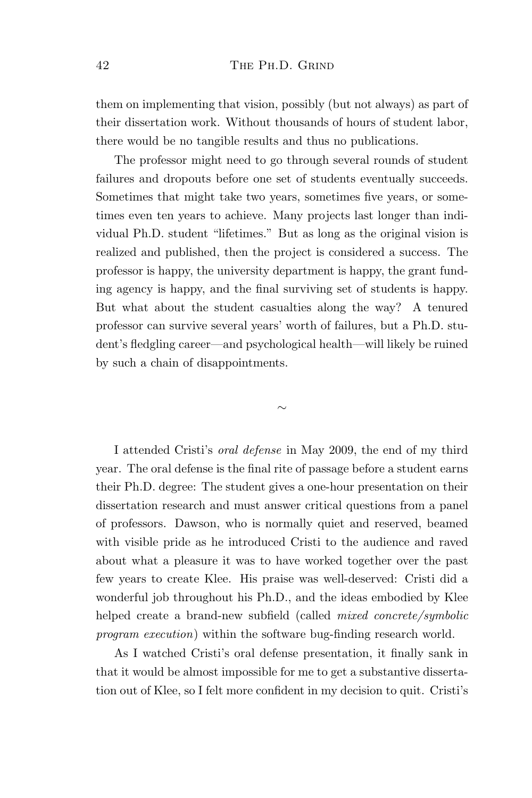them on implementing that vision, possibly (but not always) as part of their dissertation work. Without thousands of hours of student labor, there would be no tangible results and thus no publications.

The professor might need to go through several rounds of student failures and dropouts before one set of students eventually succeeds. Sometimes that might take two years, sometimes five years, or sometimes even ten years to achieve. Many projects last longer than individual Ph.D. student "lifetimes." But as long as the original vision is realized and published, then the project is considered a success. The professor is happy, the university department is happy, the grant funding agency is happy, and the final surviving set of students is happy. But what about the student casualties along the way? A tenured professor can survive several years' worth of failures, but a Ph.D. student's fledgling career—and psychological health—will likely be ruined by such a chain of disappointments.

 $\sim$ 

I attended Cristi's *oral defense* in May 2009, the end of my third year. The oral defense is the final rite of passage before a student earns their Ph.D. degree: The student gives a one-hour presentation on their dissertation research and must answer critical questions from a panel of professors. Dawson, who is normally quiet and reserved, beamed with visible pride as he introduced Cristi to the audience and raved about what a pleasure it was to have worked together over the past few years to create Klee. His praise was well-deserved: Cristi did a wonderful job throughout his Ph.D., and the ideas embodied by Klee helped create a brand-new subfield (called *mixed concrete/symbolic program execution*) within the software bug-finding research world.

As I watched Cristi's oral defense presentation, it finally sank in that it would be almost impossible for me to get a substantive dissertation out of Klee, so I felt more confident in my decision to quit. Cristi's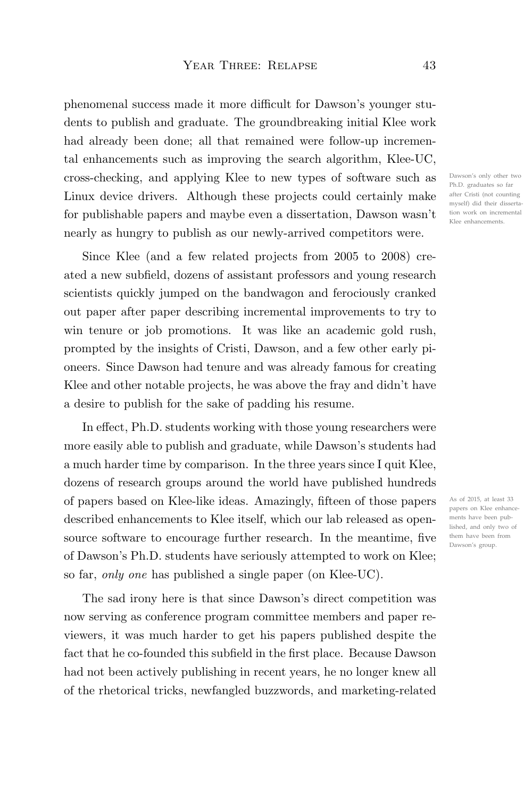phenomenal success made it more difficult for Dawson's younger students to publish and graduate. The groundbreaking initial Klee work had already been done; all that remained were follow-up incremental enhancements such as improving the search algorithm, Klee-UC, cross-checking, and applying Klee to new types of software such as Dawson's only other two Linux device drivers. Although these projects could certainly make for publishable papers and maybe even a dissertation, Dawson wasn't nearly as hungry to publish as our newly-arrived competitors were.

Since Klee (and a few related projects from 2005 to 2008) created a new subfield, dozens of assistant professors and young research scientists quickly jumped on the bandwagon and ferociously cranked out paper after paper describing incremental improvements to try to win tenure or job promotions. It was like an academic gold rush, prompted by the insights of Cristi, Dawson, and a few other early pioneers. Since Dawson had tenure and was already famous for creating Klee and other notable projects, he was above the fray and didn't have a desire to publish for the sake of padding his resume.

In effect, Ph.D. students working with those young researchers were more easily able to publish and graduate, while Dawson's students had a much harder time by comparison. In the three years since I quit Klee, dozens of research groups around the world have published hundreds of papers based on Klee-like ideas. Amazingly, fifteen of those papers As of 2015, at least 33 described enhancements to Klee itself, which our lab released as opensource software to encourage further research. In the meantime, five of Dawson's Ph.D. students have seriously attempted to work on Klee; so far, *only one* has published a single paper (on [Klee-UC\)](http://www.pgbovine.net/PhD-memoir/ucklee-cav-2011.pdf).

The sad irony here is that since Dawson's direct competition was now serving as conference program committee members and paper reviewers, it was much harder to get his papers published despite the fact that he co-founded this subfield in the first place. Because Dawson had not been actively publishing in recent years, he no longer knew all of the rhetorical tricks, newfangled buzzwords, and marketing-related

Ph.D. graduates so far after Cristi (not counting myself) did their dissertation work on incremental Klee enhancements.

papers on Klee enhancements have been published, and only two of them have been from Dawson's group.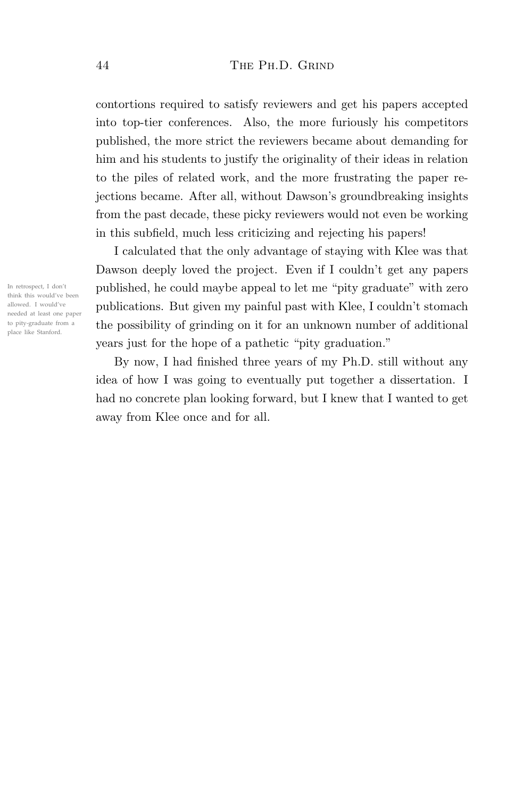contortions required to satisfy reviewers and get his papers accepted into top-tier conferences. Also, the more furiously his competitors published, the more strict the reviewers became about demanding for him and his students to justify the originality of their ideas in relation to the piles of related work, and the more frustrating the paper rejections became. After all, without Dawson's groundbreaking insights from the past decade, these picky reviewers would not even be working in this subfield, much less criticizing and rejecting his papers!

I calculated that the only advantage of staying with Klee was that Dawson deeply loved the project. Even if I couldn't get any papers In retrospect, I don't published, he could maybe appeal to let me "pity graduate" with zero publications. But given my painful past with Klee, I couldn't stomach the possibility of grinding on it for an unknown number of additional years just for the hope of a pathetic "pity graduation."

> By now, I had finished three years of my Ph.D. still without any idea of how I was going to eventually put together a dissertation. I had no concrete plan looking forward, but I knew that I wanted to get away from Klee once and for all.

think this would've been allowed. I would've needed at least one paper to pity-graduate from a place like Stanford.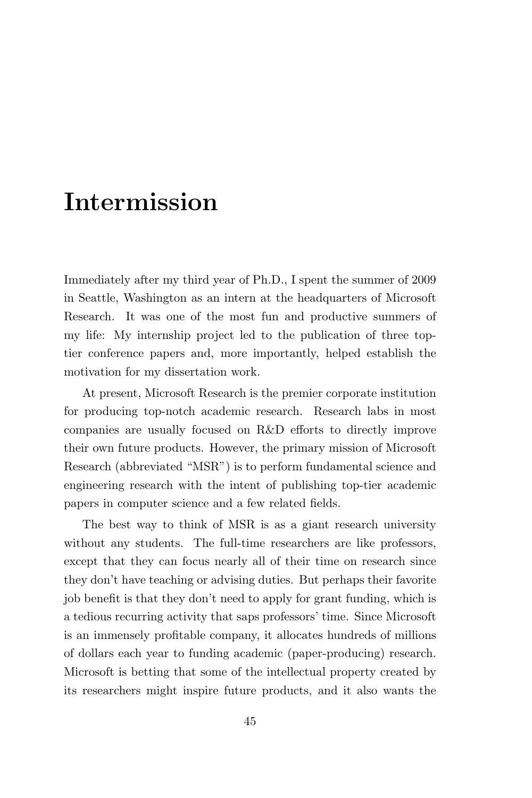# Intermission

Immediately after my third year of Ph.D., I spent the summer of 2009 in Seattle, Washington as an intern at the headquarters of Microsoft Research. It was one of the most fun and productive summers of my life: My internship project led to the publication of three toptier conference papers and, more importantly, helped establish the motivation for my dissertation work.

At present, Microsoft Research is the premier corporate institution for producing top-notch academic research. Research labs in most companies are usually focused on R&D efforts to directly improve their own future products. However, the primary mission of Microsoft Research (abbreviated "MSR") is to perform fundamental science and engineering research with the intent of publishing top-tier academic papers in computer science and a few related fields.

The best way to think of MSR is as a giant research university without any students. The full-time researchers are like professors, except that they can focus nearly all of their time on research since they don't have teaching or advising duties. But perhaps their favorite job benefit is that they don't need to apply for grant funding, which is a tedious recurring activity that saps professors' time. Since Microsoft is an immensely profitable company, it allocates hundreds of millions of dollars each year to funding academic (paper-producing) research. Microsoft is betting that some of the intellectual property created by its researchers might inspire future products, and it also wants the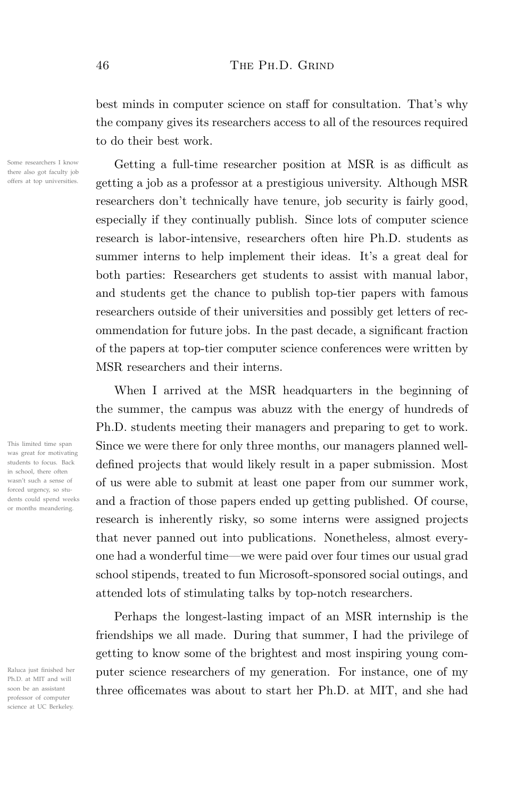best minds in computer science on staff for consultation. That's why the company gives its researchers access to all of the resources required to do their best work.

there also got faculty job

 $S$ ome researchers I know Getting a full-time researcher position at MSR is as difficult as offers at top universities. getting a job as a professor at a prestigious university. Although MSR researchers don't technically have tenure, job security is fairly good, especially if they continually publish. Since lots of computer science research is labor-intensive, researchers often hire Ph.D. students as summer interns to help implement their ideas. It's a great deal for both parties: Researchers get students to assist with manual labor, and students get the chance to publish top-tier papers with famous researchers outside of their universities and possibly get letters of recommendation for future jobs. In the past decade, a significant fraction of the papers at top-tier computer science conferences were written by MSR researchers and their interns.

When I arrived at the MSR headquarters in the beginning of the summer, the campus was abuzz with the energy of hundreds of Ph.D. students meeting their managers and preparing to get to work. This limited time span Since we were there for only three months, our managers planned welldefined projects that would likely result in a paper submission. Most of us were able to submit at least one paper from our summer work, and a fraction of those papers ended up getting published. Of course, research is inherently risky, so some interns were assigned projects that never panned out into publications. Nonetheless, almost everyone had a wonderful time—we were paid over four times our usual grad school stipends, treated to fun Microsoft-sponsored social outings, and attended lots of stimulating talks by top-notch researchers.

Perhaps the longest-lasting impact of an MSR internship is the friendships we all made. During that summer, I had the privilege of getting to know some of the brightest and most inspiring young com-Raluca just finished her **puter science researchers of my generation.** For instance, one of my three officemates was about to start her Ph.D. at MIT, and she had

was great for motivating students to focus. Back in school, there often wasn't such a sense of forced urgency, so students could spend weeks or months meandering.

Ph.D. at MIT and will soon be an assistant professor of computer science at UC Berkeley.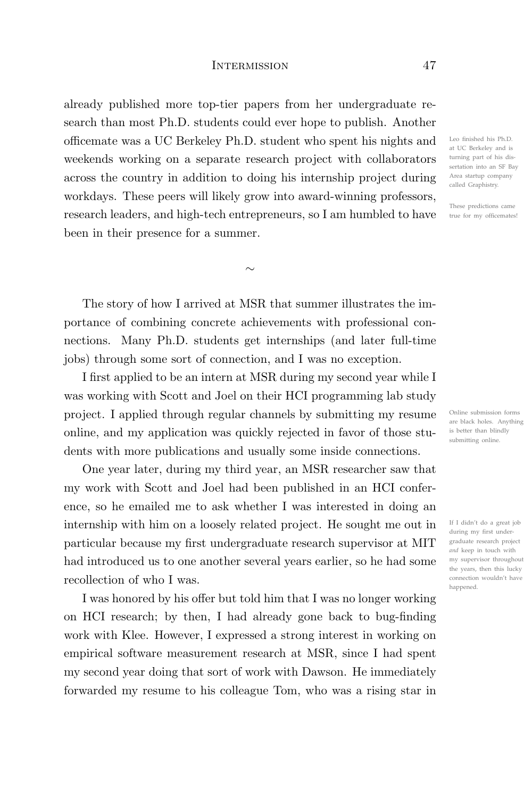### INTERMISSION 47

already published more top-tier papers from her undergraduate research than most Ph.D. students could ever hope to publish. Another officemate was a UC Berkeley Ph.D. student who spent his nights and Leo finished his Ph.D. weekends working on a separate research project with collaborators across the country in addition to doing his internship project during workdays. These peers will likely grow into award-winning professors, research leaders, and high-tech entrepreneurs, so I am humbled to have true for my officemates! been in their presence for a summer.

The story of how I arrived at MSR that summer illustrates the importance of combining concrete achievements with professional connections. Many Ph.D. students get internships (and later full-time jobs) through some sort of connection, and I was no exception.

 $\sim$ 

I first applied to be an intern at MSR during my second year while I was working with Scott and Joel on their HCI programming lab study project. I applied through regular channels by submitting my resume Online submission forms online, and my application was quickly rejected in favor of those stu-<br>submitting online. dents with more publications and usually some inside connections.

One year later, during my third year, an MSR researcher saw that my work with Scott and Joel had been [published in an HCI confer](http://www.pgbovine.net/projects/pubs/brandt_chi09_webuse.pdf)[ence,](http://www.pgbovine.net/projects/pubs/brandt_chi09_webuse.pdf) so he emailed me to ask whether I was interested in doing an internship with him on a loosely related project. He sought me out in  $\frac{1}{1}$  I didn't do a great job particular because my first undergraduate research supervisor at MIT had introduced us to one another several years earlier, so he had some recollection of who I was.

I was honored by his offer but told him that I was no longer working on HCI research; by then, I had already gone back to bug-finding work with Klee. However, I expressed a strong interest in working on empirical software measurement research at MSR, since I had spent my second year doing that sort of work with Dawson. He immediately forwarded my resume to his colleague Tom, who was a rising star in

are black holes. Anything is better than blindly

during my first undergraduate research project *and* keep in touch with my supervisor throughout the years, then this lucky connection wouldn't have happened.

at UC Berkeley and is turning part of his dissertation into an SF Bay Area startup company called Graphistry.

These predictions came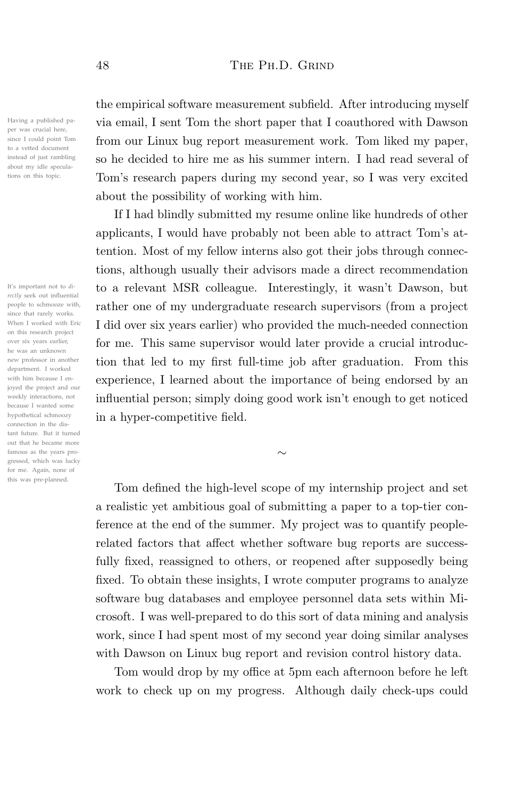the empirical software measurement subfield. After introducing myself  $P_{\text{Having a published pair}}$  via email, I sent Tom the [short paper](http://www.pgbovine.net/projects/pubs/guo_usenix09_camera_ready.pdf) that I coauthored with Dawson from our Linux bug report measurement work. Tom liked my paper, so he decided to hire me as his summer intern. I had read several of Tom's research papers during my second year, so I was very excited about the possibility of working with him.

If I had blindly submitted my resume online like hundreds of other applicants, I would have probably not been able to attract Tom's attention. Most of my fellow interns also got their jobs through connections, although usually their advisors made a direct recommendation It's important not to *di* to a relevant MSR colleague. Interestingly, it wasn't Dawson, but rather one of my undergraduate research supervisors (from a project I did over six years earlier) who provided the much-needed connection for me. This same supervisor would later provide a crucial introduction that led to my first full-time job after graduation. From this experience, I learned about the importance of being endorsed by an influential person; simply doing good work isn't enough to get noticed in a hyper-competitive field.

> Tom defined the high-level scope of my internship project and set a realistic yet ambitious goal of submitting a paper to a top-tier conference at the end of the summer. My project was to quantify peoplerelated factors that affect whether software bug reports are successfully fixed, reassigned to others, or reopened after supposedly being fixed. To obtain these insights, I wrote computer programs to analyze software bug databases and employee personnel data sets within Microsoft. I was well-prepared to do this sort of data mining and analysis work, since I had spent most of my second year doing similar analyses with Dawson on Linux bug report and revision control history data.

 $\sim$ 

Tom would drop by my office at 5pm each afternoon before he left work to check up on my progress. Although daily check-ups could

per was crucial here, since I could point Tom to a vetted document instead of just rambling about my idle speculations on this topic.

*rectly* seek out influential people to schmooze with, since that rarely works. When I worked with Eric on this research project over six years earlier, he was an unknown new professor in another department. I worked with him because I enjoyed the project and our weekly interactions, not because I wanted some hypothetical schmoozy connection in the distant future. But it turned out that he became more famous as the years progressed, which was lucky for me. Again, none of this was pre-planned.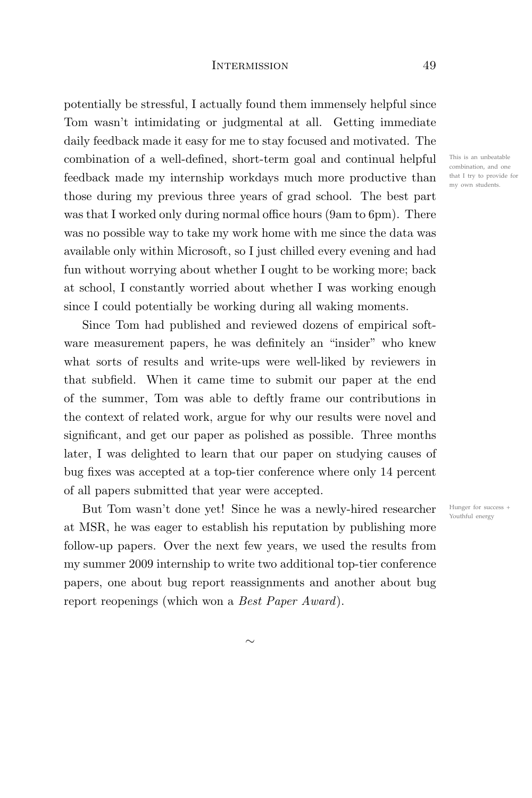#### INTERMISSION 49

potentially be stressful, I actually found them immensely helpful since Tom wasn't intimidating or judgmental at all. Getting immediate daily feedback made it easy for me to stay focused and motivated. The combination of a well-defined, short-term goal and continual helpful This is an unbeatable feedback made my internship workdays much more productive than those during my previous three years of grad school. The best part was that I worked only during normal office hours (9am to 6pm). There was no possible way to take my work home with me since the data was available only within Microsoft, so I just chilled every evening and had fun without worrying about whether I ought to be working more; back at school, I constantly worried about whether I was working enough since I could potentially be working during all waking moments.

Since Tom had published and reviewed dozens of empirical software measurement papers, he was definitely an "insider" who knew what sorts of results and write-ups were well-liked by reviewers in that subfield. When it came time to submit our paper at the end of the summer, Tom was able to deftly frame our contributions in the context of related work, argue for why our results were novel and significant, and get our paper as polished as possible. Three months later, I was delighted to learn that [our paper on studying causes of](http://www.pgbovine.net/projects/pubs/guo_icse10_camera_ready.pdf) [bug fixes](http://www.pgbovine.net/projects/pubs/guo_icse10_camera_ready.pdf) was accepted at a top-tier conference where only 14 percent of all papers submitted that year were accepted.

But Tom wasn't done yet! Since he was a newly-hired researcher Hunger for success + at MSR, he was eager to establish his reputation by publishing more follow-up papers. Over the next few years, we used the results from my summer 2009 internship to write two additional top-tier conference papers, one about [bug report reassignments](http://www.pgbovine.net/projects/pubs/guo_cscw11.pdf) and another about [bug](http://www.pgbovine.net/projects/pubs/zimmermann_icse12_seip.pdf) [report reopenings](http://www.pgbovine.net/projects/pubs/zimmermann_icse12_seip.pdf) (which won a *Best Paper Award*).

combination, and one that I try to provide for my own students.

Youthful energy

 $\sim$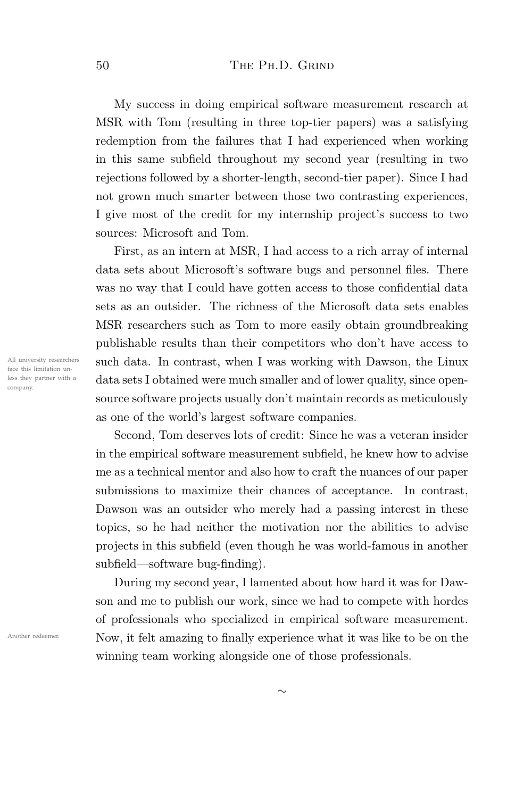#### 50 THE PH.D. GRIND

My success in doing empirical software measurement research at MSR with Tom (resulting in three top-tier papers) was a satisfying redemption from the failures that I had experienced when working in this same subfield throughout my second year (resulting in two rejections followed by a shorter-length, second-tier paper). Since I had not grown much smarter between those two contrasting experiences, I give most of the credit for my internship project's success to two sources: Microsoft and Tom.

First, as an intern at MSR, I had access to a rich array of internal data sets about Microsoft's software bugs and personnel files. There was no way that I could have gotten access to those confidential data sets as an outsider. The richness of the Microsoft data sets enables MSR researchers such as Tom to more easily obtain groundbreaking publishable results than their competitors who don't have access to All university researchers such data. In contrast, when I was working with Dawson, the Linux  $\frac{p_{\text{less they partner with a}}}{p_{\text{atfooted}}}\$  data sets I obtained were much smaller and of lower quality, since opensource software projects usually don't maintain records as meticulously as one of the world's largest software companies.

> Second, Tom deserves lots of credit: Since he was a veteran insider in the empirical software measurement subfield, he knew how to advise me as a technical mentor and also how to craft the nuances of our paper submissions to maximize their chances of acceptance. In contrast, Dawson was an outsider who merely had a passing interest in these topics, so he had neither the motivation nor the abilities to advise projects in this subfield (even though he was world-famous in another subfield—software bug-finding).

During my second year, I lamented about how hard it was for Dawson and me to publish our work, since we had to compete with hordes of professionals who specialized in empirical software measurement. Another redeemer. Now, it felt amazing to finally experience what it was like to be on the winning team working alongside one of those professionals.

face this limitation unless they partner with a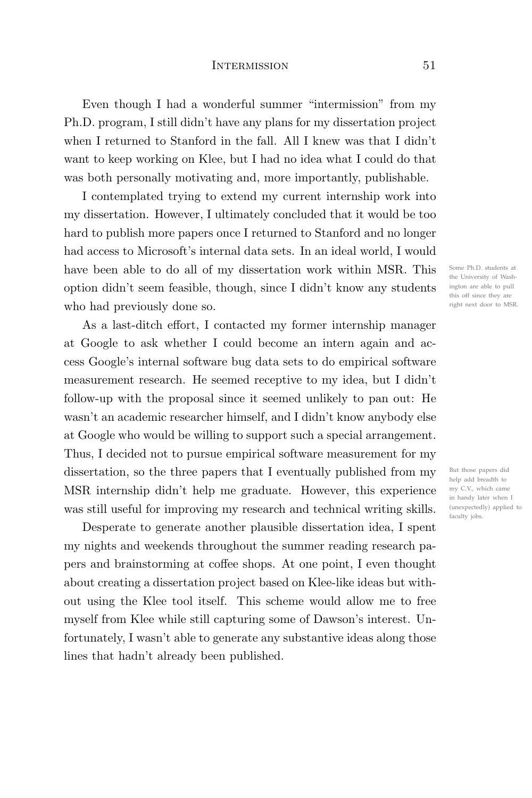### INTERMISSION 51

Even though I had a wonderful summer "intermission" from my Ph.D. program, I still didn't have any plans for my dissertation project when I returned to Stanford in the fall. All I knew was that I didn't want to keep working on Klee, but I had no idea what I could do that was both personally motivating and, more importantly, publishable.

I contemplated trying to extend my current internship work into my dissertation. However, I ultimately concluded that it would be too hard to publish more papers once I returned to Stanford and no longer had access to Microsoft's internal data sets. In an ideal world, I would have been able to do all of my dissertation work within MSR. This Some Ph.D. students at option didn't seem feasible, though, since I didn't know any students who had previously done so.

As a last-ditch effort, I contacted my former internship manager at Google to ask whether I could become an intern again and access Google's internal software bug data sets to do empirical software measurement research. He seemed receptive to my idea, but I didn't follow-up with the proposal since it seemed unlikely to pan out: He wasn't an academic researcher himself, and I didn't know anybody else at Google who would be willing to support such a special arrangement. Thus, I decided not to pursue empirical software measurement for my dissertation, so the three papers that I eventually published from  $mv$  But those papers did MSR internship didn't help me graduate. However, this experience was still useful for improving my research and technical writing skills.

Desperate to generate another plausible dissertation idea, I spent my nights and weekends throughout the summer reading research papers and brainstorming at coffee shops. At one point, I even thought about creating a dissertation project based on Klee-like ideas but without using the Klee tool itself. This scheme would allow me to free myself from Klee while still capturing some of Dawson's interest. Unfortunately, I wasn't able to generate any substantive ideas along those lines that hadn't already been published.

the University of Washington are able to pull this off since they are right next door to MSR.

help add breadth to my C.V., which came in handy later when I (unexpectedly) applied to faculty jobs.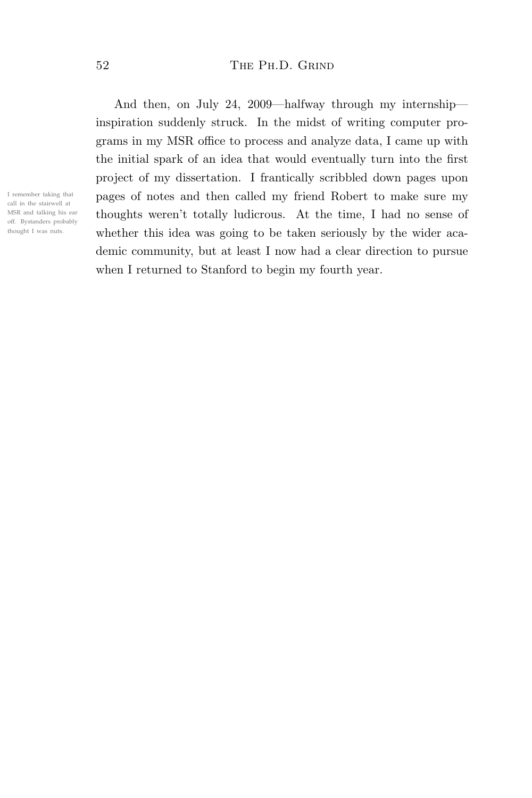And then, on July 24, 2009—halfway through my internship inspiration suddenly struck. In the midst of writing computer programs in my MSR office to process and analyze data, I came up with the initial spark of an idea that would eventually turn into the first project of my dissertation. I frantically scribbled down pages upon I remember taking that pages of notes and then called my friend Robert to make sure my thoughts weren't totally ludicrous. At the time, I had no sense of whether this idea was going to be taken seriously by the wider academic community, but at least I now had a clear direction to pursue when I returned to Stanford to begin my fourth year.

call in the stairwell at MSR and talking his ear off. Bystanders probably thought I was nuts.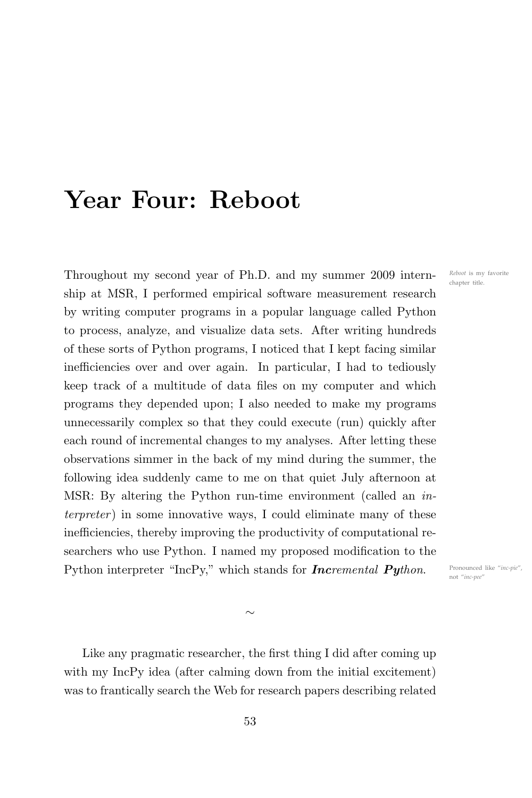# Year Four: Reboot

Throughout my second year of Ph.D. and my summer 2009 intern- *Reboot* is my favorite chapter title. ship at MSR, I performed empirical software measurement research by writing computer programs in a popular language called Python to process, analyze, and visualize data sets. After writing hundreds of these sorts of Python programs, I noticed that I kept facing similar inefficiencies over and over again. In particular, I had to tediously keep track of a multitude of data files on my computer and which programs they depended upon; I also needed to make my programs unnecessarily complex so that they could execute (run) quickly after each round of incremental changes to my analyses. After letting these observations simmer in the back of my mind during the summer, the following idea suddenly came to me on that quiet July afternoon at MSR: By altering the Python run-time environment (called an *interpreter*) in some innovative ways, I could eliminate many of these inefficiencies, thereby improving the productivity of computational researchers who use Python. I named my proposed modification to the Python interpreter "IncPy," which stands for *Incremental Python*. Pronounced like "*inc-pie*",

not "*inc-pee*"

Like any pragmatic researcher, the first thing I did after coming up with my IncPy idea (after calming down from the initial excitement) was to frantically search the Web for research papers describing related

 $\sim$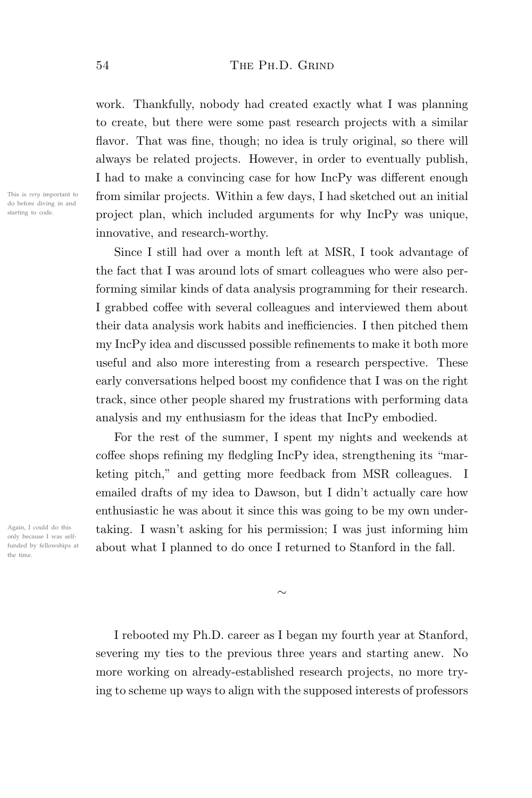work. Thankfully, nobody had created exactly what I was planning to create, but there were some past research projects with a similar flavor. That was fine, though; no idea is truly original, so there will always be related projects. However, in order to eventually publish, I had to make a convincing case for how IncPy was different enough This is very important to from similar projects. Within a few days, I had sketched out an initial starting to code. project plan, which included arguments for why IncPy was unique, innovative, and research-worthy.

> Since I still had over a month left at MSR, I took advantage of the fact that I was around lots of smart colleagues who were also performing similar kinds of data analysis programming for their research. I grabbed coffee with several colleagues and interviewed them about their data analysis work habits and inefficiencies. I then pitched them my IncPy idea and discussed possible refinements to make it both more useful and also more interesting from a research perspective. These early conversations helped boost my confidence that I was on the right track, since other people shared my frustrations with performing data analysis and my enthusiasm for the ideas that IncPy embodied.

For the rest of the summer, I spent my nights and weekends at coffee shops refining my fledgling IncPy idea, strengthening its "marketing pitch," and getting more feedback from MSR colleagues. I emailed drafts of my idea to Dawson, but I didn't actually care how enthusiastic he was about it since this was going to be my own under-Again, I could do this taking. I wasn't asking for his permission; I was just informing him only because I was self- $\frac{f_{\text{tinded by fullowships at}}}{f_{\text{tho times}}}}$  about what I planned to do once I returned to Stanford in the fall.

funded by fellowships at

do before diving in and

I rebooted my Ph.D. career as I began my fourth year at Stanford, severing my ties to the previous three years and starting anew. No more working on already-established research projects, no more trying to scheme up ways to align with the supposed interests of professors

 $\sim$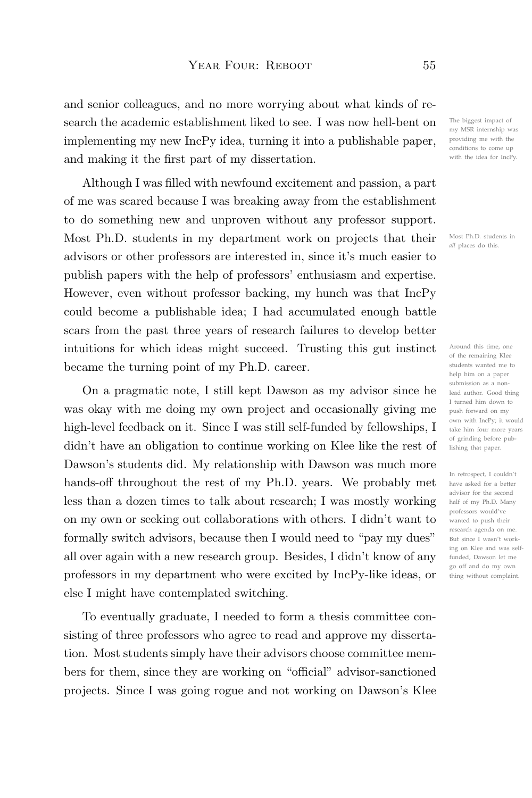and senior colleagues, and no more worrying about what kinds of research the academic establishment liked to see. I was now hell-bent on The biggest impact of implementing my new IncPy idea, turning it into a publishable paper, and making it the first part of my dissertation.

Although I was filled with newfound excitement and passion, a part of me was scared because I was breaking away from the establishment to do something new and unproven without any professor support. Most Ph.D. students in my department work on projects that their Most Ph.D. students in advisors or other professors are interested in, since it's much easier to publish papers with the help of professors' enthusiasm and expertise. However, even without professor backing, my hunch was that IncPy could become a publishable idea; I had accumulated enough battle scars from the past three years of research failures to develop better intuitions for which ideas might succeed. Trusting this gut instinct Around this time, one became the turning point of my Ph.D. career.

On a pragmatic note, I still kept Dawson as my advisor since he was okay with me doing my own project and occasionally giving me high-level feedback on it. Since I was still self-funded by fellowships, I didn't have an obligation to continue working on Klee like the rest of Dawson's students did. My relationship with Dawson was much more hands-off throughout the rest of my Ph.D. years. We probably met less than a dozen times to talk about research; I was mostly working on my own or seeking out collaborations with others. I didn't want to formally switch advisors, because then I would need to "pay my dues" all over again with a new research group. Besides, I didn't know of any professors in my department who were excited by IncPy-like ideas, or else I might have contemplated switching.

To eventually graduate, I needed to form a thesis committee consisting of three professors who agree to read and approve my dissertation. Most students simply have their advisors choose committee members for them, since they are working on "official" advisor-sanctioned projects. Since I was going rogue and not working on Dawson's Klee my MSR internship was providing me with the conditions to come up with the idea for IncPy.

*all* places do this.

of the remaining Klee students wanted me to help him on a paper submission as a nonlead author. Good thing I turned him down to push forward on my own with IncPy; it would take him four more years of grinding before publishing that paper.

In retrospect, I couldn't have asked for a better advisor for the second half of my Ph.D. Many professors would've wanted to push their research agenda on me. But since I wasn't working on Klee and was selffunded, Dawson let me go off and do my own thing without complaint.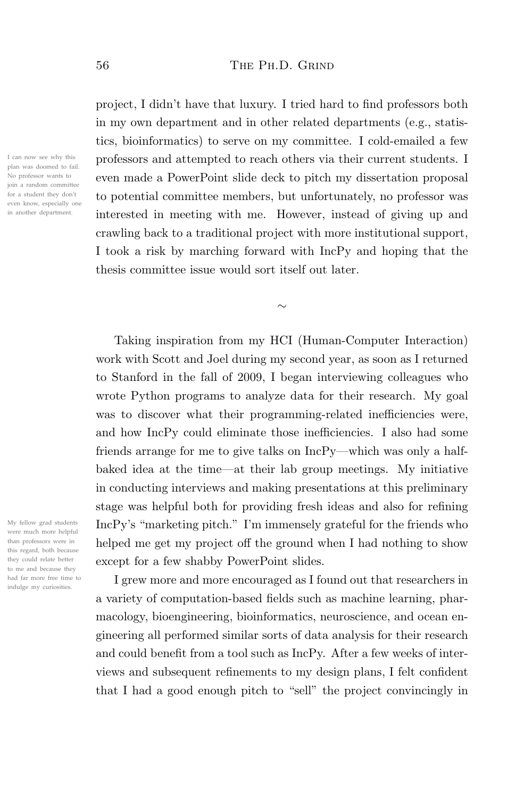project, I didn't have that luxury. I tried hard to find professors both in my own department and in other related departments (e.g., statistics, bioinformatics) to serve on my committee. I cold-emailed a few I can now see why this **professors and attempted to reach others via their current students.** I even made a PowerPoint slide deck to pitch my dissertation proposal to potential committee members, but unfortunately, no professor was interested in meeting with me. However, instead of giving up and crawling back to a traditional project with more institutional support, I took a risk by marching forward with IncPy and hoping that the thesis committee issue would sort itself out later.

 $\sim$ 

Taking inspiration from my HCI (Human-Computer Interaction) work with Scott and Joel during my second year, as soon as I returned to Stanford in the fall of 2009, I began interviewing colleagues who wrote Python programs to analyze data for their research. My goal was to discover what their programming-related inefficiencies were, and how IncPy could eliminate those inefficiencies. I also had some friends arrange for me to give talks on IncPy—which was only a halfbaked idea at the time—at their lab group meetings. My initiative in conducting interviews and making presentations at this preliminary stage was helpful both for providing fresh ideas and also for refining  $My$  fellow grad students  $\text{IncPy's "marketing pitch." I'm immensely grateful for the friends who}$ helped me get my project off the ground when I had nothing to show except for a few shabby PowerPoint slides.

> I grew more and more encouraged as I found out that researchers in a variety of computation-based fields such as machine learning, pharmacology, bioengineering, bioinformatics, neuroscience, and ocean engineering all performed similar sorts of data analysis for their research and could benefit from a tool such as IncPy. After a few weeks of interviews and subsequent refinements to my design plans, I felt confident that I had a good enough pitch to "sell" the project convincingly in

plan was doomed to fail. No professor wants to join a random committee for a student they don't even know, especially one in another department.

were much more helpful than professors were in this regard, both because they could relate better to me and because they had far more free time to indulge my curiosities.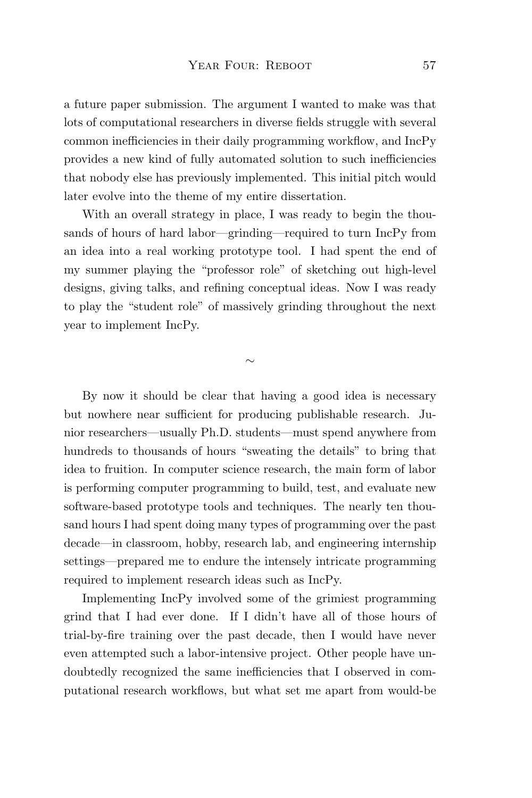a future paper submission. The argument I wanted to make was that lots of computational researchers in diverse fields struggle with several common inefficiencies in their daily programming workflow, and IncPy provides a new kind of fully automated solution to such inefficiencies that nobody else has previously implemented. This initial pitch would later evolve into the theme of my entire dissertation.

With an overall strategy in place, I was ready to begin the thousands of hours of hard labor—grinding—required to turn IncPy from an idea into a real working prototype tool. I had spent the end of my summer playing the "professor role" of sketching out high-level designs, giving talks, and refining conceptual ideas. Now I was ready to play the "student role" of massively grinding throughout the next year to implement IncPy.

 $\sim$ 

By now it should be clear that having a good idea is necessary but nowhere near sufficient for producing publishable research. Junior researchers—usually Ph.D. students—must spend anywhere from hundreds to thousands of hours "sweating the details" to bring that idea to fruition. In computer science research, the main form of labor is performing computer programming to build, test, and evaluate new software-based prototype tools and techniques. The nearly ten thousand hours I had spent doing many types of programming over the past decade—in classroom, hobby, research lab, and engineering internship settings—prepared me to endure the intensely intricate programming required to implement research ideas such as IncPy.

Implementing IncPy involved some of the grimiest programming grind that I had ever done. If I didn't have all of those hours of trial-by-fire training over the past decade, then I would have never even attempted such a labor-intensive project. Other people have undoubtedly recognized the same inefficiencies that I observed in computational research workflows, but what set me apart from would-be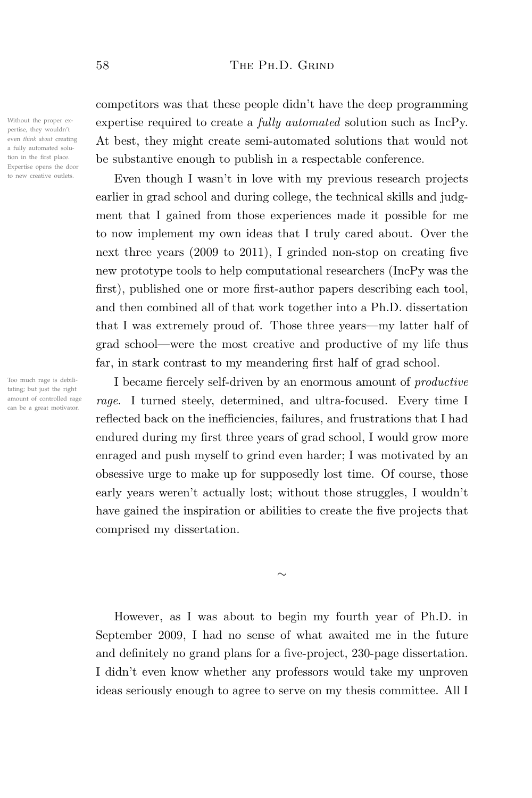competitors was that these people didn't have the deep programming Without the proper ex-<br>expertise required to create a *fully automated* solution such as IncPy. At best, they might create semi-automated solutions that would not be substantive enough to publish in a respectable conference.

> Even though I wasn't in love with my previous research projects earlier in grad school and during college, the technical skills and judgment that I gained from those experiences made it possible for me to now implement my own ideas that I truly cared about. Over the next three years (2009 to 2011), I grinded non-stop on creating five new prototype tools to help computational researchers (IncPy was the first), published one or more first-author papers describing each tool, and then combined all of that work together into a Ph.D. dissertation that I was extremely proud of. Those three years—my latter half of grad school—were the most creative and productive of my life thus far, in stark contrast to my meandering first half of grad school.

I became fiercely self-driven by an enormous amount of *productive* Too much rage is debili*rage*. I turned steely, determined, and ultra-focused. Every time I reflected back on the inefficiencies, failures, and frustrations that I had endured during my first three years of grad school, I would grow more enraged and push myself to grind even harder; I was motivated by an obsessive urge to make up for supposedly lost time. Of course, those early years weren't actually lost; without those struggles, I wouldn't have gained the inspiration or abilities to create the five projects that comprised my dissertation.

 $\sim$ 

However, as I was about to begin my fourth year of Ph.D. in September 2009, I had no sense of what awaited me in the future and definitely no grand plans for a five-project, 230-page dissertation. I didn't even know whether any professors would take my unproven ideas seriously enough to agree to serve on my thesis committee. All I

pertise, they wouldn't even *think about* creating a fully automated solution in the first place. Expertise opens the door to new creative outlets.

tating; but just the right amount of controlled rage can be a great motivator.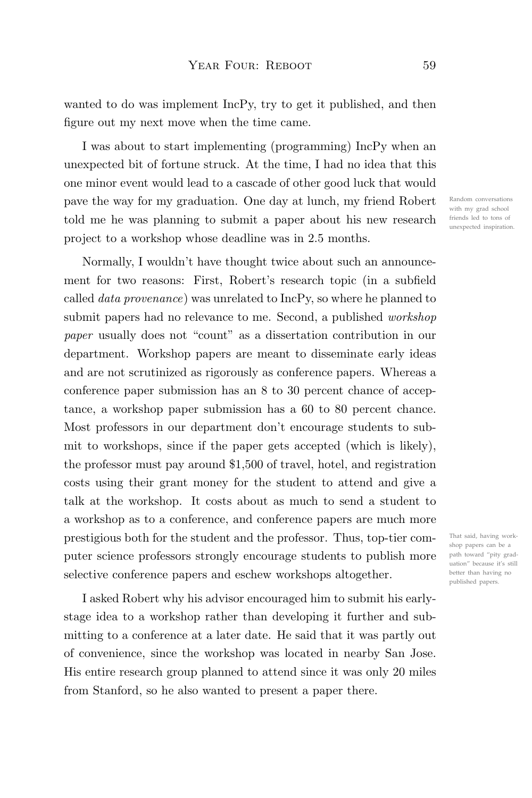wanted to do was implement IncPy, try to get it published, and then figure out my next move when the time came.

I was about to start implementing (programming) IncPy when an unexpected bit of fortune struck. At the time, I had no idea that this one minor event would lead to a cascade of other good luck that would pave the way for my graduation. One day at lunch, my friend Robert Random conversations told me he was planning to submit a paper about his new research  $\frac{f_{\text{intobs}}}{\text{unexpected inspiration}}$ project to a workshop whose deadline was in 2.5 months.

Normally, I wouldn't have thought twice about such an announcement for two reasons: First, Robert's research topic (in a subfield called *data provenance*) was unrelated to IncPy, so where he planned to submit papers had no relevance to me. Second, a published *workshop paper* usually does not "count" as a dissertation contribution in our department. Workshop papers are meant to disseminate early ideas and are not scrutinized as rigorously as conference papers. Whereas a conference paper submission has an 8 to 30 percent chance of acceptance, a workshop paper submission has a 60 to 80 percent chance. Most professors in our department don't encourage students to submit to workshops, since if the paper gets accepted (which is likely), the professor must pay around \$1,500 of travel, hotel, and registration costs using their grant money for the student to attend and give a talk at the workshop. It costs about as much to send a student to a workshop as to a conference, and conference papers are much more prestigious both for the student and the professor. Thus, top-tier com- That said, having workputer science professors strongly encourage students to publish more selective conference papers and eschew workshops altogether.

I asked Robert why his advisor encouraged him to submit his earlystage idea to a workshop rather than developing it further and submitting to a conference at a later date. He said that it was partly out of convenience, since the workshop was located in nearby San Jose. His entire research group planned to attend since it was only 20 miles from Stanford, so he also wanted to present a paper there.

with my grad school friends led to tons of

shop papers can be a path toward "pity graduation" because it's still better than having no published papers.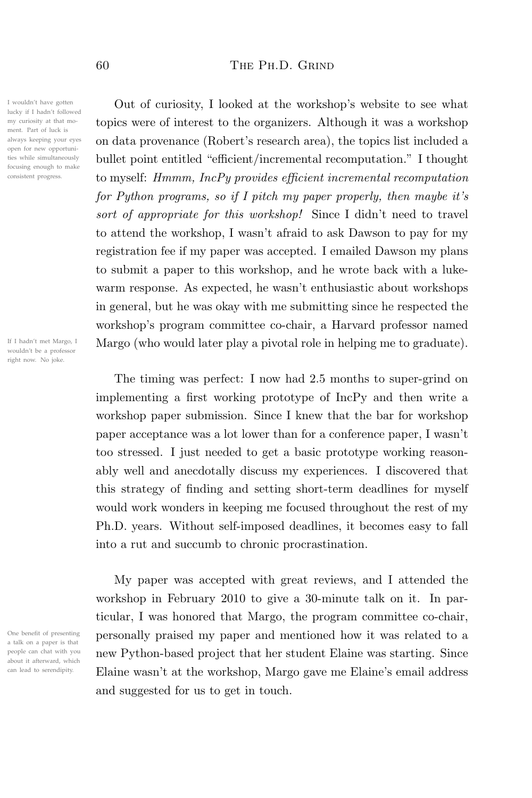#### 60 THE PH.D. GRIND

lucky if I hadn't followed my curiosity at that moment. Part of luck is always keeping your eyes open for new opportunities while simultaneously focusing enough to make consistent progress.

wouldn't be a professor right now. No joke.

I wouldn't have gotten **Out of curiosity, I looked at the workshop's website to see what** topics were of interest to the organizers. Although it was a workshop on data provenance (Robert's research area), the topics list included a bullet point entitled "efficient/incremental recomputation." I thought to myself: *Hmmm, IncPy provides ecient incremental recomputation for Python programs, so if I pitch my paper properly, then maybe it's sort of appropriate for this workshop!* Since I didn't need to travel to attend the workshop, I wasn't afraid to ask Dawson to pay for my registration fee if my paper was accepted. I emailed Dawson my plans to submit a paper to this workshop, and he wrote back with a lukewarm response. As expected, he wasn't enthusiastic about workshops in general, but he was okay with me submitting since he respected the workshop's program committee co-chair, a Harvard professor named If I hadn't met Margo, I Margo (who would later play a pivotal role in helping me to graduate).

> The timing was perfect: I now had 2.5 months to super-grind on implementing a first working prototype of IncPy and then write a workshop paper submission. Since I knew that the bar for workshop paper acceptance was a lot lower than for a conference paper, I wasn't too stressed. I just needed to get a basic prototype working reasonably well and anecdotally discuss my experiences. I discovered that this strategy of finding and setting short-term deadlines for myself would work wonders in keeping me focused throughout the rest of my Ph.D. years. Without self-imposed deadlines, it becomes easy to fall into a rut and succumb to chronic procrastination.

[My paper](http://www.pgbovine.net/projects/pubs/guo_tapp10_camera_ready.pdf) was accepted with great reviews, and I attended the workshop in February 2010 to give a 30-minute talk on it. In particular, I was honored that Margo, the program committee co-chair, One benefit of presenting personally praised my paper and mentioned how it was related to a new Python-based project that her student Elaine was starting. Since Elaine wasn't at the workshop, Margo gave me Elaine's email address and suggested for us to get in touch.

a talk on a paper is that people can chat with you about it afterward, which can lead to serendipity.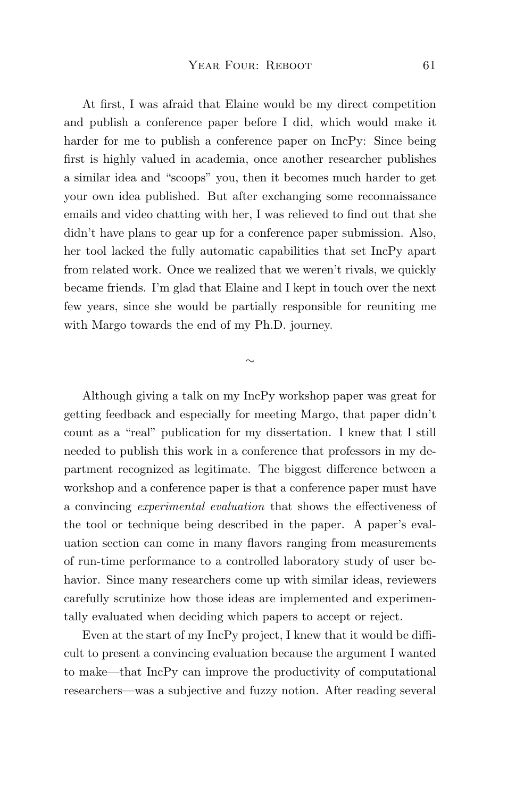At first, I was afraid that Elaine would be my direct competition and publish a conference paper before I did, which would make it harder for me to publish a conference paper on IncPy: Since being first is highly valued in academia, once another researcher publishes a similar idea and "scoops" you, then it becomes much harder to get your own idea published. But after exchanging some reconnaissance emails and video chatting with her, I was relieved to find out that she didn't have plans to gear up for a conference paper submission. Also, her tool lacked the fully automatic capabilities that set IncPy apart from related work. Once we realized that we weren't rivals, we quickly became friends. I'm glad that Elaine and I kept in touch over the next few years, since she would be partially responsible for reuniting me with Margo towards the end of my Ph.D. journey.

 $\sim$ 

Although giving a talk on my IncPy workshop paper was great for getting feedback and especially for meeting Margo, that paper didn't count as a "real" publication for my dissertation. I knew that I still needed to publish this work in a conference that professors in my department recognized as legitimate. The biggest difference between a workshop and a conference paper is that a conference paper must have a convincing *experimental evaluation* that shows the effectiveness of the tool or technique being described in the paper. A paper's evaluation section can come in many flavors ranging from measurements of run-time performance to a controlled laboratory study of user behavior. Since many researchers come up with similar ideas, reviewers carefully scrutinize how those ideas are implemented and experimentally evaluated when deciding which papers to accept or reject.

Even at the start of my IncPy project, I knew that it would be difficult to present a convincing evaluation because the argument I wanted to make—that IncPy can improve the productivity of computational researchers—was a subjective and fuzzy notion. After reading several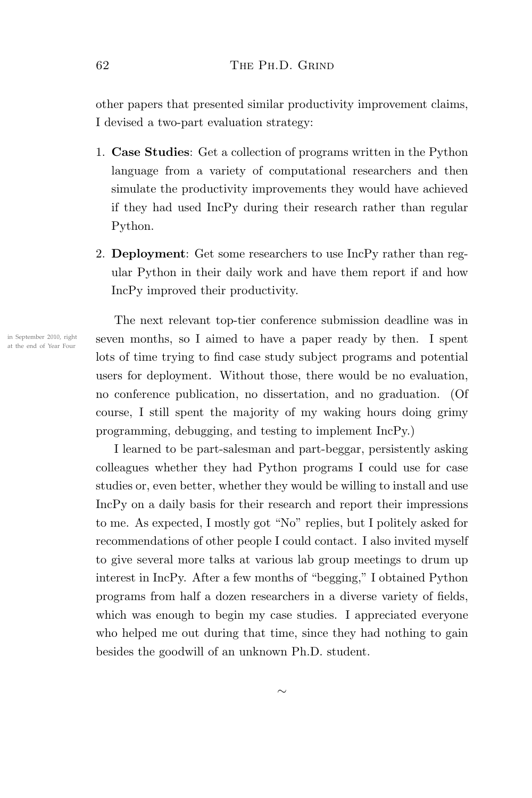other papers that presented similar productivity improvement claims, I devised a two-part evaluation strategy:

- 1. Case Studies: Get a collection of programs written in the Python language from a variety of computational researchers and then simulate the productivity improvements they would have achieved if they had used IncPy during their research rather than regular Python.
- 2. Deployment: Get some researchers to use IncPy rather than regular Python in their daily work and have them report if and how IncPy improved their productivity.

at the end of Year Four

The next relevant top-tier conference submission deadline was in in September 2010, right seven months, so I aimed to have a paper ready by then. I spent lots of time trying to find case study subject programs and potential users for deployment. Without those, there would be no evaluation, no conference publication, no dissertation, and no graduation. (Of course, I still spent the majority of my waking hours doing grimy programming, debugging, and testing to implement IncPy.)

> I learned to be part-salesman and part-beggar, persistently asking colleagues whether they had Python programs I could use for case studies or, even better, whether they would be willing to install and use IncPy on a daily basis for their research and report their impressions to me. As expected, I mostly got "No" replies, but I politely asked for recommendations of other people I could contact. I also invited myself to give several more talks at various lab group meetings to drum up interest in IncPy. After a few months of "begging," I obtained Python programs from half a dozen researchers in a diverse variety of fields, which was enough to begin my case studies. I appreciated everyone who helped me out during that time, since they had nothing to gain besides the goodwill of an unknown Ph.D. student.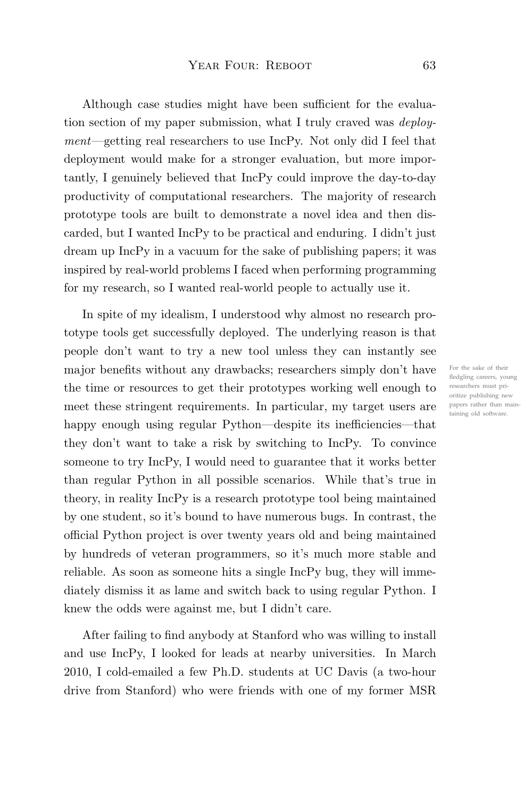Although case studies might have been sufficient for the evaluation section of my paper submission, what I truly craved was *deployment*—getting real researchers to use IncPy. Not only did I feel that deployment would make for a stronger evaluation, but more importantly, I genuinely believed that IncPy could improve the day-to-day productivity of computational researchers. The majority of research prototype tools are built to demonstrate a novel idea and then discarded, but I wanted IncPy to be practical and enduring. I didn't just dream up IncPy in a vacuum for the sake of publishing papers; it was inspired by real-world problems I faced when performing programming for my research, so I wanted real-world people to actually use it.

In spite of my idealism, I understood why almost no research prototype tools get successfully deployed. The underlying reason is that people don't want to try a new tool unless they can instantly see major benefits without any drawbacks; researchers simply don't have For the sake of their the time or resources to get their prototypes working well enough to meet these stringent requirements. In particular, my target users are happy enough using regular Python—despite its inefficiencies—that they don't want to take a risk by switching to IncPy. To convince someone to try IncPy, I would need to guarantee that it works better than regular Python in all possible scenarios. While that's true in theory, in reality IncPy is a research prototype tool being maintained by one student, so it's bound to have numerous bugs. In contrast, the official Python project is over twenty years old and being maintained by hundreds of veteran programmers, so it's much more stable and reliable. As soon as someone hits a single IncPy bug, they will immediately dismiss it as lame and switch back to using regular Python. I knew the odds were against me, but I didn't care.

After failing to find anybody at Stanford who was willing to install and use IncPy, I looked for leads at nearby universities. In March 2010, I cold-emailed a few Ph.D. students at UC Davis (a two-hour drive from Stanford) who were friends with one of my former MSR

fledgling careers, young researchers must prioritize publishing new papers rather than maintaining old software.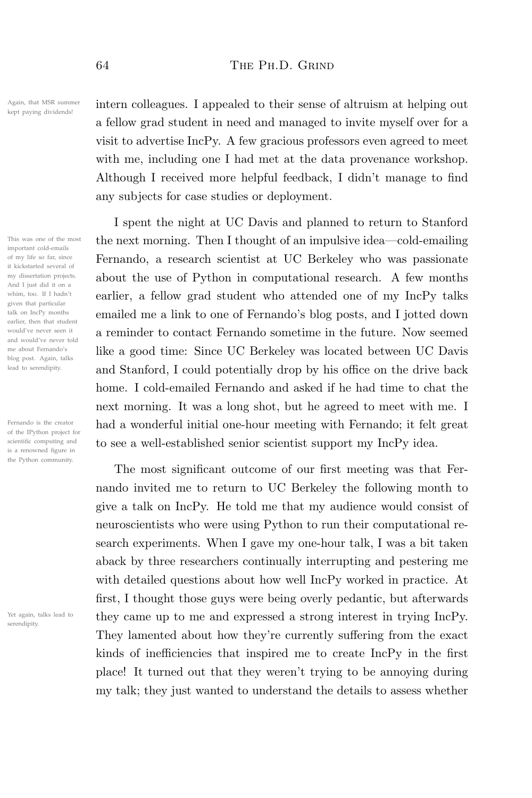kept paying dividends!

important cold-emails of my life so far, since it kickstarted several of my dissertation projects. And I just did it on a whim, too. If I hadn't given that particular talk on IncPy months earlier, then that student would've never seen it and would've never told me about Fernando's blog post. Again, talks lead to serendipity.

of the IPython project for scientific computing and is a renowned figure in the Python community.

serendipity.

Again, that MSR summer intern colleagues. I appealed to their sense of altruism at helping out a fellow grad student in need and managed to invite myself over for a visit to advertise IncPy. A few gracious professors even agreed to meet with me, including one I had met at the data provenance workshop. Although I received more helpful feedback, I didn't manage to find any subjects for case studies or deployment.

I spent the night at UC Davis and planned to return to Stanford This was one of the most the next morning. Then I thought of an impulsive idea—cold-emailing Fernando, a research scientist at UC Berkeley who was passionate about the use of Python in computational research. A few months earlier, a fellow grad student who attended one of my IncPy talks emailed me a link to one of Fernando's blog posts, and I jotted down a reminder to contact Fernando sometime in the future. Now seemed like a good time: Since UC Berkeley was located between UC Davis and Stanford, I could potentially drop by his office on the drive back home. I cold-emailed Fernando and asked if he had time to chat the next morning. It was a long shot, but he agreed to meet with me. I Fernando is the creator had a wonderful initial one-hour meeting with Fernando; it felt great to see a well-established senior scientist support my IncPy idea.

The most significant outcome of our first meeting was that Fernando invited me to return to UC Berkeley the following month to give a talk on IncPy. He told me that my audience would consist of neuroscientists who were using Python to run their computational research experiments. When I gave my one-hour talk, I was a bit taken aback by three researchers continually interrupting and pestering me with detailed questions about how well IncPy worked in practice. At first, I thought those guys were being overly pedantic, but afterwards Yet again, talks lead to they came up to me and expressed a strong interest in trying IncPy. They lamented about how they're currently suffering from the exact kinds of inefficiencies that inspired me to create IncPy in the first place! It turned out that they weren't trying to be annoying during my talk; they just wanted to understand the details to assess whether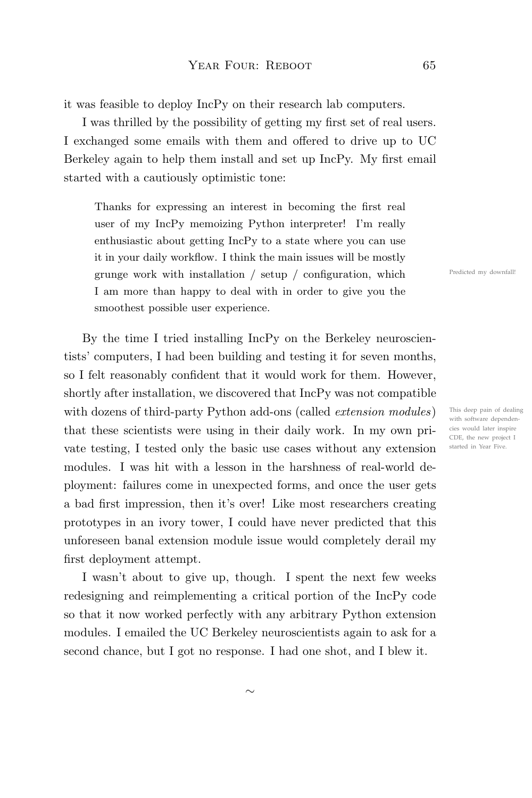it was feasible to deploy IncPy on their research lab computers.

I was thrilled by the possibility of getting my first set of real users. I exchanged some emails with them and offered to drive up to UC Berkeley again to help them install and set up IncPy. My first email started with a cautiously optimistic tone:

Thanks for expressing an interest in becoming the first real user of my IncPy memoizing Python interpreter! I'm really enthusiastic about getting IncPy to a state where you can use it in your daily workflow. I think the main issues will be mostly grunge work with installation / setup / configuration, which Predicted my downfall! I am more than happy to deal with in order to give you the smoothest possible user experience.

By the time I tried installing IncPy on the Berkeley neuroscientists' computers, I had been building and testing it for seven months, so I felt reasonably confident that it would work for them. However, shortly after installation, we discovered that IncPy was not compatible with dozens of third-party Python add-ons (called *extension modules*) This deep pain of dealing that these scientists were using in their daily work. In my own private testing, I tested only the basic use cases without any extension modules. I was hit with a lesson in the harshness of real-world deployment: failures come in unexpected forms, and once the user gets a bad first impression, then it's over! Like most researchers creating prototypes in an ivory tower, I could have never predicted that this unforeseen banal extension module issue would completely derail my first deployment attempt.

I wasn't about to give up, though. I spent the next few weeks redesigning and reimplementing a critical portion of the IncPy code so that it now worked perfectly with any arbitrary Python extension modules. I emailed the UC Berkeley neuroscientists again to ask for a second chance, but I got no response. I had one shot, and I blew it.

 $\sim$ 

with software dependencies would later inspire CDE, the new project I started in Year Five.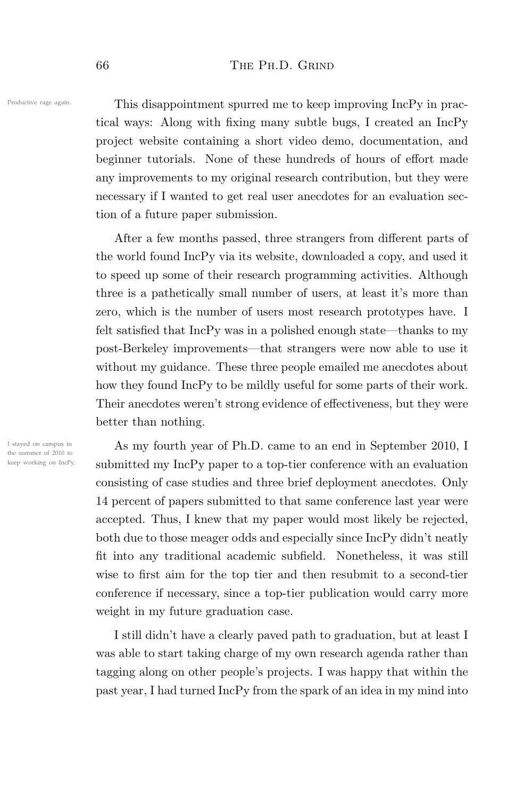## 66 THE PH.D. GRIND

Productive rage again. This disappointment spurred me to keep improving IncPy in practical ways: Along with fixing many subtle bugs, I created an IncPy [project website](http://www.pgbovine.net/incpy.html) containing a short video demo, documentation, and beginner tutorials. None of these hundreds of hours of effort made any improvements to my original research contribution, but they were necessary if I wanted to get real user anecdotes for an evaluation section of a future paper submission.

> After a few months passed, three strangers from different parts of the world found IncPy via its website, downloaded a copy, and used it to speed up some of their research programming activities. Although three is a pathetically small number of users, at least it's more than zero, which is the number of users most research prototypes have. I felt satisfied that IncPy was in a polished enough state—thanks to my post-Berkeley improvements—that strangers were now able to use it without my guidance. These three people emailed me anecdotes about how they found IncPy to be mildly useful for some parts of their work. Their anecdotes weren't strong evidence of effectiveness, but they were better than nothing.

the summer of 2010 to

I stayed on campus in  $\Delta s$  my fourth year of Ph.D. came to an end in September 2010, I keep working on IncPy. submitted my IncPy paper to a top-tier conference with an evaluation consisting of case studies and three brief deployment anecdotes. Only 14 percent of papers submitted to that same conference last year were accepted. Thus, I knew that my paper would most likely be rejected, both due to those meager odds and especially since IncPy didn't neatly fit into any traditional academic subfield. Nonetheless, it was still wise to first aim for the top tier and then resubmit to a second-tier conference if necessary, since a top-tier publication would carry more weight in my future graduation case.

> I still didn't have a clearly paved path to graduation, but at least I was able to start taking charge of my own research agenda rather than tagging along on other people's projects. I was happy that within the past year, I had turned IncPy from the spark of an idea in my mind into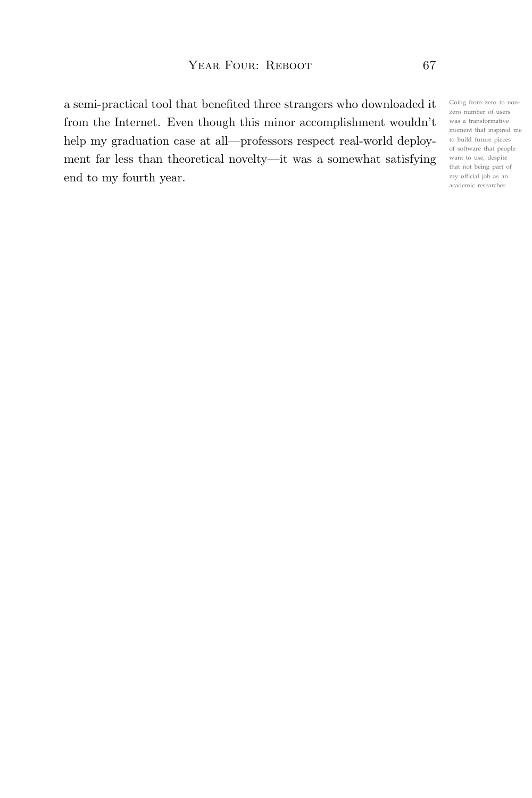a semi-practical tool that benefited three strangers who downloaded it Going from zero to nonfrom the Internet. Even though this minor accomplishment wouldn't help my graduation case at all—professors respect real-world deployment far less than theoretical novelty—it was a somewhat satisfying end to my fourth year.

zero number of users was a transformative moment that inspired me to build future pieces of software that people want to use, despite that not being part of my official job as an academic researcher.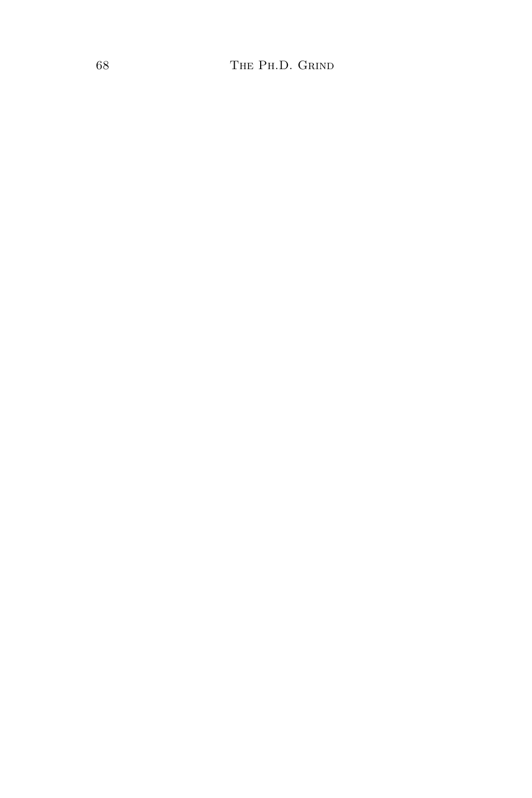68 THE PH.D. GRIND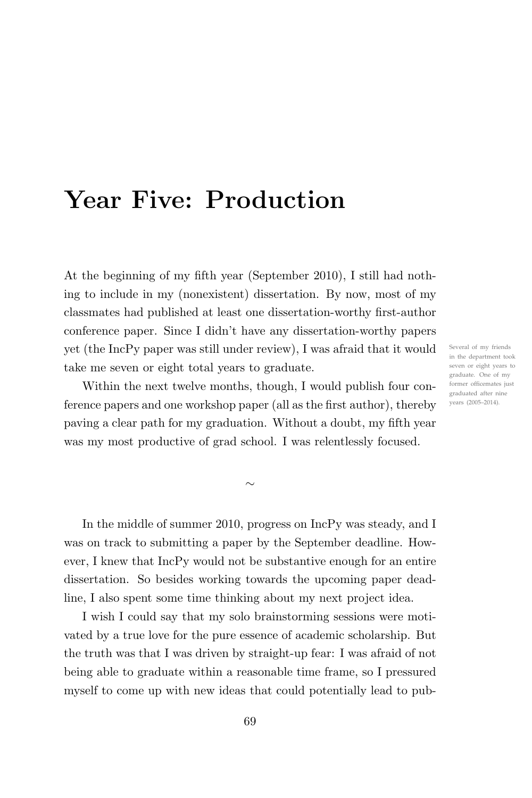## Year Five: Production

At the beginning of my fifth year (September 2010), I still had nothing to include in my (nonexistent) dissertation. By now, most of my classmates had published at least one dissertation-worthy first-author conference paper. Since I didn't have any dissertation-worthy papers yet (the IncPy paper was still under review), I was afraid that it would Several of my friends take me seven or eight total years to graduate.

Within the next twelve months, though, I would publish four conference papers and one workshop paper (all as the first author), thereby paving a clear path for my graduation. Without a doubt, my fifth year was my most productive of grad school. I was relentlessly focused.

 $\sim$ 

in the department took seven or eight years to graduate. One of my former officemates just graduated after nine years (2005–2014).

In the middle of summer 2010, progress on IncPy was steady, and I was on track to submitting a paper by the September deadline. However, I knew that IncPy would not be substantive enough for an entire dissertation. So besides working towards the upcoming paper deadline, I also spent some time thinking about my next project idea.

I wish I could say that my solo brainstorming sessions were motivated by a true love for the pure essence of academic scholarship. But the truth was that I was driven by straight-up fear: I was afraid of not being able to graduate within a reasonable time frame, so I pressured myself to come up with new ideas that could potentially lead to pub-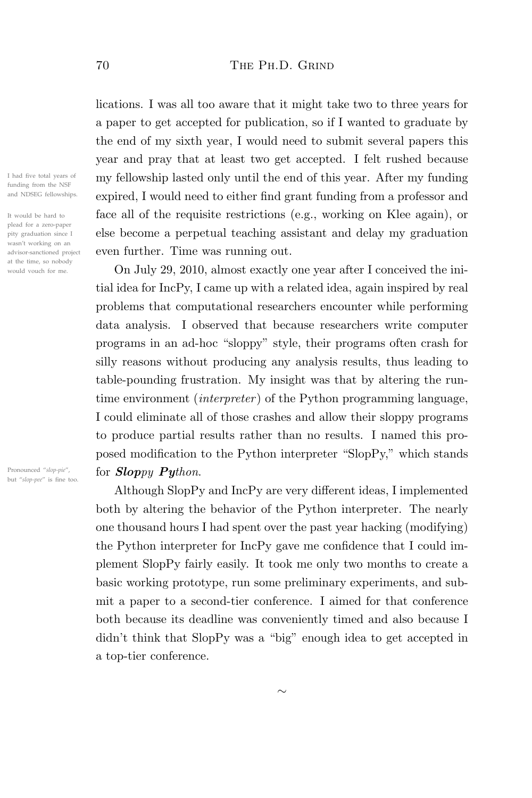lications. I was all too aware that it might take two to three years for a paper to get accepted for publication, so if I wanted to graduate by the end of my sixth year, I would need to submit several papers this year and pray that at least two get accepted. I felt rushed because I had five total years of **my fellowship lasted only until the end of this year. After my funding** and NDSEG fellowships. expired, I would need to either find grant funding from a professor and face all of the requisite restrictions (e.g., working on Klee again), or else become a perpetual teaching assistant and delay my graduation even further. Time was running out.

On July 29, 2010, almost exactly one year after I conceived the initial idea for IncPy, I came up with a related idea, again inspired by real problems that computational researchers encounter while performing data analysis. I observed that because researchers write computer programs in an ad-hoc "sloppy" style, their programs often crash for silly reasons without producing any analysis results, thus leading to table-pounding frustration. My insight was that by altering the runtime environment (*interpreter* ) of the Python programming language, I could eliminate all of those crashes and allow their sloppy programs to produce partial results rather than no results. I named this proposed modification to the Python interpreter "SlopPy," which stands Pronounced "slop-pie", for **Slop**py Puthon.

> Although SlopPy and IncPy are very different ideas, I implemented both by altering the behavior of the Python interpreter. The nearly one thousand hours I had spent over the past year hacking (modifying) the Python interpreter for IncPy gave me confidence that I could implement SlopPy fairly easily. It took me only two months to create a basic working prototype, run some preliminary experiments, and submit a paper to a second-tier conference. I aimed for that conference both because its deadline was conveniently timed and also because I didn't think that SlopPy was a "big" enough idea to get accepted in a top-tier conference.

> > $\sim$

funding from the NSF

plead for a zero-paper pity graduation since I wasn't working on an advisor-sanctioned project at the time, so nobody would vouch for me. It would be hard to

but "*slop-pee*" is fine too.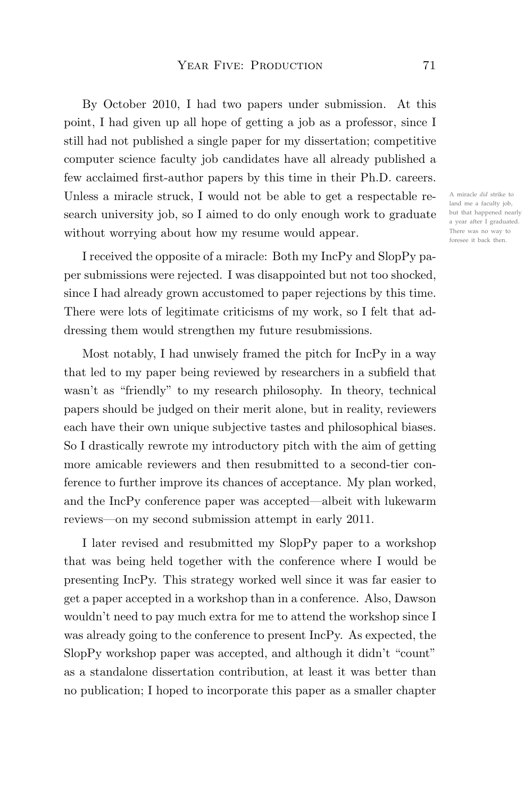By October 2010, I had two papers under submission. At this point, I had given up all hope of getting a job as a professor, since I still had not published a single paper for my dissertation; competitive computer science faculty job candidates have all already published a few acclaimed first-author papers by this time in their Ph.D. careers. Unless a miracle struck, I would not be able to get a respectable research university job, so I aimed to do only enough work to graduate without worrying about how my resume would appear.

I received the opposite of a miracle: Both my IncPy and SlopPy paper submissions were rejected. I was disappointed but not too shocked, since I had already grown accustomed to paper rejections by this time. There were lots of legitimate criticisms of my work, so I felt that addressing them would strengthen my future resubmissions.

Most notably, I had unwisely framed the pitch for IncPy in a way that led to my paper being reviewed by researchers in a subfield that wasn't as "friendly" to my research philosophy. In theory, technical papers should be judged on their merit alone, but in reality, reviewers each have their own unique subjective tastes and philosophical biases. So I drastically rewrote my introductory pitch with the aim of getting more amicable reviewers and then resubmitted to a second-tier conference to further improve its chances of acceptance. My plan worked, and the [IncPy conference paper](http://www.pgbovine.net/projects/pubs/guo_issta11_camera_ready.pdf) was accepted—albeit with lukewarm reviews—on my second submission attempt in early 2011.

I later revised and resubmitted my SlopPy paper to a workshop that was being held together with the conference where I would be presenting IncPy. This strategy worked well since it was far easier to get a paper accepted in a workshop than in a conference. Also, Dawson wouldn't need to pay much extra for me to attend the workshop since I was already going to the conference to present IncPy. As expected, the [SlopPy workshop paper](http://www.pgbovine.net/projects/pubs/guo_woda11_camera_ready.pdf) was accepted, and although it didn't "count" as a standalone dissertation contribution, at least it was better than no publication; I hoped to incorporate this paper as a smaller chapter

land me a faculty job, but that happened nearly a year after I graduated. There was no way to foresee it back then.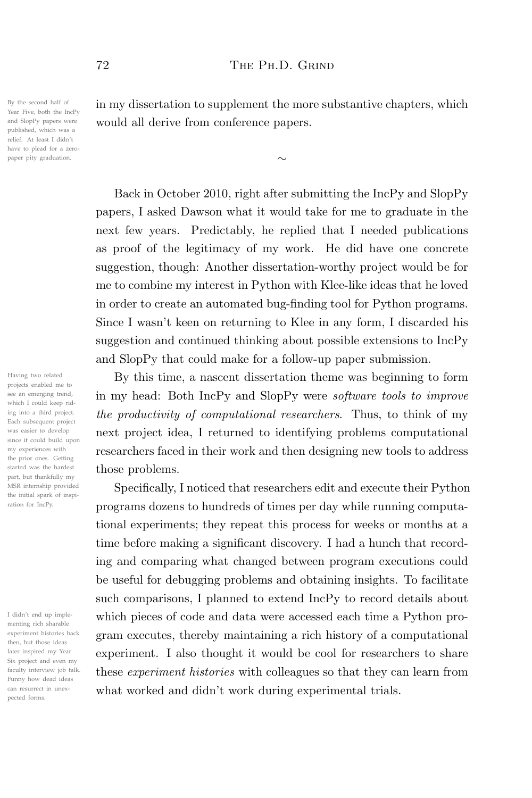and SlopPy papers were published, which was a relief. At least I didn't have to plead for a zeropaper pity graduation.

see an emerging trend, which I could keep riding into a third project. Each subsequent project was easier to develop since it could build upon my experiences with the prior ones. Getting started was the hardest part, but thankfully my MSR internship provided the initial spark of inspiration for IncPy.

menting rich sharable experiment histories back then, but those ideas later inspired my Year Six project and even my faculty interview job talk. Funny how dead ideas can resurrect in unexpected forms.

By the second half of in my dissertation to supplement the more substantive chapters, which Year Five, both the IncPy would all derive from conference papers.

 $\sim$ 

Back in October 2010, right after submitting the IncPy and SlopPy papers, I asked Dawson what it would take for me to graduate in the next few years. Predictably, he replied that I needed publications as proof of the legitimacy of my work. He did have one concrete suggestion, though: Another dissertation-worthy project would be for me to combine my interest in Python with Klee-like ideas that he loved in order to create an automated bug-finding tool for Python programs. Since I wasn't keen on returning to Klee in any form, I discarded his suggestion and continued thinking about possible extensions to IncPy and SlopPy that could make for a follow-up paper submission.

 $\hbox{Having two related projects enabled me to } {\rm\bf By\ this\ time, \ a\ nascent\ dissestration\ them\ was beginning to form}$ in my head: Both IncPy and SlopPy were *software tools to improve the productivity of computational researchers*. Thus, to think of my next project idea, I returned to identifying problems computational researchers faced in their work and then designing new tools to address those problems.

Specifically, I noticed that researchers edit and execute their Python programs dozens to hundreds of times per day while running computational experiments; they repeat this process for weeks or months at a time before making a significant discovery. I had a hunch that recording and comparing what changed between program executions could be useful for debugging problems and obtaining insights. To facilitate such comparisons, I planned to extend IncPy to record details about I didn't end up imple-<br>which pieces of code and data were accessed each time a Python program executes, thereby maintaining a rich history of a computational experiment. I also thought it would be cool for researchers to share these *experiment histories* with colleagues so that they can learn from what worked and didn't work during experimental trials.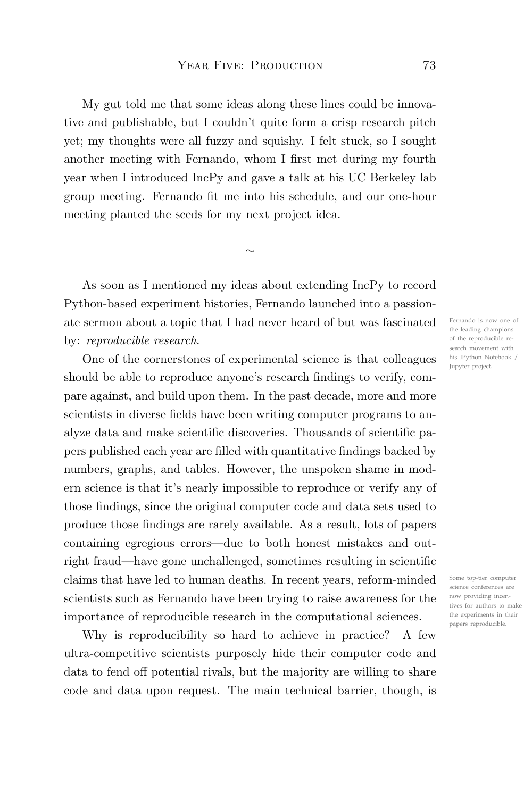My gut told me that some ideas along these lines could be innovative and publishable, but I couldn't quite form a crisp research pitch yet; my thoughts were all fuzzy and squishy. I felt stuck, so I sought another meeting with Fernando, whom I first met during my fourth year when I introduced IncPy and gave a talk at his UC Berkeley lab group meeting. Fernando fit me into his schedule, and our one-hour meeting planted the seeds for my next project idea.

 $\sim$ 

As soon as I mentioned my ideas about extending IncPy to record Python-based experiment histories, Fernando launched into a passionate sermon about a topic that I had never heard of but was fascinated Fernando is now one of by: *reproducible research*.

One of the cornerstones of experimental science is that colleagues should be able to reproduce anyone's research findings to verify, compare against, and build upon them. In the past decade, more and more scientists in diverse fields have been writing computer programs to analyze data and make scientific discoveries. Thousands of scientific papers published each year are filled with quantitative findings backed by numbers, graphs, and tables. However, the unspoken shame in modern science is that it's nearly impossible to reproduce or verify any of those findings, since the original computer code and data sets used to produce those findings are rarely available. As a result, lots of papers containing egregious errors—due to both honest mistakes and outright fraud—have gone unchallenged, sometimes resulting in scientific claims that have led to human deaths. In recent years, reform-minded Some top-tier computer scientists such as Fernando have been trying to raise awareness for the importance of reproducible research in the computational sciences.

Why is reproducibility so hard to achieve in practice? A few ultra-competitive scientists purposely hide their computer code and data to fend off potential rivals, but the majority are willing to share code and data upon request. The main technical barrier, though, is the leading champions of the reproducible research movement with his IPython Notebook / Jupyter project.

science conferences are now providing incentives for authors to make the experiments in their papers reproducible.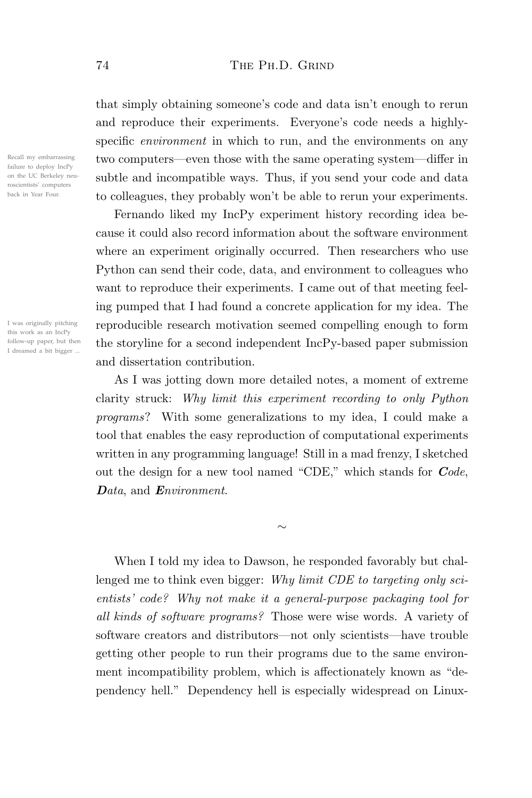that simply obtaining someone's code and data isn't enough to rerun and reproduce their experiments. Everyone's code needs a highlyspecific *environment* in which to run, and the environments on any Recall my embarrassing two computers—even those with the same operating system—differ in subtle and incompatible ways. Thus, if you send your code and data to colleagues, they probably won't be able to rerun your experiments.

Fernando liked my IncPy experiment history recording idea because it could also record information about the software environment where an experiment originally occurred. Then researchers who use Python can send their code, data, and environment to colleagues who want to reproduce their experiments. I came out of that meeting feeling pumped that I had found a concrete application for my idea. The I was originally pitching reproducible research motivation seemed compelling enough to form this work as an IncPy follow-up paper, but then the storyline for a second independent  $IncPy$ -based paper submission and dissertation contribution.

> As I was jotting down more detailed notes, a moment of extreme clarity struck: *Why limit this experiment recording to only Python programs*? With some generalizations to my idea, I could make a tool that enables the easy reproduction of computational experiments written in any programming language! Still in a mad frenzy, I sketched out the design for a new tool named "CDE," which stands for *Code*, *Data*, and *Environment*.

> > $\sim$

When I told my idea to Dawson, he responded favorably but challenged me to think even bigger: *Why limit CDE to targeting only scientists' code? Why not make it a general-purpose packaging tool for all kinds of software programs?* Those were wise words. A variety of software creators and distributors—not only scientists—have trouble getting other people to run their programs due to the same environment incompatibility problem, which is affectionately known as "dependency hell." Dependency hell is especially widespread on Linux-

failure to deploy IncPy on the UC Berkeley neuroscientists' computers back in Year Four.

follow-up paper, but then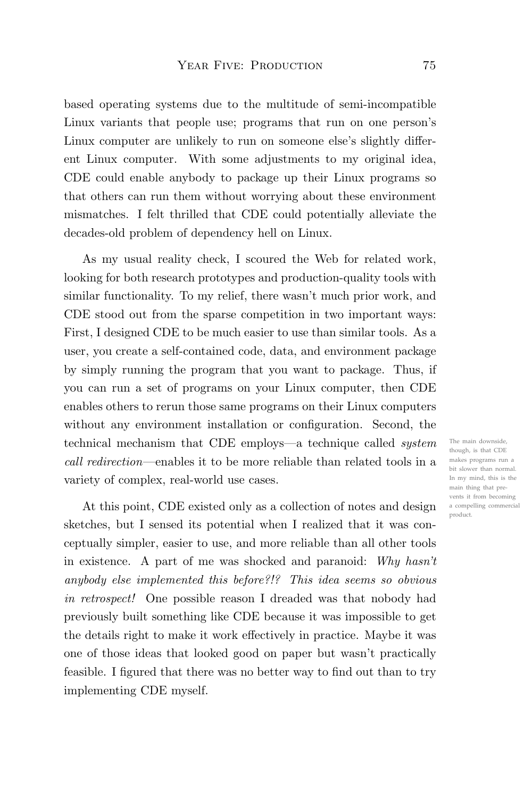based operating systems due to the multitude of semi-incompatible Linux variants that people use; programs that run on one person's Linux computer are unlikely to run on someone else's slightly different Linux computer. With some adjustments to my original idea, CDE could enable anybody to package up their Linux programs so that others can run them without worrying about these environment mismatches. I felt thrilled that CDE could potentially alleviate the decades-old problem of dependency hell on Linux.

As my usual reality check, I scoured the Web for related work, looking for both research prototypes and production-quality tools with similar functionality. To my relief, there wasn't much prior work, and CDE stood out from the sparse competition in two important ways: First, I designed CDE to be much easier to use than similar tools. As a user, you create a self-contained code, data, and environment package by simply running the program that you want to package. Thus, if you can run a set of programs on your Linux computer, then CDE enables others to rerun those same programs on their Linux computers without any environment installation or configuration. Second, the technical mechanism that CDE employs—a technique called *system* The main downside, *call redirection*—enables it to be more reliable than related tools in a variety of complex, real-world use cases.

At this point, CDE existed only as a collection of notes and design sketches, but I sensed its potential when I realized that it was conceptually simpler, easier to use, and more reliable than all other tools in existence. A part of me was shocked and paranoid: *Why hasn't anybody else implemented this before?!? This idea seems so obvious in retrospect!* One possible reason I dreaded was that nobody had previously built something like CDE because it was impossible to get the details right to make it work effectively in practice. Maybe it was one of those ideas that looked good on paper but wasn't practically feasible. I figured that there was no better way to find out than to try implementing CDE myself.

though, is that CDE makes programs run a bit slower than normal. In my mind, this is the main thing that prevents it from becoming a compelling commercial product.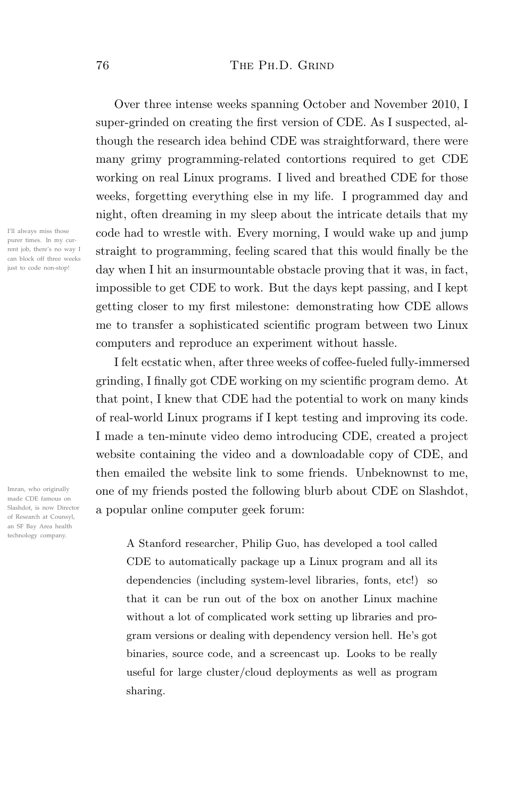Over three intense weeks spanning October and November 2010, I super-grinded on creating the first version of CDE. As I suspected, although the research idea behind CDE was straightforward, there were many grimy programming-related contortions required to get CDE working on real Linux programs. I lived and breathed CDE for those weeks, forgetting everything else in my life. I programmed day and night, often dreaming in my sleep about the intricate details that my  $\Gamma$ <sup>I'll always miss those</sup> code had to wrestle with. Every morning, I would wake up and jump straight to programming, feeling scared that this would finally be the day when I hit an insurmountable obstacle proving that it was, in fact, impossible to get CDE to work. But the days kept passing, and I kept getting closer to my first milestone: demonstrating how CDE allows me to transfer a sophisticated scientific program between two Linux computers and reproduce an experiment without hassle.

I felt ecstatic when, after three weeks of coffee-fueled fully-immersed grinding, I finally got CDE working on my scientific program demo. At that point, I knew that CDE had the potential to work on many kinds of real-world Linux programs if I kept testing and improving its code. I made a ten-minute video demo introducing CDE, created a [project](http://www.pgbovine.net/cde.html) [website](http://www.pgbovine.net/cde.html) containing the video and a downloadable copy of CDE, and then emailed the website link to some friends. Unbeknownst to me, Imran, who originally one of my friends posted the following blurb about CDE on Slashdot, a popular online computer geek forum:

> A Stanford researcher, Philip Guo, has developed a tool called CDE to automatically package up a Linux program and all its dependencies (including system-level libraries, fonts, etc!) so that it can be run out of the box on another Linux machine without a lot of complicated work setting up libraries and program versions or dealing with dependency version hell. He's got binaries, source code, and a screencast up. Looks to be really useful for large cluster/cloud deployments as well as program sharing.

purer times. In my current job, there's no way I can block off three weeks just to code non-stop!

made CDE famous on Slashdot, is now Director of Research at Counsyl, an SF Bay Area health technology company.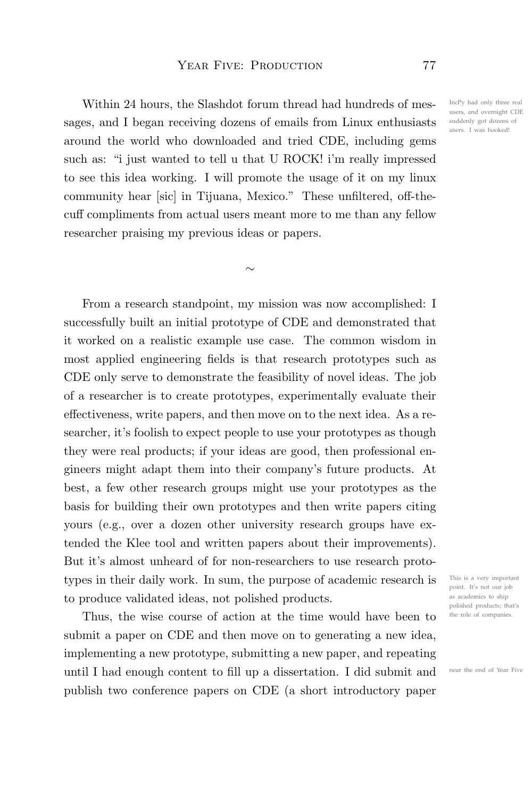Within 24 hours, the Slashdot forum thread had hundreds of mes- IncPy had only three real sages, and I began receiving dozens of emails from Linux enthusiasts subsequently got dozens around the world who downloaded and tried CDE, including gems such as: "i just wanted to tell u that U ROCK! i'm really impressed to see this idea working. I will promote the usage of it on my linux community hear [sic] in Tijuana, Mexico." These unfiltered, off-thecuff compliments from actual users meant more to me than any fellow researcher praising my previous ideas or papers.

 $\sim$ 

From a research standpoint, my mission was now accomplished: I successfully built an initial prototype of CDE and demonstrated that it worked on a realistic example use case. The common wisdom in most applied engineering fields is that research prototypes such as CDE only serve to demonstrate the feasibility of novel ideas. The job of a researcher is to create prototypes, experimentally evaluate their effectiveness, write papers, and then move on to the next idea. As a researcher, it's foolish to expect people to use your prototypes as though they were real products; if your ideas are good, then professional engineers might adapt them into their company's future products. At best, a few other research groups might use your prototypes as the basis for building their own prototypes and then write papers citing yours (e.g., over a dozen other university research groups have extended the Klee tool and written papers about their improvements). But it's almost unheard of for non-researchers to use research prototypes in their daily work. In sum, the purpose of academic research is This is a very important to produce validated ideas, not polished products.

Thus, the wise course of action at the time would have been to submit a paper on CDE and then move on to generating a new idea, implementing a new prototype, submitting a new paper, and repeating until I had enough content to fill up a dissertation. I did submit and near the end of Year Five publish two conference papers on CDE (a [short introductory paper](http://www.pgbovine.net/projects/pubs/guo_usenix11_camera_ready.pdf)

point. It's not our job as academics to ship polished products; that's the role of companies.

users, and overnight CDE suddenly got dozens of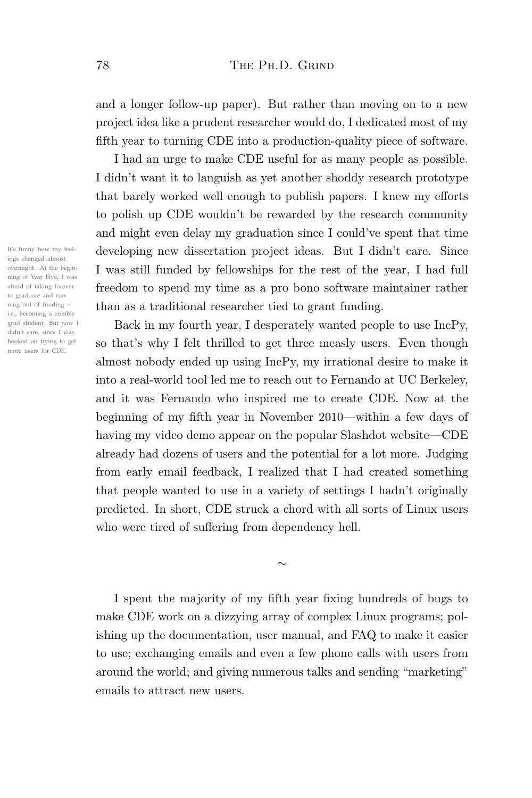and a [longer follow-up paper\)](http://www.pgbovine.net/projects/pubs/cde_LISA.pdf). But rather than moving on to a new project idea like a prudent researcher would do, I dedicated most of my fifth year to turning CDE into a production-quality piece of software.

I had an urge to make CDE useful for as many people as possible. I didn't want it to languish as yet another shoddy research prototype that barely worked well enough to publish papers. I knew my efforts to polish up CDE wouldn't be rewarded by the research community and might even delay my graduation since I could've spent that time It's funny how my feel-<br>developing new dissertation project ideas. But I didn't care. Since I was still funded by fellowships for the rest of the year, I had full freedom to spend my time as a pro bono software maintainer rather than as a traditional researcher tied to grant funding.

> Back in my fourth year, I desperately wanted people to use IncPy, so that's why I felt thrilled to get three measly users. Even though almost nobody ended up using IncPy, my irrational desire to make it into a real-world tool led me to reach out to Fernando at UC Berkeley, and it was Fernando who inspired me to create CDE. Now at the beginning of my fifth year in November 2010—within a few days of having my video demo appear on the popular Slashdot website—CDE already had dozens of users and the potential for a lot more. Judging from early email feedback, I realized that I had created something that people wanted to use in a variety of settings I hadn't originally predicted. In short, CDE struck a chord with all sorts of Linux users who were tired of suffering from dependency hell.

> I spent the majority of my fifth year fixing hundreds of bugs to make CDE work on a dizzying array of complex Linux programs; polishing up the documentation, user manual, and FAQ to make it easier to use; exchanging emails and even a few phone calls with users from around the world; and giving numerous talks and sending "marketing" emails to attract new users.

 $\sim$ 

ings changed almost overnight. At the beginning of Year Five, I was afraid of taking forever to graduate and running out of funding – i.e., becoming a zombie grad student. But now I didn't care, since I was hooked on trying to get more users for CDE.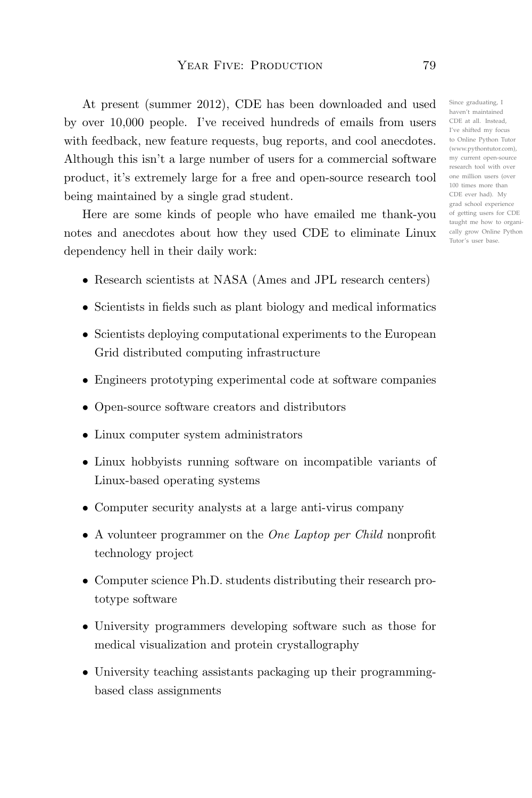At present (summer 2012), CDE has been downloaded and used  $\frac{Sine\,graduating, I}{Sine\,graduating, I}$ by over 10,000 people. I've received hundreds of emails from users with feedback, new feature requests, bug reports, and cool anecdotes. Although this isn't a large number of users for a commercial software product, it's extremely large for a free and open-source research tool being maintained by a single grad student.

Here are some kinds of people who have emailed me thank-you notes and anecdotes about how they used CDE to eliminate Linux dependency hell in their daily work:

- Research scientists at NASA (Ames and JPL research centers)
- *•* Scientists in fields such as plant biology and medical informatics
- Scientists deploying computational experiments to the European Grid distributed computing infrastructure
- *•* Engineers prototyping experimental code at software companies
- *•* Open-source software creators and distributors
- *•* Linux computer system administrators
- *•* Linux hobbyists running software on incompatible variants of Linux-based operating systems
- *•* Computer security analysts at a large anti-virus company
- *•* A volunteer programmer on the *One Laptop per Child* nonprofit technology project
- *•* Computer science Ph.D. students distributing their research prototype software
- *•* University programmers developing software such as those for medical visualization and protein crystallography
- University teaching assistants packaging up their programmingbased class assignments

haven't maintained CDE at all. Instead, I've shifted my focus to Online Python Tutor (www.pythontutor.com), my current open-source research tool with over one million users (over 100 times more than CDE ever had). My grad school experience of getting users for CDE taught me how to organically grow Online Python Tutor's user base.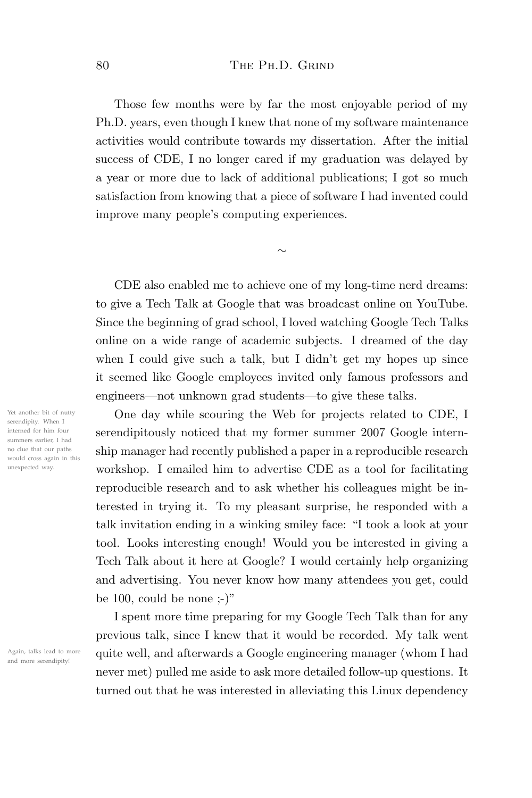Those few months were by far the most enjoyable period of my Ph.D. years, even though I knew that none of my software maintenance activities would contribute towards my dissertation. After the initial success of CDE, I no longer cared if my graduation was delayed by a year or more due to lack of additional publications; I got so much satisfaction from knowing that a piece of software I had invented could improve many people's computing experiences.

 $\sim$ 

CDE also enabled me to achieve one of my long-time nerd dreams: to give a Tech Talk at Google that was broadcast online on YouTube. Since the beginning of grad school, I loved watching Google Tech Talks online on a wide range of academic subjects. I dreamed of the day when I could give such a talk, but I didn't get my hopes up since it seemed like Google employees invited only famous professors and engineers—not unknown grad students—to give these talks.

Yet another bit of nutty One day while scouring the Web for projects related to CDE, I serendipitously noticed that my former summer 2007 Google internship manager had recently published a paper in a reproducible research workshop. I emailed him to advertise CDE as a tool for facilitating reproducible research and to ask whether his colleagues might be interested in trying it. To my pleasant surprise, he responded with a talk invitation ending in a winking smiley face: "I took a look at your tool. Looks interesting enough! Would you be interested in giving a Tech Talk about it here at Google? I would certainly help organizing and advertising. You never know how many attendees you get, could be 100, could be none  $;-$ "

I spent more time preparing for my Google Tech Talk than for any previous talk, since I knew that it would be recorded. [My talk](http://www.youtube.com/watch?feature=player_embedded&v=6XdwHo1BWwY) went  $\beta_{\text{gain, talks lead to more}}$  quite well, and afterwards a Google engineering manager (whom I had never met) pulled me aside to ask more detailed follow-up questions. It turned out that he was interested in alleviating this Linux dependency

serendipity. When I interned for him four summers earlier, I had no clue that our paths would cross again in this unexpected way.

and more serendipity!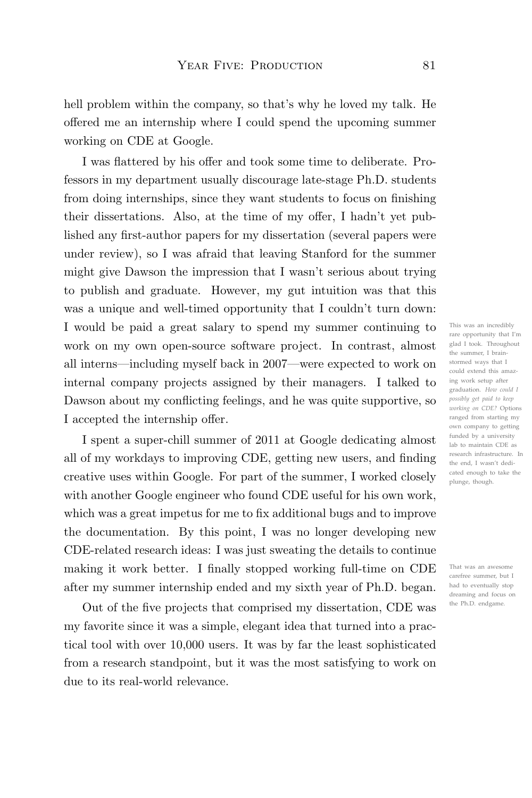hell problem within the company, so that's why he loved my talk. He offered me an internship where I could spend the upcoming summer working on CDE at Google.

I was flattered by his offer and took some time to deliberate. Professors in my department usually discourage late-stage Ph.D. students from doing internships, since they want students to focus on finishing their dissertations. Also, at the time of my offer, I hadn't yet published any first-author papers for my dissertation (several papers were under review), so I was afraid that leaving Stanford for the summer might give Dawson the impression that I wasn't serious about trying to publish and graduate. However, my gut intuition was that this was a unique and well-timed opportunity that I couldn't turn down: I would be paid a great salary to spend my summer continuing to This was an incredibly work on my own open-source software project. In contrast, almost all interns—including myself back in 2007—were expected to work on internal company projects assigned by their managers. I talked to Dawson about my conflicting feelings, and he was quite supportive, so I accepted the internship offer.

I spent a super-chill summer of 2011 at Google dedicating almost all of my workdays to improving CDE, getting new users, and finding creative uses within Google. For part of the summer, I worked closely with another Google engineer who found CDE useful for his own work, which was a great impetus for me to fix additional bugs and to improve the documentation. By this point, I was no longer developing new CDE-related research ideas: I was just sweating the details to continue making it work better. I finally stopped working full-time on CDE That was an awesome after my summer internship ended and my sixth year of Ph.D. began.

Out of the five projects that comprised my dissertation, CDE was my favorite since it was a simple, elegant idea that turned into a practical tool with over 10,000 users. It was by far the least sophisticated from a research standpoint, but it was the most satisfying to work on due to its real-world relevance.

rare opportunity that I'm glad I took. Throughout the summer, I brainstormed ways that I could extend this amazing work setup after graduation. *How could I possibly get paid to keep working on CDE?* Options ranged from starting my own company to getting funded by a university lab to maintain CDE as research infrastructure. In the end, I wasn't dedicated enough to take the plunge, though.

carefree summer, but I had to eventually stop dreaming and focus on the Ph.D. endgame.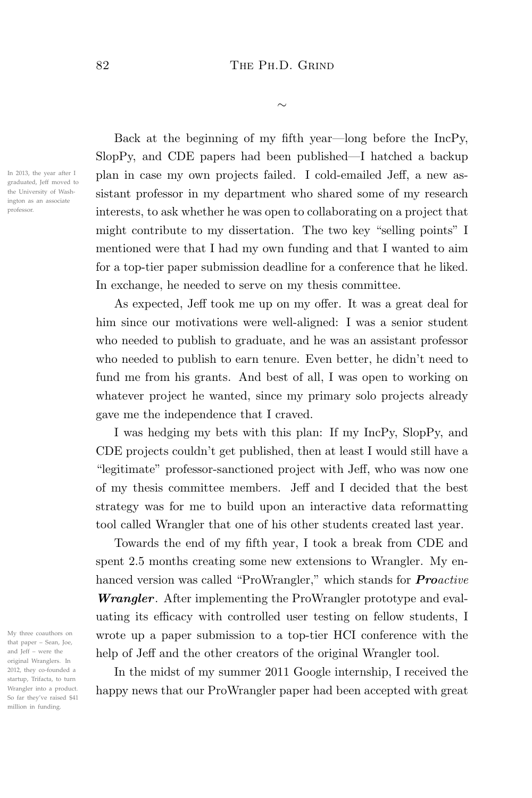$\sim$ 

graduated, Jeff moved to the University of Washington as an associate professor.

Back at the beginning of my fifth year—long before the IncPy, SlopPy, and CDE papers had been published—I hatched a backup In 2013, the year after I plan in case my own projects failed. I cold-emailed Jeff, a new assistant professor in my department who shared some of my research interests, to ask whether he was open to collaborating on a project that might contribute to my dissertation. The two key "selling points" I mentioned were that I had my own funding and that I wanted to aim for a top-tier paper submission deadline for a conference that he liked. In exchange, he needed to serve on my thesis committee.

> As expected, Jeff took me up on my offer. It was a great deal for him since our motivations were well-aligned: I was a senior student who needed to publish to graduate, and he was an assistant professor who needed to publish to earn tenure. Even better, he didn't need to fund me from his grants. And best of all, I was open to working on whatever project he wanted, since my primary solo projects already gave me the independence that I craved.

> I was hedging my bets with this plan: If my IncPy, SlopPy, and CDE projects couldn't get published, then at least I would still have a "legitimate" professor-sanctioned project with Jeff, who was now one of my thesis committee members. Jeff and I decided that the best strategy was for me to build upon an interactive data reformatting tool called Wrangler that one of his other students created last year.

Towards the end of my fifth year, I took a break from CDE and spent 2.5 months creating some new extensions to Wrangler. My enhanced version was called "ProWrangler," which stands for *Proactive Wrangler*. After implementing the ProWrangler prototype and evaluating its efficacy with controlled user testing on fellow students, I  $My$  three coauthors on wrote up a paper submission to a top-tier HCI conference with the help of Jeff and the other creators of the original Wrangler tool.

> In the midst of my summer 2011 Google internship, I received the happy news that our [ProWrangler paper](http://www.pgbovine.net/projects/pubs/prowrangler_uist11_camera_ready.pdf) had been accepted with great

that paper – Sean, Joe, and Jeff – were the original Wranglers. In 2012, they co-founded a startup, Trifacta, to turn Wrangler into a product. So far they've raised \$41 million in funding.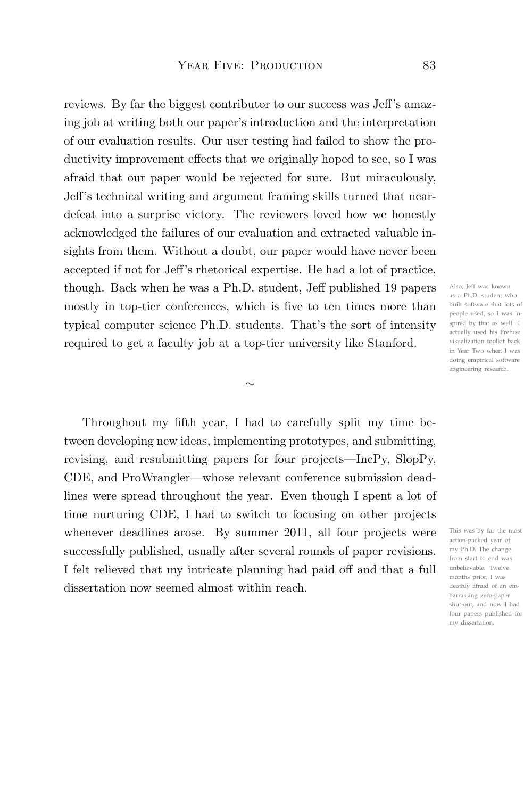reviews. By far the biggest contributor to our success was Jeff's amazing job at writing both our paper's introduction and the interpretation of our evaluation results. Our user testing had failed to show the productivity improvement effects that we originally hoped to see, so I was afraid that our paper would be rejected for sure. But miraculously, Jeff's technical writing and argument framing skills turned that neardefeat into a surprise victory. The reviewers loved how we honestly acknowledged the failures of our evaluation and extracted valuable insights from them. Without a doubt, our paper would have never been accepted if not for Jeff's rhetorical expertise. He had a lot of practice, though. Back when he was a Ph.D. student, Jeff published 19 papers Also, Jeff was known mostly in top-tier conferences, which is five to ten times more than typical computer science Ph.D. students. That's the sort of intensity required to get a faculty job at a top-tier university like Stanford.

as a Ph.D. student who built software that lots of people used, so I was inspired by that as well. I actually used his Prefuse visualization toolkit back in Year Two when I was doing empirical software engineering research.

Throughout my fifth year, I had to carefully split my time between developing new ideas, implementing prototypes, and submitting, revising, and resubmitting papers for four projects—IncPy, SlopPy, CDE, and ProWrangler—whose relevant conference submission deadlines were spread throughout the year. Even though I spent a lot of time nurturing CDE, I had to switch to focusing on other projects whenever deadlines arose. By summer 2011, all four projects were  $\frac{1}{1}$  This was by far the most successfully published, usually after several rounds of paper revisions. I felt relieved that my intricate planning had paid off and that a full dissertation now seemed almost within reach.

 $\sim$ 

action-packed year of my Ph.D. The change from start to end was unbelievable. Twelve months prior, I was deathly afraid of an embarrassing zero-paper shut-out, and now I had four papers published for my dissertation.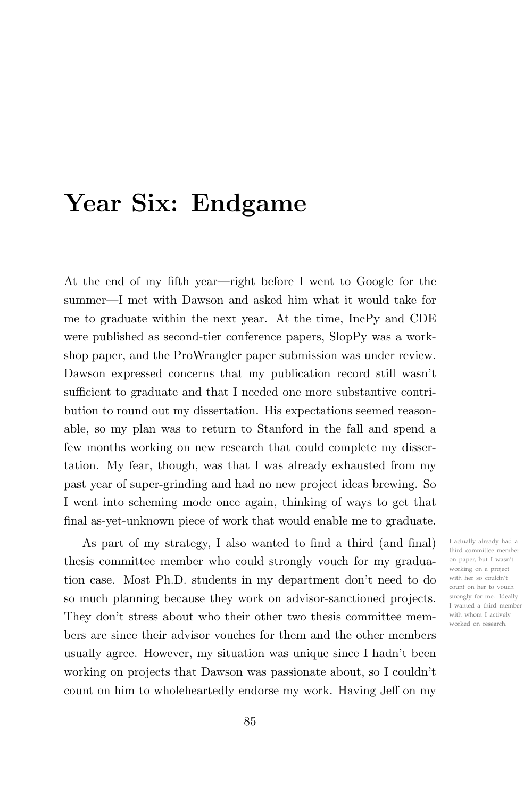## Year Six: Endgame

At the end of my fifth year—right before I went to Google for the summer—I met with Dawson and asked him what it would take for me to graduate within the next year. At the time, IncPy and CDE were published as second-tier conference papers, SlopPy was a workshop paper, and the ProWrangler paper submission was under review. Dawson expressed concerns that my publication record still wasn't sufficient to graduate and that I needed one more substantive contribution to round out my dissertation. His expectations seemed reasonable, so my plan was to return to Stanford in the fall and spend a few months working on new research that could complete my dissertation. My fear, though, was that I was already exhausted from my past year of super-grinding and had no new project ideas brewing. So I went into scheming mode once again, thinking of ways to get that final as-yet-unknown piece of work that would enable me to graduate.

As part of my strategy, I also wanted to find a third (and final) I actually already had a thesis committee member who could strongly vouch for my graduation case. Most Ph.D. students in my department don't need to do so much planning because they work on advisor-sanctioned projects. They don't stress about who their other two thesis committee members are since their advisor vouches for them and the other members usually agree. However, my situation was unique since I hadn't been working on projects that Dawson was passionate about, so I couldn't count on him to wholeheartedly endorse my work. Having Jeff on my

third committee member on paper, but I wasn't working on a project with her so couldn't count on her to vouch strongly for me. Ideally I wanted a third member with whom I actively worked on research.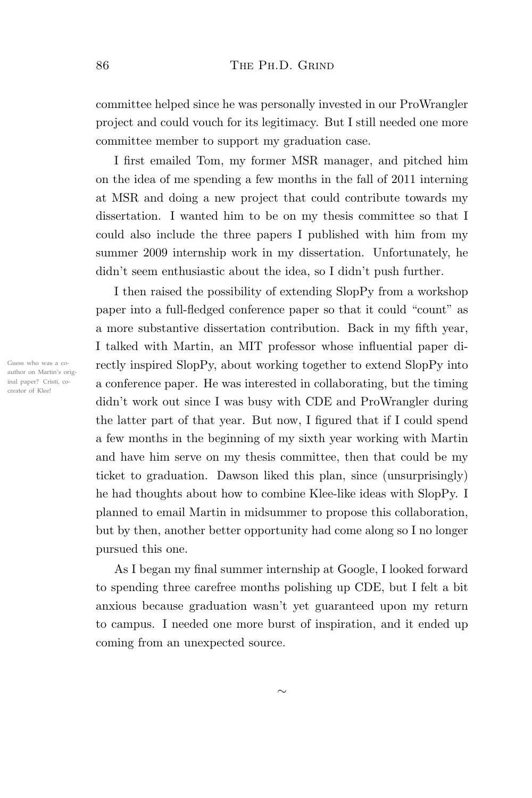committee helped since he was personally invested in our ProWrangler project and could vouch for its legitimacy. But I still needed one more committee member to support my graduation case.

I first emailed Tom, my former MSR manager, and pitched him on the idea of me spending a few months in the fall of 2011 interning at MSR and doing a new project that could contribute towards my dissertation. I wanted him to be on my thesis committee so that I could also include the three papers I published with him from my summer 2009 internship work in my dissertation. Unfortunately, he didn't seem enthusiastic about the idea, so I didn't push further.

I then raised the possibility of extending SlopPy from a workshop paper into a full-fledged conference paper so that it could "count" as a more substantive dissertation contribution. Back in my fifth year, I talked with Martin, an MIT professor whose influential paper di-Guess who was a co- $\operatorname{rectly}$  inspired SlopPy, about working together to extend SlopPy into  $\sum_{\text{crelator of Kleel}}^{\text{ind paper? Crist, co-}}$  a conference paper. He was interested in collaborating, but the timing didn't work out since I was busy with CDE and ProWrangler during the latter part of that year. But now, I figured that if I could spend a few months in the beginning of my sixth year working with Martin and have him serve on my thesis committee, then that could be my ticket to graduation. Dawson liked this plan, since (unsurprisingly) he had thoughts about how to combine Klee-like ideas with SlopPy. I planned to email Martin in midsummer to propose this collaboration, but by then, another better opportunity had come along so I no longer pursued this one.

> As I began my final summer internship at Google, I looked forward to spending three carefree months polishing up CDE, but I felt a bit anxious because graduation wasn't yet guaranteed upon my return to campus. I needed one more burst of inspiration, and it ended up coming from an unexpected source.

author on Martin's original paper? Cristi, co-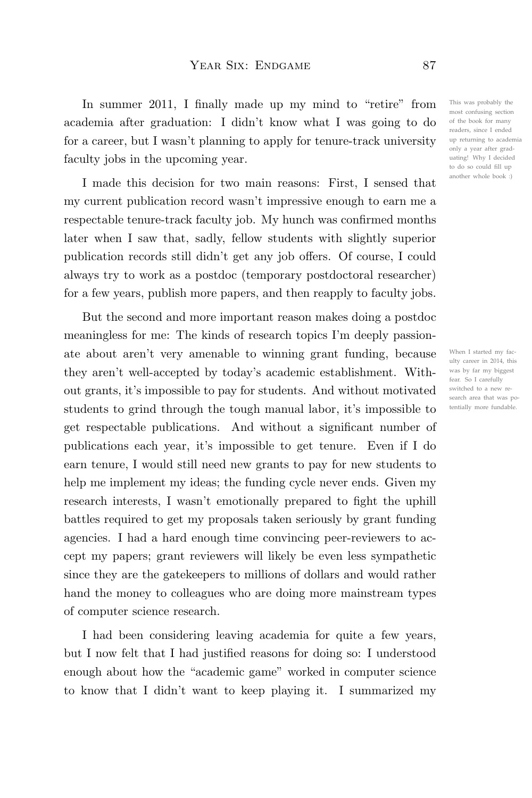In summer 2011, I finally made up my mind to "retire" from This was probably the academia after graduation: I didn't know what I was going to do for a career, but I wasn't planning to apply for tenure-track university faculty jobs in the upcoming year.

I made this decision for two main reasons: First, I sensed that my current publication record wasn't impressive enough to earn me a respectable tenure-track faculty job. My hunch was confirmed months later when I saw that, sadly, fellow students with slightly superior publication records still didn't get any job offers. Of course, I could always try to work as a postdoc (temporary postdoctoral researcher) for a few years, publish more papers, and then reapply to faculty jobs.

But the second and more important reason makes doing a postdoc meaningless for me: The kinds of research topics I'm deeply passionate about aren't very amenable to winning grant funding, because When I started my facthey aren't well-accepted by today's academic establishment. Without grants, it's impossible to pay for students. And without motivated students to grind through the tough manual labor, it's impossible to get respectable publications. And without a significant number of publications each year, it's impossible to get tenure. Even if I do earn tenure, I would still need new grants to pay for new students to help me implement my ideas; the funding cycle never ends. Given my research interests, I wasn't emotionally prepared to fight the uphill battles required to get my proposals taken seriously by grant funding agencies. I had a hard enough time convincing peer-reviewers to accept my papers; grant reviewers will likely be even less sympathetic since they are the gatekeepers to millions of dollars and would rather hand the money to colleagues who are doing more mainstream types of computer science research.

I had been considering leaving academia for quite a few years, but I now felt that I had justified reasons for doing so: I understood enough about how the "academic game" worked in computer science to know that I didn't want to keep playing it. I summarized my

ulty career in 2014, this was by far my biggest fear. So I carefully switched to a new research area that was potentially more fundable.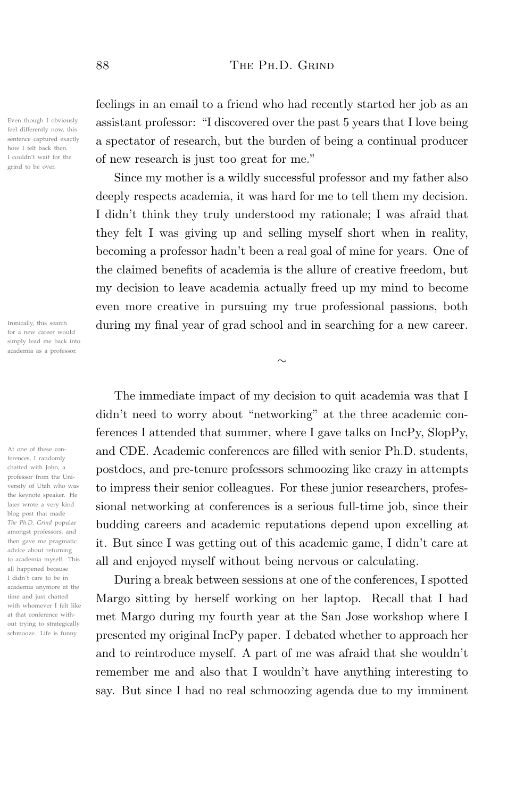feelings in an email to a friend who had recently started her job as an Even though I obviously assistant professor: "I discovered over the past  $5$  years that I love being a spectator of research, but the burden of being a continual producer of new research is just too great for me."

Since my mother is a wildly successful professor and my father also deeply respects academia, it was hard for me to tell them my decision. I didn't think they truly understood my rationale; I was afraid that they felt I was giving up and selling myself short when in reality, becoming a professor hadn't been a real goal of mine for years. One of the claimed benefits of academia is the allure of creative freedom, but my decision to leave academia actually freed up my mind to become even more creative in pursuing my true professional passions, both Ironically, this search during my final year of grad school and in searching for a new career.

 $\sim$ 

The immediate impact of my decision to quit academia was that I didn't need to worry about "networking" at the three academic conferences I attended that summer, where I gave talks on IncPy, SlopPy, At one of these con-<br> **And CDE.** Academic conferences are filled with senior Ph.D. students, postdocs, and pre-tenure professors schmoozing like crazy in attempts to impress their senior colleagues. For these junior researchers, professional networking at conferences is a serious full-time job, since their budding careers and academic reputations depend upon excelling at it. But since I was getting out of this academic game, I didn't care at all and enjoyed myself without being nervous or calculating.

> During a break between sessions at one of the conferences, I spotted Margo sitting by herself working on her laptop. Recall that I had met Margo during my fourth year at the San Jose workshop where I presented my original IncPy paper. I debated whether to approach her and to reintroduce myself. A part of me was afraid that she wouldn't remember me and also that I wouldn't have anything interesting to say. But since I had no real schmoozing agenda due to my imminent

feel differently now, this sentence captured exactly how I felt back then. I couldn't wait for the grind to be over.

for a new career would simply lead me back into academia as a professor.

ferences, I randomly chatted with John, a professor from the University of Utah who was the keynote speaker. He later wrote a very kind blog post that made *The Ph.D. Grind* popular amongst professors, and then gave me pragmatic advice about returning to academia myself. This all happened because I didn't care to be in academia anymore at the time and just chatted with whomever I felt like at that conference without trying to strategically schmooze. Life is funny.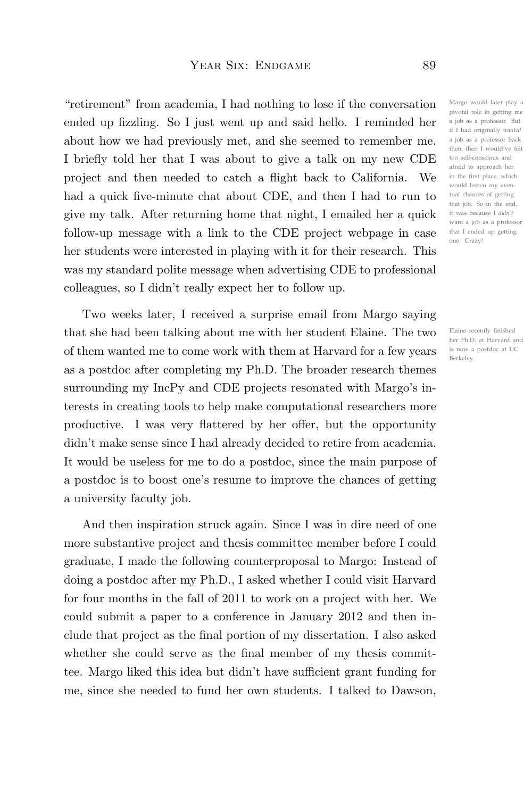"retirement" from academia, I had nothing to lose if the conversation Margo would later play a ended up fizzling. So I just went up and said hello. I reminded her about how we had previously met, and she seemed to remember me. I briefly told her that I was about to give a talk on my new CDE project and then needed to catch a flight back to California. We had a quick five-minute chat about CDE, and then I had to run to give my talk. After returning home that night, I emailed her a quick follow-up message with a link to the [CDE project webpage](http://www.pgbovine.net/cde.html) in case her students were interested in playing with it for their research. This was my standard polite message when advertising CDE to professional colleagues, so I didn't really expect her to follow up.

Two weeks later, I received a surprise email from Margo saying that she had been talking about me with her student Elaine. The two Elaine recently finished of them wanted me to come work with them at Harvard for a few years as a postdoc after completing my Ph.D. The broader research themes surrounding my IncPy and CDE projects resonated with Margo's interests in creating tools to help make computational researchers more productive. I was very flattered by her offer, but the opportunity didn't make sense since I had already decided to retire from academia. It would be useless for me to do a postdoc, since the main purpose of a postdoc is to boost one's resume to improve the chances of getting a university faculty job.

And then inspiration struck again. Since I was in dire need of one more substantive project and thesis committee member before I could graduate, I made the following counterproposal to Margo: Instead of doing a postdoc after my Ph.D., I asked whether I could visit Harvard for four months in the fall of 2011 to work on a project with her. We could submit a paper to a conference in January 2012 and then include that project as the final portion of my dissertation. I also asked whether she could serve as the final member of my thesis committee. Margo liked this idea but didn't have sufficient grant funding for me, since she needed to fund her own students. I talked to Dawson,

her Ph.D. at Harvard and is now a postdoc at UC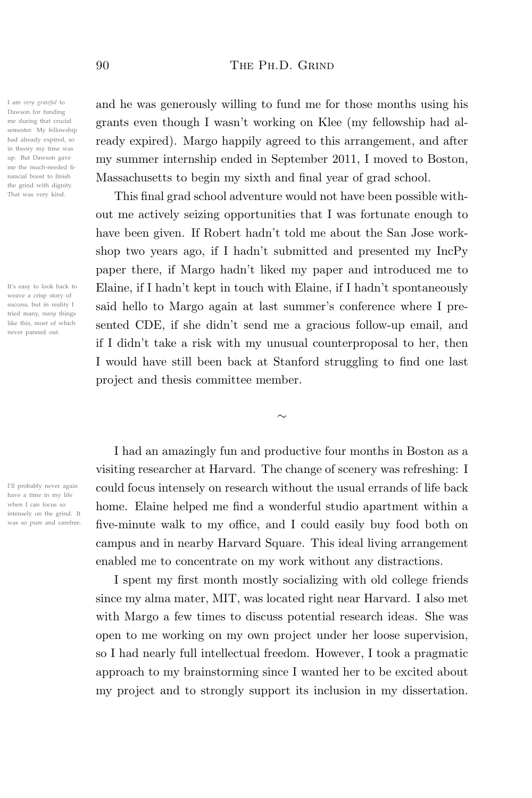Dawson for funding me during that crucial semester. My fellowship had already expired, so in theory my time was up. But Dawson gave me the much-needed financial boost to finish the grind with dignity. That was very kind.

weave a crisp story of success, but in reality I tried many, *many* things like this, most of which never panned out.

have a time in my life when I can focus so intensely on the grind. It was so pure and carefree.

I am *very grateful* to and he was generously willing to fund me for those months using his grants even though I wasn't working on Klee (my fellowship had already expired). Margo happily agreed to this arrangement, and after my summer internship ended in September 2011, I moved to Boston, Massachusetts to begin my sixth and final year of grad school.

This final grad school adventure would not have been possible without me actively seizing opportunities that I was fortunate enough to have been given. If Robert hadn't told me about the San Jose workshop two years ago, if I hadn't submitted and presented my IncPy paper there, if Margo hadn't liked my paper and introduced me to It's easy to look back to Elaine, if I hadn't kept in touch with Elaine, if I hadn't spontaneously said hello to Margo again at last summer's conference where I presented CDE, if she didn't send me a gracious follow-up email, and if I didn't take a risk with my unusual counterproposal to her, then I would have still been back at Stanford struggling to find one last project and thesis committee member.

I had an amazingly fun and productive four months in Boston as a visiting researcher at Harvard. The change of scenery was refreshing: I <sup>I'll probably never again</sup> could focus intensely on research without the usual errands of life back home. Elaine helped me find a wonderful studio apartment within a five-minute walk to my office, and I could easily buy food both on campus and in nearby Harvard Square. This ideal living arrangement enabled me to concentrate on my work without any distractions.

 $\sim$ 

I spent my first month mostly socializing with old college friends since my alma mater, MIT, was located right near Harvard. I also met with Margo a few times to discuss potential research ideas. She was open to me working on my own project under her loose supervision, so I had nearly full intellectual freedom. However, I took a pragmatic approach to my brainstorming since I wanted her to be excited about my project and to strongly support its inclusion in my dissertation.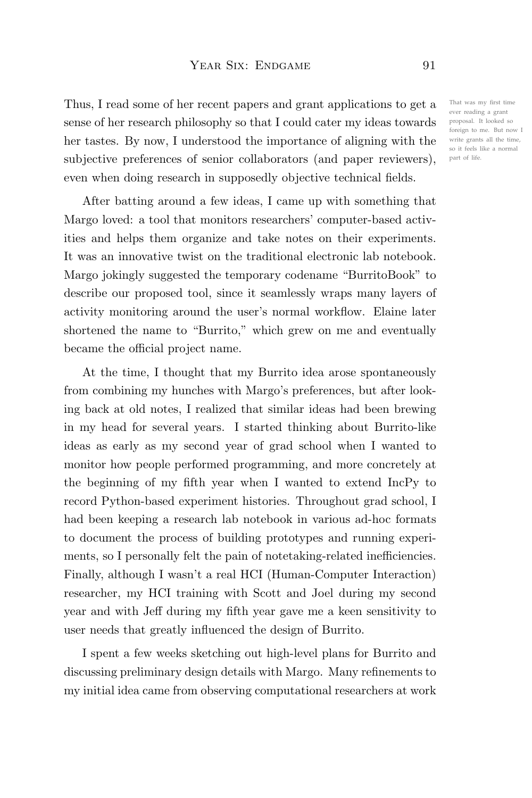Thus, I read some of her recent papers and grant applications to get a That was my first time sense of her research philosophy so that I could cater my ideas towards her tastes. By now, I understood the importance of aligning with the subjective preferences of senior collaborators (and paper reviewers), even when doing research in supposedly objective technical fields.

After batting around a few ideas, I came up with something that Margo loved: a tool that monitors researchers' computer-based activities and helps them organize and take notes on their experiments. It was an innovative twist on the traditional electronic lab notebook. Margo jokingly suggested the temporary codename "BurritoBook" to describe our proposed tool, since it seamlessly wraps many layers of activity monitoring around the user's normal workflow. Elaine later shortened the name to "Burrito," which grew on me and eventually became the official project name.

At the time, I thought that my Burrito idea arose spontaneously from combining my hunches with Margo's preferences, but after looking back at old notes, I realized that similar ideas had been brewing in my head for several years. I started thinking about Burrito-like ideas as early as my second year of grad school when I wanted to monitor how people performed programming, and more concretely at the beginning of my fifth year when I wanted to extend IncPy to record Python-based experiment histories. Throughout grad school, I had been keeping a research lab notebook in various ad-hoc formats to document the process of building prototypes and running experiments, so I personally felt the pain of notetaking-related inefficiencies. Finally, although I wasn't a real HCI (Human-Computer Interaction) researcher, my HCI training with Scott and Joel during my second year and with Jeff during my fifth year gave me a keen sensitivity to user needs that greatly influenced the design of Burrito.

I spent a few weeks sketching out high-level plans for Burrito and discussing preliminary design details with Margo. Many refinements to my initial idea came from observing computational researchers at work ever reading a grant proposal. It looked so foreign to me. But now I write grants all the time, so it feels like a normal part of life.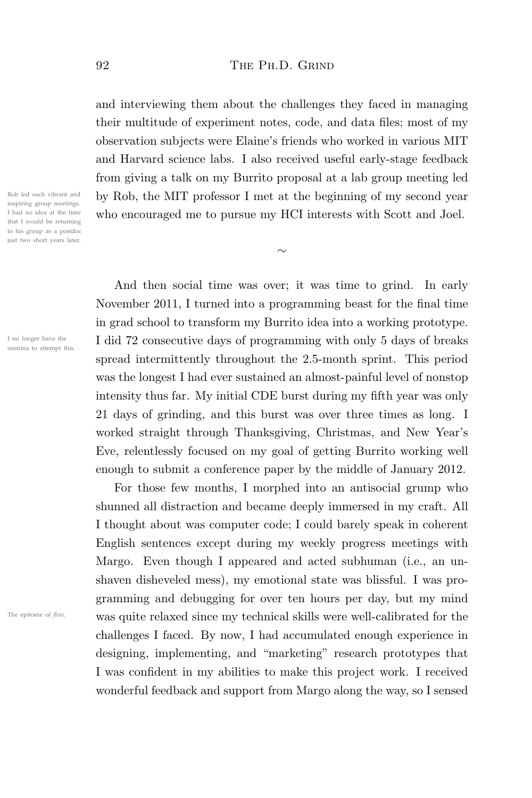and interviewing them about the challenges they faced in managing their multitude of experiment notes, code, and data files; most of my observation subjects were Elaine's friends who worked in various MIT and Harvard science labs. I also received useful early-stage feedback from giving a talk on my Burrito proposal at a lab group meeting led Rob led such vibrant and by Rob, the MIT professor I met at the beginning of my second year who encouraged me to pursue my HCI interests with Scott and Joel.

 $\sim$ 

inspiring group meetings. I had no idea at the time that I would be returning to his group as a postdoc just two short years later.

stamina to attempt this.

And then social time was over; it was time to grind. In early November 2011, I turned into a programming beast for the final time in grad school to transform my Burrito idea into a working prototype. I no longer have the I did 72 consecutive days of programming with only 5 days of breaks spread intermittently throughout the 2.5-month sprint. This period was the longest I had ever sustained an almost-painful level of nonstop intensity thus far. My initial CDE burst during my fifth year was only 21 days of grinding, and this burst was over three times as long. I worked straight through Thanksgiving, Christmas, and New Year's Eve, relentlessly focused on my goal of getting Burrito working well enough to submit a conference paper by the middle of January 2012.

For those few months, I morphed into an antisocial grump who shunned all distraction and became deeply immersed in my craft. All I thought about was computer code; I could barely speak in coherent English sentences except during my weekly progress meetings with Margo. Even though I appeared and acted subhuman (i.e., an unshaven disheveled mess), my emotional state was blissful. I was programming and debugging for over ten hours per day, but my mind The epitome of *flow*. was quite relaxed since my technical skills were well-calibrated for the challenges I faced. By now, I had accumulated enough experience in designing, implementing, and "marketing" research prototypes that I was confident in my abilities to make this project work. I received wonderful feedback and support from Margo along the way, so I sensed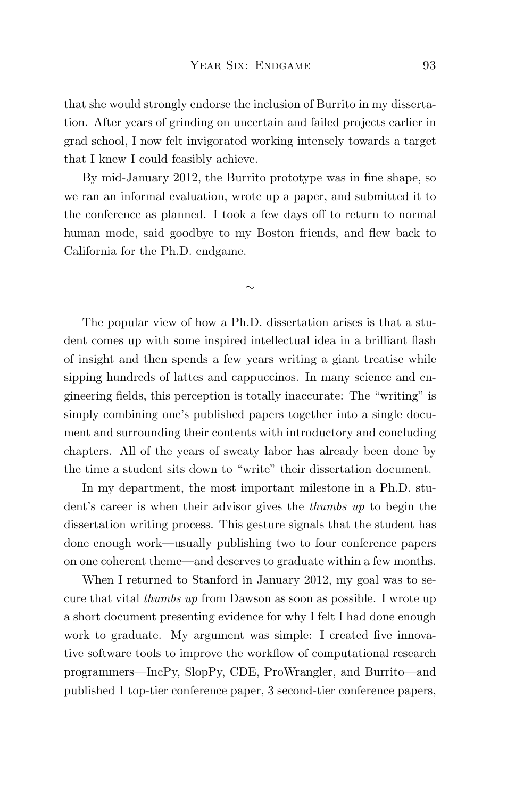that she would strongly endorse the inclusion of Burrito in my dissertation. After years of grinding on uncertain and failed projects earlier in grad school, I now felt invigorated working intensely towards a target that I knew I could feasibly achieve.

By mid-January 2012, the Burrito prototype was in fine shape, so we ran an informal evaluation, wrote up a paper, and submitted it to the conference as planned. I took a few days off to return to normal human mode, said goodbye to my Boston friends, and flew back to California for the Ph.D. endgame.

 $\sim$ 

The popular view of how a Ph.D. dissertation arises is that a student comes up with some inspired intellectual idea in a brilliant flash of insight and then spends a few years writing a giant treatise while sipping hundreds of lattes and cappuccinos. In many science and engineering fields, this perception is totally inaccurate: The "writing" is simply combining one's published papers together into a single document and surrounding their contents with introductory and concluding chapters. All of the years of sweaty labor has already been done by the time a student sits down to "write" their dissertation document.

In my department, the most important milestone in a Ph.D. student's career is when their advisor gives the *thumbs up* to begin the dissertation writing process. This gesture signals that the student has done enough work—usually publishing two to four conference papers on one coherent theme—and deserves to graduate within a few months.

When I returned to Stanford in January 2012, my goal was to secure that vital *thumbs up* from Dawson as soon as possible. I wrote up a short document presenting evidence for why I felt I had done enough work to graduate. My argument was simple: I created five innovative software tools to improve the workflow of computational research programmers—IncPy, SlopPy, CDE, ProWrangler, and Burrito—and published 1 top-tier conference paper, 3 second-tier conference papers,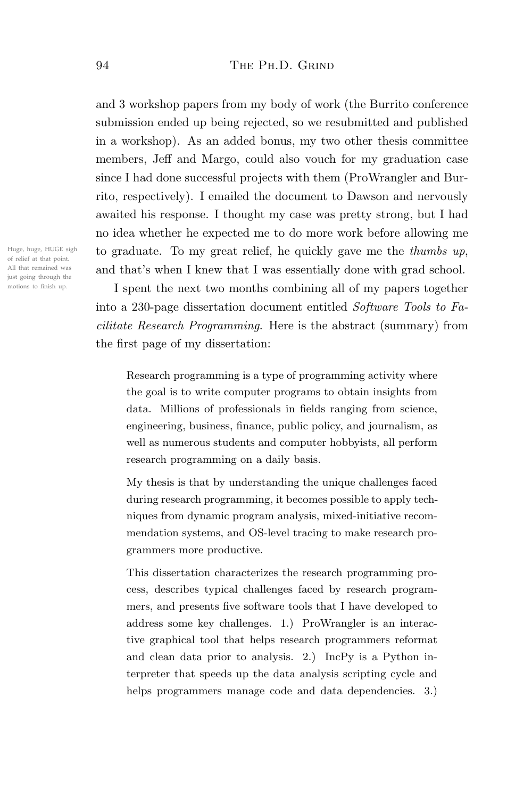and 3 workshop papers from my body of work (the Burrito conference submission ended up being rejected, so we resubmitted and published [in a workshop\)](http://www.pgbovine.net/projects/pubs/guo_burrito_tapp_2012.pdf). As an added bonus, my two other thesis committee members, Jeff and Margo, could also vouch for my graduation case since I had done successful projects with them (ProWrangler and Burrito, respectively). I emailed the document to Dawson and nervously awaited his response. I thought my case was pretty strong, but I had no idea whether he expected me to do more work before allowing me to graduate. To my great relief, he quickly gave me the *thumbs up*, Huge, huge, HUGE sigh and that's when I knew that I was essentially done with grad school.

> I spent the next two months combining all of my papers together into a 230-page dissertation document entitled *Software Tools to Facilitate Research Programming*. Here is the abstract (summary) from the first page of my dissertation:

Research programming is a type of programming activity where the goal is to write computer programs to obtain insights from data. Millions of professionals in fields ranging from science, engineering, business, finance, public policy, and journalism, as well as numerous students and computer hobbyists, all perform research programming on a daily basis.

My thesis is that by understanding the unique challenges faced during research programming, it becomes possible to apply techniques from dynamic program analysis, mixed-initiative recommendation systems, and OS-level tracing to make research programmers more productive.

This dissertation characterizes the research programming process, describes typical challenges faced by research programmers, and presents five software tools that I have developed to address some key challenges. 1.) ProWrangler is an interactive graphical tool that helps research programmers reformat and clean data prior to analysis. 2.) IncPy is a Python interpreter that speeds up the data analysis scripting cycle and helps programmers manage code and data dependencies. 3.)

of relief at that point. All that remained was just going through the motions to finish up.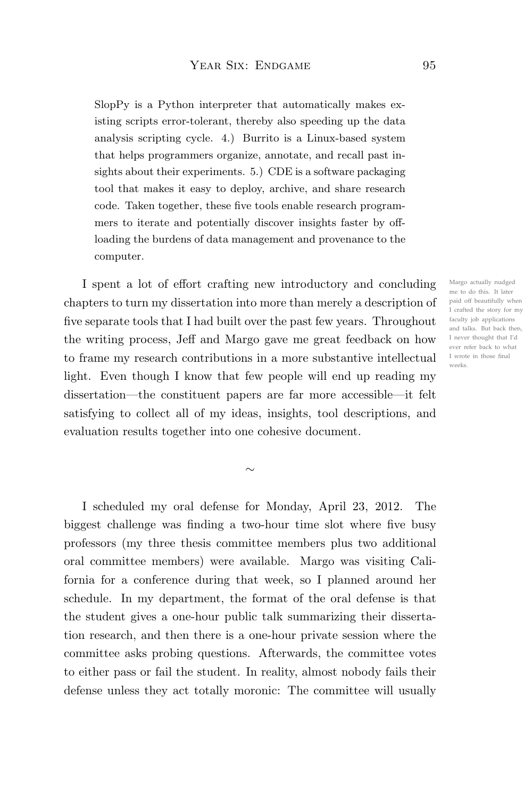SlopPy is a Python interpreter that automatically makes existing scripts error-tolerant, thereby also speeding up the data analysis scripting cycle. 4.) Burrito is a Linux-based system that helps programmers organize, annotate, and recall past insights about their experiments. 5.) CDE is a software packaging tool that makes it easy to deploy, archive, and share research code. Taken together, these five tools enable research programmers to iterate and potentially discover insights faster by offloading the burdens of data management and provenance to the computer.

I spent a lot of effort crafting new introductory and concluding Margo actually nudged chapters to turn my dissertation into more than merely a description of five separate tools that I had built over the past few years. Throughout the writing process, Jeff and Margo gave me great feedback on how to frame my research contributions in a more substantive intellectual light. Even though I know that few people will end up reading my dissertation—the constituent papers are far more accessible—it felt satisfying to collect all of my ideas, insights, tool descriptions, and evaluation results together into [one cohesive document.](http://www.pgbovine.net/projects/pubs/guo_phd_dissertation.pdf)

me to do this. It later paid off beautifully when I crafted the story for my faculty job applications and talks. But back then, I never thought that I'd ever refer back to what I wrote in those final weeks.

 $\sim$ 

I scheduled my oral defense for Monday, April 23, 2012. The biggest challenge was finding a two-hour time slot where five busy professors (my three thesis committee members plus two additional oral committee members) were available. Margo was visiting California for a conference during that week, so I planned around her schedule. In my department, the format of the oral defense is that the student gives a one-hour public talk summarizing their dissertation research, and then there is a one-hour private session where the committee asks probing questions. Afterwards, the committee votes to either pass or fail the student. In reality, almost nobody fails their defense unless they act totally moronic: The committee will usually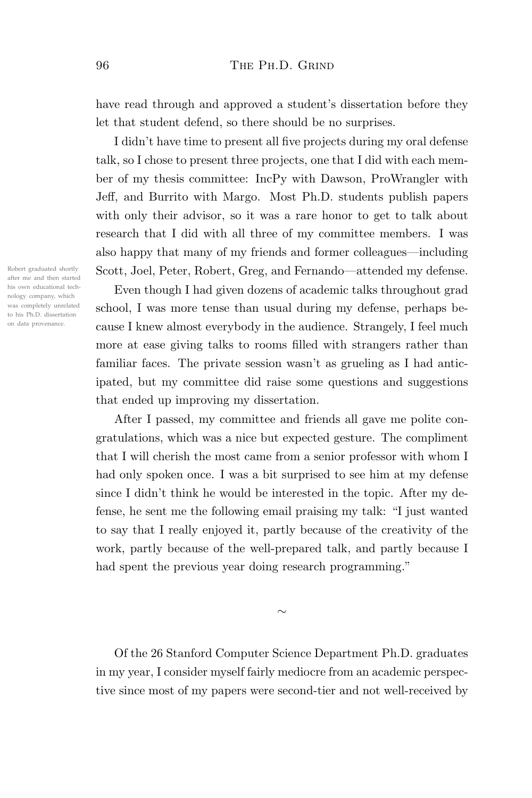have read through and approved a student's dissertation before they let that student defend, so there should be no surprises.

I didn't have time to present all five projects during my oral defense talk, so I chose to present three projects, one that I did with each member of my thesis committee: IncPy with Dawson, ProWrangler with Jeff, and Burrito with Margo. Most Ph.D. students publish papers with only their advisor, so it was a rare honor to get to talk about research that I did with all three of my committee members. I was also happy that many of my friends and former colleagues—including Robert graduated shortly Scott, Joel, Peter, Robert, Greg, and Fernando—attended my defense.

> Even though I had given dozens of academic talks throughout grad school, I was more tense than usual during my defense, perhaps because I knew almost everybody in the audience. Strangely, I feel much more at ease giving talks to rooms filled with strangers rather than familiar faces. The private session wasn't as grueling as I had anticipated, but my committee did raise some questions and suggestions that ended up improving my dissertation.

> After I passed, my committee and friends all gave me polite congratulations, which was a nice but expected gesture. The compliment that I will cherish the most came from a senior professor with whom I had only spoken once. I was a bit surprised to see him at my defense since I didn't think he would be interested in the topic. After my defense, he sent me the following email praising my talk: "I just wanted to say that I really enjoyed it, partly because of the creativity of the work, partly because of the well-prepared talk, and partly because I had spent the previous year doing research programming."

> Of the 26 Stanford Computer Science Department Ph.D. graduates in my year, I consider myself fairly mediocre from an academic perspective since most of my papers were second-tier and not well-received by

 $\sim$ 

after me and then started his own educational technology company, which was completely unrelated to his Ph.D. dissertation on data provenance.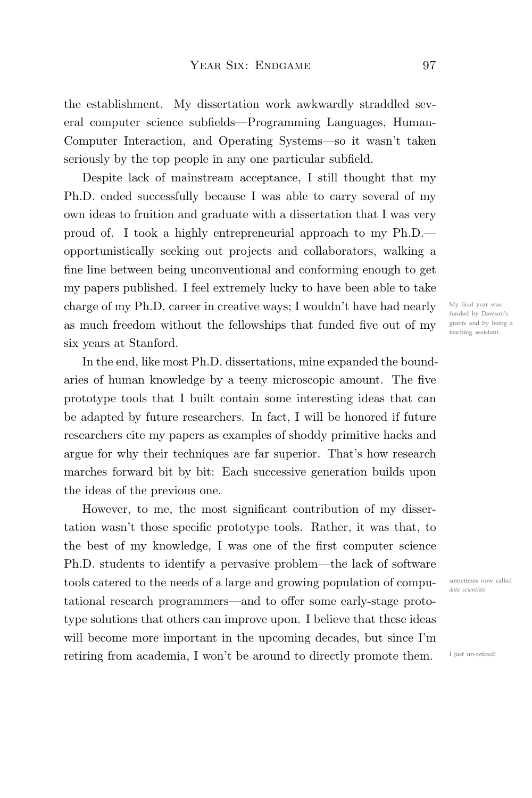the establishment. My dissertation work awkwardly straddled several computer science subfields—Programming Languages, Human-Computer Interaction, and Operating Systems—so it wasn't taken seriously by the top people in any one particular subfield.

Despite lack of mainstream acceptance, I still thought that my Ph.D. ended successfully because I was able to carry several of my own ideas to fruition and graduate with a dissertation that I was very proud of. I took a highly entrepreneurial approach to my Ph.D. opportunistically seeking out projects and collaborators, walking a fine line between being unconventional and conforming enough to get my papers published. I feel extremely lucky to have been able to take charge of my Ph.D. career in creative ways; I wouldn't have had nearly My final year was as much freedom without the fellowships that funded five out of my  $\frac{\text{grants and by bei}}{\text{teaching assistant}}$ six years at Stanford.

In the end, like most Ph.D. dissertations, mine expanded the boundaries of human knowledge by a teeny microscopic amount. The five prototype tools that I built contain some interesting ideas that can be adapted by future researchers. In fact, I will be honored if future researchers cite my papers as examples of shoddy primitive hacks and argue for why their techniques are far superior. That's how research marches forward bit by bit: Each successive generation builds upon the ideas of the previous one.

However, to me, the most significant contribution of my dissertation wasn't those specific prototype tools. Rather, it was that, to the best of my knowledge, I was one of the first computer science Ph.D. students to identify a pervasive problem—the lack of software tools catered to the needs of a large and growing population of computational research programmers—and to offer some early-stage prototype solutions that others can improve upon. I believe that these ideas will become more important in the upcoming decades, but since I'm retiring from academia, I won't be around to directly promote them. I just un-retired!

funded by Dawson's grants and by being a

*data scientists*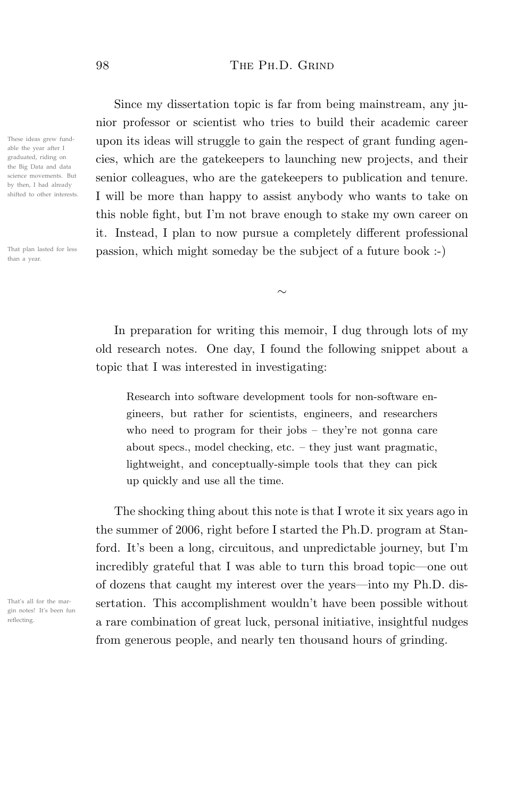able the year after I graduated, riding on the Big Data and data science movements. But by then, I had already shifted to other interests.

than a year.

Since my dissertation topic is far from being mainstream, any junior professor or scientist who tries to build their academic career These ideas grew fund-<br>
upon its ideas will struggle to gain the respect of grant funding agencies, which are the gatekeepers to launching new projects, and their senior colleagues, who are the gatekeepers to publication and tenure. I will be more than happy to assist anybody who wants to take on this noble fight, but I'm not brave enough to stake my own career on it. Instead, I plan to now pursue a completely different professional That plan lasted for less **passion**, which might someday be the subject of a future book :-)

> In preparation for writing this memoir, I dug through lots of my old research notes. One day, I found the following snippet about a topic that I was interested in investigating:

 $\sim$ 

Research into software development tools for non-software engineers, but rather for scientists, engineers, and researchers who need to program for their jobs – they're not gonna care about specs., model checking, etc. – they just want pragmatic, lightweight, and conceptually-simple tools that they can pick up quickly and use all the time.

The shocking thing about this note is that I wrote it six years ago in the summer of 2006, right before I started the Ph.D. program at Stanford. It's been a long, circuitous, and unpredictable journey, but I'm incredibly grateful that I was able to turn this broad topic—one out of dozens that caught my interest over the years—into my Ph.D. dis-That's all for the mar-<br>sertation. This accomplishment wouldn't have been possible without a rare combination of great luck, personal initiative, insightful nudges from generous people, and nearly ten thousand hours of grinding.

gin notes! It's been fun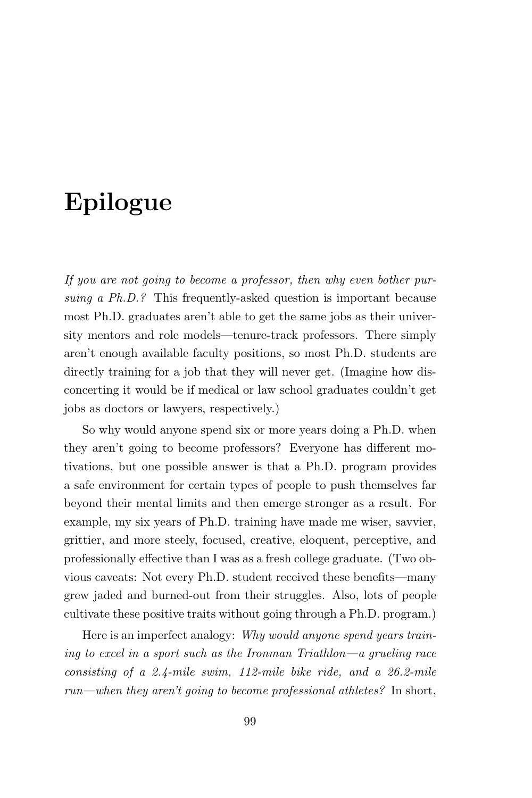## Epilogue

*If you are not going to become a professor, then why even bother pursuing a Ph.D.?* This frequently-asked question is important because most Ph.D. graduates aren't able to get the same jobs as their university mentors and role models—tenure-track professors. There simply aren't enough available faculty positions, so most Ph.D. students are directly training for a job that they will never get. (Imagine how disconcerting it would be if medical or law school graduates couldn't get jobs as doctors or lawyers, respectively.)

So why would anyone spend six or more years doing a Ph.D. when they aren't going to become professors? Everyone has different motivations, but one possible answer is that a Ph.D. program provides a safe environment for certain types of people to push themselves far beyond their mental limits and then emerge stronger as a result. For example, my six years of Ph.D. training have made me wiser, savvier, grittier, and more steely, focused, creative, eloquent, perceptive, and professionally effective than I was as a fresh college graduate. (Two obvious caveats: Not every Ph.D. student received these benefits—many grew jaded and burned-out from their struggles. Also, lots of people cultivate these positive traits without going through a Ph.D. program.)

Here is an imperfect analogy: *Why would anyone spend years training to excel in a sport such as the Ironman Triathlon—a grueling race consisting of a 2.4-mile swim, 112-mile bike ride, and a 26.2-mile run—when they aren't going to become professional athletes?* In short,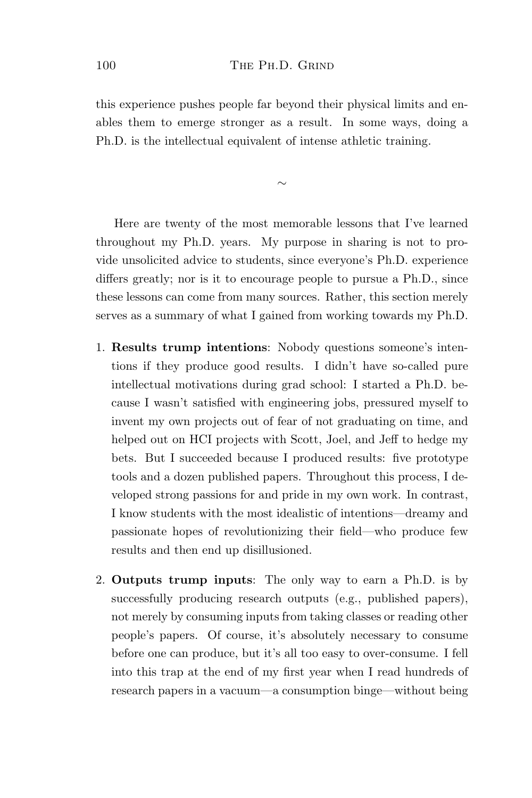this experience pushes people far beyond their physical limits and enables them to emerge stronger as a result. In some ways, doing a Ph.D. is the intellectual equivalent of intense athletic training.

 $\sim$ 

Here are twenty of the most memorable lessons that I've learned throughout my Ph.D. years. My purpose in sharing is not to provide unsolicited advice to students, since everyone's Ph.D. experience differs greatly; nor is it to encourage people to pursue a Ph.D., since these lessons can come from many sources. Rather, this section merely serves as a summary of what I gained from working towards my Ph.D.

- 1. Results trump intentions: Nobody questions someone's intentions if they produce good results. I didn't have so-called pure intellectual motivations during grad school: I started a Ph.D. because I wasn't satisfied with engineering jobs, pressured myself to invent my own projects out of fear of not graduating on time, and helped out on HCI projects with Scott, Joel, and Jeff to hedge my bets. But I succeeded because I produced results: five prototype tools and a dozen published papers. Throughout this process, I developed strong passions for and pride in my own work. In contrast, I know students with the most idealistic of intentions—dreamy and passionate hopes of revolutionizing their field—who produce few results and then end up disillusioned.
- 2. Outputs trump inputs: The only way to earn a Ph.D. is by successfully producing research outputs (e.g., published papers), not merely by consuming inputs from taking classes or reading other people's papers. Of course, it's absolutely necessary to consume before one can produce, but it's all too easy to over-consume. I fell into this trap at the end of my first year when I read hundreds of research papers in a vacuum—a consumption binge—without being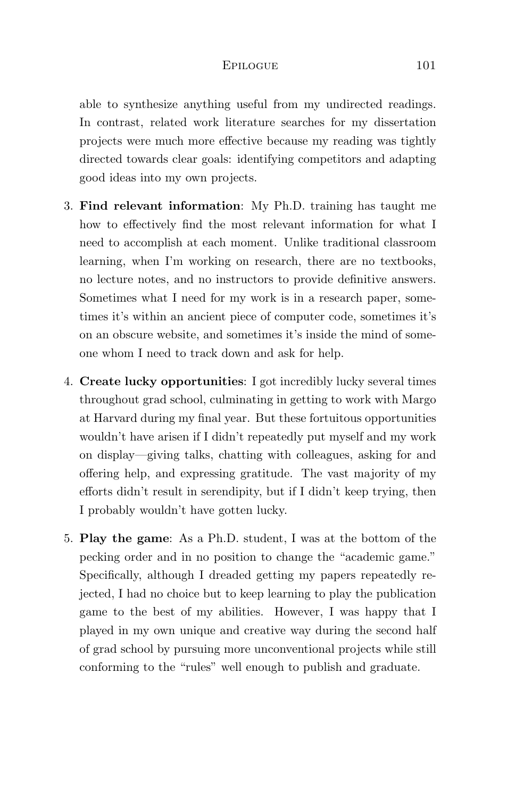able to synthesize anything useful from my undirected readings. In contrast, related work literature searches for my dissertation projects were much more effective because my reading was tightly directed towards clear goals: identifying competitors and adapting good ideas into my own projects.

- 3. Find relevant information: My Ph.D. training has taught me how to effectively find the most relevant information for what I need to accomplish at each moment. Unlike traditional classroom learning, when I'm working on research, there are no textbooks, no lecture notes, and no instructors to provide definitive answers. Sometimes what I need for my work is in a research paper, sometimes it's within an ancient piece of computer code, sometimes it's on an obscure website, and sometimes it's inside the mind of someone whom I need to track down and ask for help.
- 4. Create lucky opportunities: I got incredibly lucky several times throughout grad school, culminating in getting to work with Margo at Harvard during my final year. But these fortuitous opportunities wouldn't have arisen if I didn't repeatedly put myself and my work on display—giving talks, chatting with colleagues, asking for and offering help, and expressing gratitude. The vast majority of my efforts didn't result in serendipity, but if I didn't keep trying, then I probably wouldn't have gotten lucky.
- 5. Play the game: As a Ph.D. student, I was at the bottom of the pecking order and in no position to change the "academic game." Specifically, although I dreaded getting my papers repeatedly rejected, I had no choice but to keep learning to play the publication game to the best of my abilities. However, I was happy that I played in my own unique and creative way during the second half of grad school by pursuing more unconventional projects while still conforming to the "rules" well enough to publish and graduate.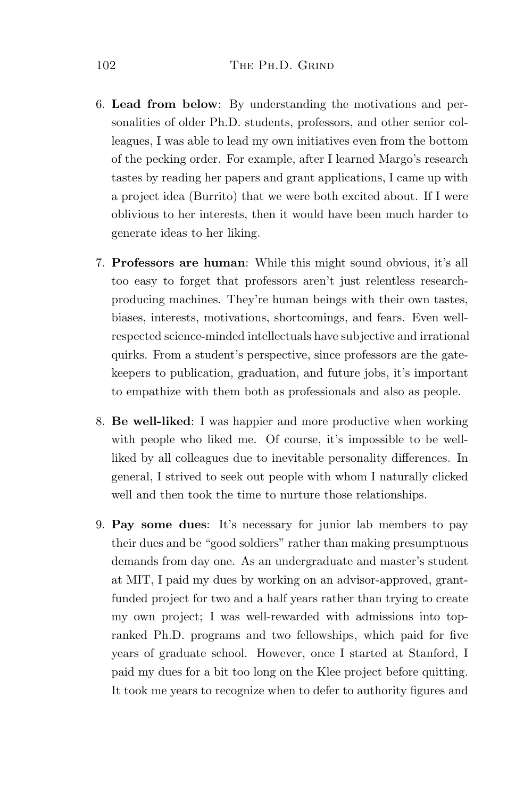- 6. Lead from below: By understanding the motivations and personalities of older Ph.D. students, professors, and other senior colleagues, I was able to lead my own initiatives even from the bottom of the pecking order. For example, after I learned Margo's research tastes by reading her papers and grant applications, I came up with a project idea (Burrito) that we were both excited about. If I were oblivious to her interests, then it would have been much harder to generate ideas to her liking.
- 7. Professors are human: While this might sound obvious, it's all too easy to forget that professors aren't just relentless researchproducing machines. They're human beings with their own tastes, biases, interests, motivations, shortcomings, and fears. Even wellrespected science-minded intellectuals have subjective and irrational quirks. From a student's perspective, since professors are the gatekeepers to publication, graduation, and future jobs, it's important to empathize with them both as professionals and also as people.
- 8. Be well-liked: I was happier and more productive when working with people who liked me. Of course, it's impossible to be wellliked by all colleagues due to inevitable personality differences. In general, I strived to seek out people with whom I naturally clicked well and then took the time to nurture those relationships.
- 9. Pay some dues: It's necessary for junior lab members to pay their dues and be "good soldiers" rather than making presumptuous demands from day one. As an undergraduate and master's student at MIT, I paid my dues by working on an advisor-approved, grantfunded project for two and a half years rather than trying to create my own project; I was well-rewarded with admissions into topranked Ph.D. programs and two fellowships, which paid for five years of graduate school. However, once I started at Stanford, I paid my dues for a bit too long on the Klee project before quitting. It took me years to recognize when to defer to authority figures and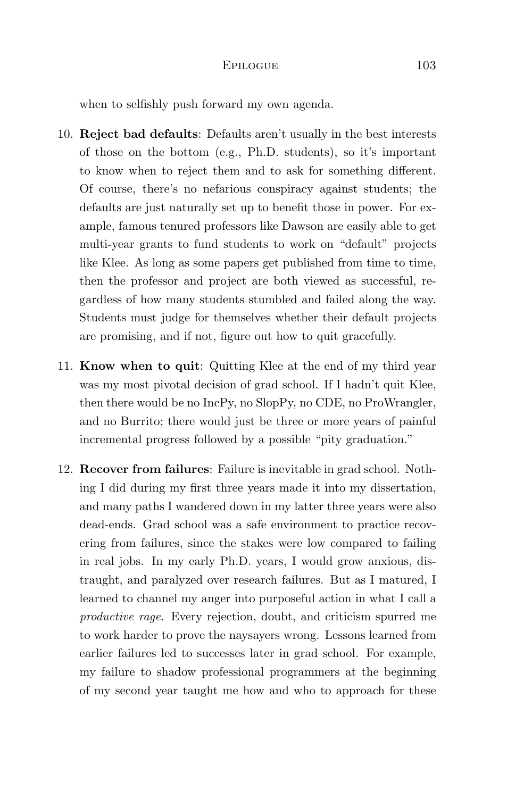when to selfishly push forward my own agenda.

- 10. Reject bad defaults: Defaults aren't usually in the best interests of those on the bottom (e.g., Ph.D. students), so it's important to know when to reject them and to ask for something different. Of course, there's no nefarious conspiracy against students; the defaults are just naturally set up to benefit those in power. For example, famous tenured professors like Dawson are easily able to get multi-year grants to fund students to work on "default" projects like Klee. As long as some papers get published from time to time, then the professor and project are both viewed as successful, regardless of how many students stumbled and failed along the way. Students must judge for themselves whether their default projects are promising, and if not, figure out how to quit gracefully.
- 11. Know when to quit: Quitting Klee at the end of my third year was my most pivotal decision of grad school. If I hadn't quit Klee, then there would be no IncPy, no SlopPy, no CDE, no ProWrangler, and no Burrito; there would just be three or more years of painful incremental progress followed by a possible "pity graduation."
- 12. Recover from failures: Failure is inevitable in grad school. Nothing I did during my first three years made it into my dissertation, and many paths I wandered down in my latter three years were also dead-ends. Grad school was a safe environment to practice recovering from failures, since the stakes were low compared to failing in real jobs. In my early Ph.D. years, I would grow anxious, distraught, and paralyzed over research failures. But as I matured, I learned to channel my anger into purposeful action in what I call a *productive rage*. Every rejection, doubt, and criticism spurred me to work harder to prove the naysayers wrong. Lessons learned from earlier failures led to successes later in grad school. For example, my failure to shadow professional programmers at the beginning of my second year taught me how and who to approach for these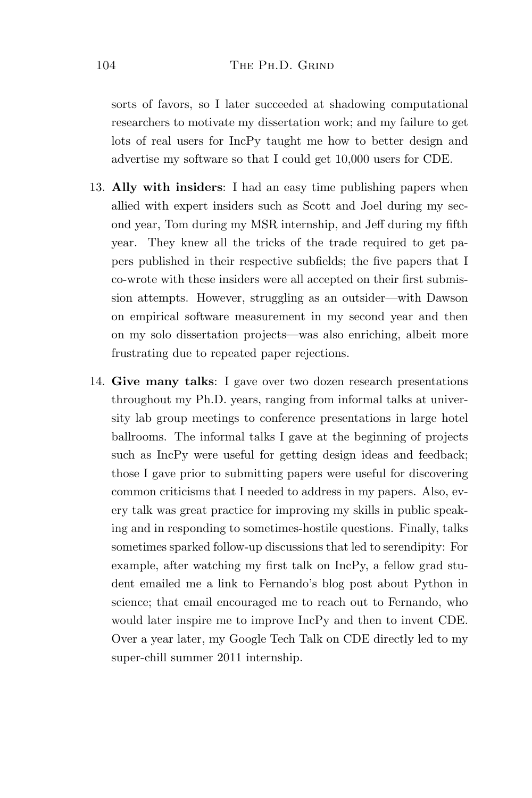sorts of favors, so I later succeeded at shadowing computational researchers to motivate my dissertation work; and my failure to get lots of real users for IncPy taught me how to better design and advertise my software so that I could get 10,000 users for CDE.

- 13. Ally with insiders: I had an easy time publishing papers when allied with expert insiders such as Scott and Joel during my second year, Tom during my MSR internship, and Jeff during my fifth year. They knew all the tricks of the trade required to get papers published in their respective subfields; the five papers that I co-wrote with these insiders were all accepted on their first submission attempts. However, struggling as an outsider—with Dawson on empirical software measurement in my second year and then on my solo dissertation projects—was also enriching, albeit more frustrating due to repeated paper rejections.
- 14. Give many talks: I gave over two dozen research presentations throughout my Ph.D. years, ranging from informal talks at university lab group meetings to conference presentations in large hotel ballrooms. The informal talks I gave at the beginning of projects such as IncPy were useful for getting design ideas and feedback; those I gave prior to submitting papers were useful for discovering common criticisms that I needed to address in my papers. Also, every talk was great practice for improving my skills in public speaking and in responding to sometimes-hostile questions. Finally, talks sometimes sparked follow-up discussions that led to serendipity: For example, after watching my first talk on IncPy, a fellow grad student emailed me a link to Fernando's blog post about Python in science; that email encouraged me to reach out to Fernando, who would later inspire me to improve IncPy and then to invent CDE. Over a year later, my Google Tech Talk on CDE directly led to my super-chill summer 2011 internship.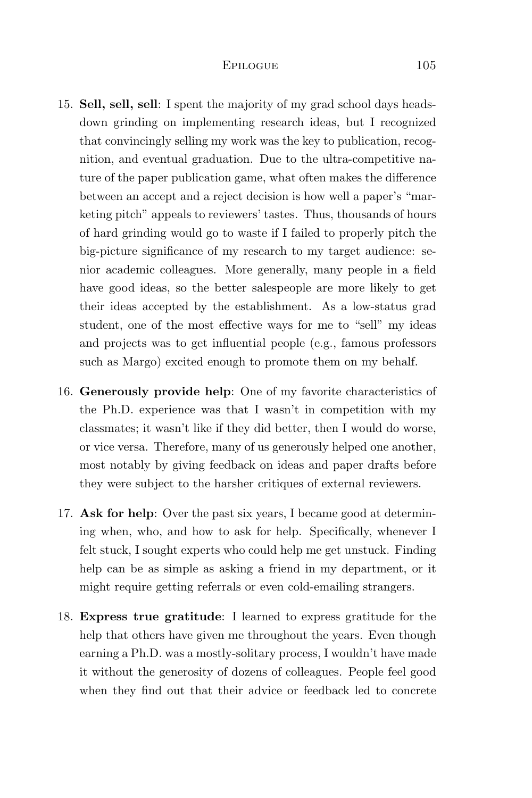- 15. Sell, sell, sell: I spent the majority of my grad school days headsdown grinding on implementing research ideas, but I recognized that convincingly selling my work was the key to publication, recognition, and eventual graduation. Due to the ultra-competitive nature of the paper publication game, what often makes the difference between an accept and a reject decision is how well a paper's "marketing pitch" appeals to reviewers' tastes. Thus, thousands of hours of hard grinding would go to waste if I failed to properly pitch the big-picture significance of my research to my target audience: senior academic colleagues. More generally, many people in a field have good ideas, so the better salespeople are more likely to get their ideas accepted by the establishment. As a low-status grad student, one of the most effective ways for me to "sell" my ideas and projects was to get influential people (e.g., famous professors such as Margo) excited enough to promote them on my behalf.
- 16. Generously provide help: One of my favorite characteristics of the Ph.D. experience was that I wasn't in competition with my classmates; it wasn't like if they did better, then I would do worse, or vice versa. Therefore, many of us generously helped one another, most notably by giving feedback on ideas and paper drafts before they were subject to the harsher critiques of external reviewers.
- 17. Ask for help: Over the past six years, I became good at determining when, who, and how to ask for help. Specifically, whenever I felt stuck, I sought experts who could help me get unstuck. Finding help can be as simple as asking a friend in my department, or it might require getting referrals or even cold-emailing strangers.
- 18. Express true gratitude: I learned to express gratitude for the help that others have given me throughout the years. Even though earning a Ph.D. was a mostly-solitary process, I wouldn't have made it without the generosity of dozens of colleagues. People feel good when they find out that their advice or feedback led to concrete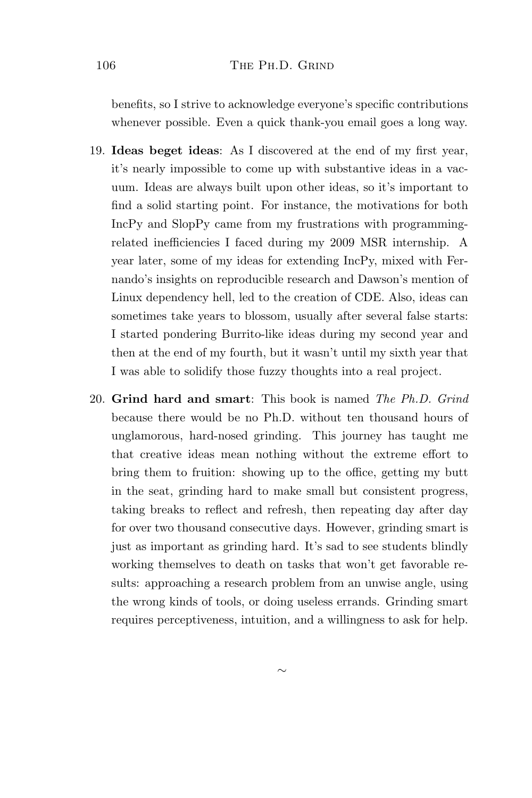benefits, so I strive to acknowledge everyone's specific contributions whenever possible. Even a quick thank-you email goes a long way.

- 19. Ideas beget ideas: As I discovered at the end of my first year, it's nearly impossible to come up with substantive ideas in a vacuum. Ideas are always built upon other ideas, so it's important to find a solid starting point. For instance, the motivations for both IncPy and SlopPy came from my frustrations with programmingrelated inefficiencies I faced during my 2009 MSR internship. A year later, some of my ideas for extending IncPy, mixed with Fernando's insights on reproducible research and Dawson's mention of Linux dependency hell, led to the creation of CDE. Also, ideas can sometimes take years to blossom, usually after several false starts: I started pondering Burrito-like ideas during my second year and then at the end of my fourth, but it wasn't until my sixth year that I was able to solidify those fuzzy thoughts into a real project.
- 20. Grind hard and smart: This book is named *The Ph.D. Grind* because there would be no Ph.D. without ten thousand hours of unglamorous, hard-nosed grinding. This journey has taught me that creative ideas mean nothing without the extreme effort to bring them to fruition: showing up to the office, getting my butt in the seat, grinding hard to make small but consistent progress, taking breaks to reflect and refresh, then repeating day after day for over two thousand consecutive days. However, grinding smart is just as important as grinding hard. It's sad to see students blindly working themselves to death on tasks that won't get favorable results: approaching a research problem from an unwise angle, using the wrong kinds of tools, or doing useless errands. Grinding smart requires perceptiveness, intuition, and a willingness to ask for help.

 $\sim$